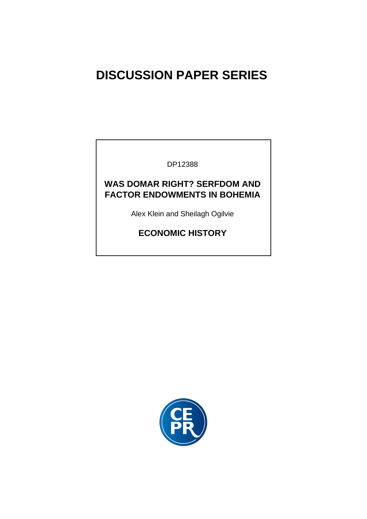## **DISCUSSION PAPER SERIES**

DP12388

### **WAS DOMAR RIGHT? SERFDOM AND FACTOR ENDOWMENTS IN BOHEMIA**

Alex Klein and Sheilagh Ogilvie

**ECONOMIC HISTORY**

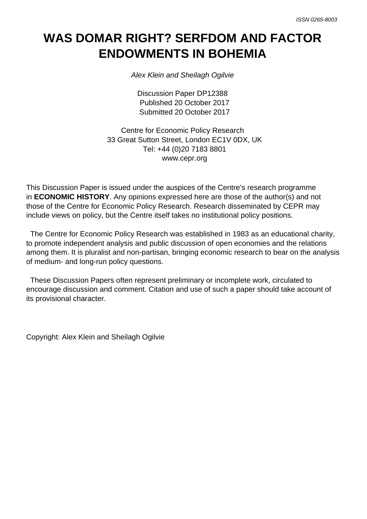### **WAS DOMAR RIGHT? SERFDOM AND FACTOR ENDOWMENTS IN BOHEMIA**

Alex Klein and Sheilagh Ogilvie

Discussion Paper DP12388 Published 20 October 2017 Submitted 20 October 2017

Centre for Economic Policy Research 33 Great Sutton Street, London EC1V 0DX, UK Tel: +44 (0)20 7183 8801 www.cepr.org

This Discussion Paper is issued under the auspices of the Centre's research programme in **ECONOMIC HISTORY**. Any opinions expressed here are those of the author(s) and not those of the Centre for Economic Policy Research. Research disseminated by CEPR may include views on policy, but the Centre itself takes no institutional policy positions.

 The Centre for Economic Policy Research was established in 1983 as an educational charity, to promote independent analysis and public discussion of open economies and the relations among them. It is pluralist and non-partisan, bringing economic research to bear on the analysis of medium- and long-run policy questions.

 These Discussion Papers often represent preliminary or incomplete work, circulated to encourage discussion and comment. Citation and use of such a paper should take account of its provisional character.

Copyright: Alex Klein and Sheilagh Ogilvie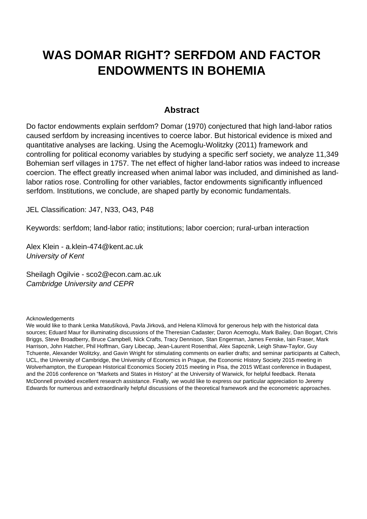### **WAS DOMAR RIGHT? SERFDOM AND FACTOR ENDOWMENTS IN BOHEMIA**

#### **Abstract**

Do factor endowments explain serfdom? Domar (1970) conjectured that high land-labor ratios caused serfdom by increasing incentives to coerce labor. But historical evidence is mixed and quantitative analyses are lacking. Using the Acemoglu-Wolitzky (2011) framework and controlling for political economy variables by studying a specific serf society, we analyze 11,349 Bohemian serf villages in 1757. The net effect of higher land-labor ratios was indeed to increase coercion. The effect greatly increased when animal labor was included, and diminished as landlabor ratios rose. Controlling for other variables, factor endowments significantly influenced serfdom. Institutions, we conclude, are shaped partly by economic fundamentals.

JEL Classification: J47, N33, O43, P48

Keywords: serfdom; land-labor ratio; institutions; labor coercion; rural-urban interaction

Alex Klein - a.klein-474@kent.ac.uk University of Kent

Sheilagh Ogilvie - sco2@econ.cam.ac.uk Cambridge University and CEPR

Acknowledgements

We would like to thank Lenka Matušíková, Pavla Jirková, and Helena Klímová for generous help with the historical data sources; Eduard Maur for illuminating discussions of the Theresian Cadaster; Daron Acemoglu, Mark Bailey, Dan Bogart, Chris Briggs, Steve Broadberry, Bruce Campbell, Nick Crafts, Tracy Dennison, Stan Engerman, James Fenske, Iain Fraser, Mark Harrison, John Hatcher, Phil Hoffman, Gary Libecap, Jean-Laurent Rosenthal, Alex Sapoznik, Leigh Shaw-Taylor, Guy Tchuente, Alexander Wolitzky, and Gavin Wright for stimulating comments on earlier drafts; and seminar participants at Caltech, UCL, the University of Cambridge, the University of Economics in Prague, the Economic History Society 2015 meeting in Wolverhampton, the European Historical Economics Society 2015 meeting in Pisa, the 2015 WEast conference in Budapest, and the 2016 conference on "Markets and States in History" at the University of Warwick, for helpful feedback. Renata McDonnell provided excellent research assistance. Finally, we would like to express our particular appreciation to Jeremy Edwards for numerous and extraordinarily helpful discussions of the theoretical framework and the econometric approaches.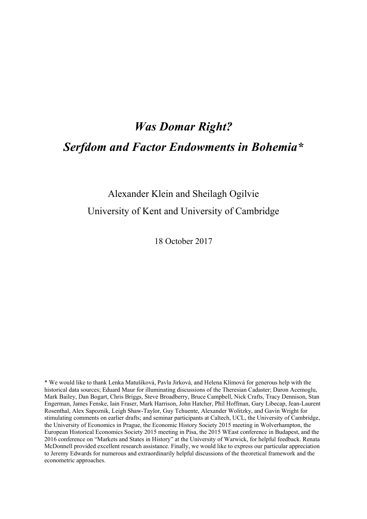# *Was Domar Right? Serfdom and Factor Endowments in Bohemia\**

### Alexander Klein and Sheilagh Ogilvie University of Kent and University of Cambridge

18 October 2017

\* We would like to thank Lenka Matušíková, Pavla Jirková, and Helena Klímová for generous help with the historical data sources; Eduard Maur for illuminating discussions of the Theresian Cadaster; Daron Acemoglu, Mark Bailey, Dan Bogart, Chris Briggs, Steve Broadberry, Bruce Campbell, Nick Crafts, Tracy Dennison, Stan Engerman, James Fenske, Iain Fraser, Mark Harrison, John Hatcher, Phil Hoffman, Gary Libecap, Jean-Laurent Rosenthal, Alex Sapoznik, Leigh Shaw-Taylor, Guy Tchuente, Alexander Wolitzky, and Gavin Wright for stimulating comments on earlier drafts; and seminar participants at Caltech, UCL, the University of Cambridge, the University of Economics in Prague, the Economic History Society 2015 meeting in Wolverhampton, the European Historical Economics Society 2015 meeting in Pisa, the 2015 WEast conference in Budapest, and the 2016 conference on "Markets and States in History" at the University of Warwick, for helpful feedback. Renata McDonnell provided excellent research assistance. Finally, we would like to express our particular appreciation to Jeremy Edwards for numerous and extraordinarily helpful discussions of the theoretical framework and the econometric approaches.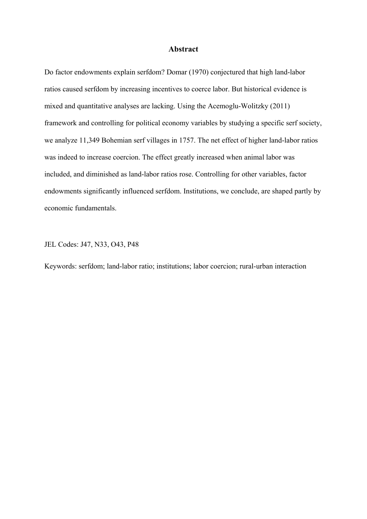#### **Abstract**

Do factor endowments explain serfdom? Domar (1970) conjectured that high land-labor ratios caused serfdom by increasing incentives to coerce labor. But historical evidence is mixed and quantitative analyses are lacking. Using the Acemoglu-Wolitzky (2011) framework and controlling for political economy variables by studying a specific serf society, we analyze 11,349 Bohemian serf villages in 1757. The net effect of higher land-labor ratios was indeed to increase coercion. The effect greatly increased when animal labor was included, and diminished as land-labor ratios rose. Controlling for other variables, factor endowments significantly influenced serfdom. Institutions, we conclude, are shaped partly by economic fundamentals.

JEL Codes: J47, N33, O43, P48

Keywords: serfdom; land-labor ratio; institutions; labor coercion; rural-urban interaction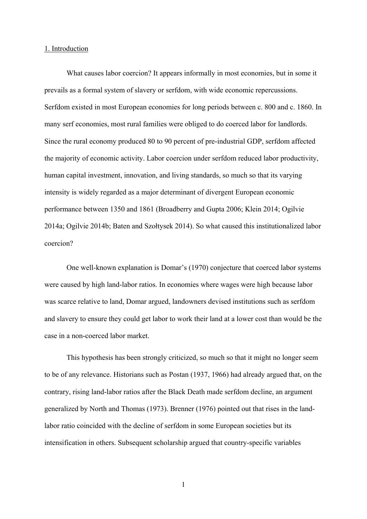#### 1. Introduction

What causes labor coercion? It appears informally in most economies, but in some it prevails as a formal system of slavery or serfdom, with wide economic repercussions. Serfdom existed in most European economies for long periods between c. 800 and c. 1860. In many serf economies, most rural families were obliged to do coerced labor for landlords. Since the rural economy produced 80 to 90 percent of pre-industrial GDP, serfdom affected the majority of economic activity. Labor coercion under serfdom reduced labor productivity, human capital investment, innovation, and living standards, so much so that its varying intensity is widely regarded as a major determinant of divergent European economic performance between 1350 and 1861 (Broadberry and Gupta 2006; Klein 2014; Ogilvie 2014a; Ogilvie 2014b; Baten and Szołtysek 2014). So what caused this institutionalized labor coercion?

One well-known explanation is Domar's (1970) conjecture that coerced labor systems were caused by high land-labor ratios. In economies where wages were high because labor was scarce relative to land, Domar argued, landowners devised institutions such as serfdom and slavery to ensure they could get labor to work their land at a lower cost than would be the case in a non-coerced labor market.

This hypothesis has been strongly criticized, so much so that it might no longer seem to be of any relevance. Historians such as Postan (1937, 1966) had already argued that, on the contrary, rising land-labor ratios after the Black Death made serfdom decline, an argument generalized by North and Thomas (1973). Brenner (1976) pointed out that rises in the landlabor ratio coincided with the decline of serfdom in some European societies but its intensification in others. Subsequent scholarship argued that country-specific variables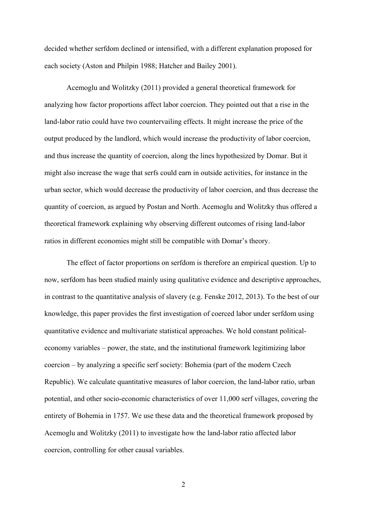decided whether serfdom declined or intensified, with a different explanation proposed for each society (Aston and Philpin 1988; Hatcher and Bailey 2001).

Acemoglu and Wolitzky (2011) provided a general theoretical framework for analyzing how factor proportions affect labor coercion. They pointed out that a rise in the land-labor ratio could have two countervailing effects. It might increase the price of the output produced by the landlord, which would increase the productivity of labor coercion, and thus increase the quantity of coercion, along the lines hypothesized by Domar. But it might also increase the wage that serfs could earn in outside activities, for instance in the urban sector, which would decrease the productivity of labor coercion, and thus decrease the quantity of coercion, as argued by Postan and North. Acemoglu and Wolitzky thus offered a theoretical framework explaining why observing different outcomes of rising land-labor ratios in different economies might still be compatible with Domar's theory.

The effect of factor proportions on serfdom is therefore an empirical question. Up to now, serfdom has been studied mainly using qualitative evidence and descriptive approaches, in contrast to the quantitative analysis of slavery (e.g. Fenske 2012, 2013). To the best of our knowledge, this paper provides the first investigation of coerced labor under serfdom using quantitative evidence and multivariate statistical approaches. We hold constant politicaleconomy variables – power, the state, and the institutional framework legitimizing labor coercion – by analyzing a specific serf society: Bohemia (part of the modern Czech Republic). We calculate quantitative measures of labor coercion, the land-labor ratio, urban potential, and other socio-economic characteristics of over 11,000 serf villages, covering the entirety of Bohemia in 1757. We use these data and the theoretical framework proposed by Acemoglu and Wolitzky (2011) to investigate how the land-labor ratio affected labor coercion, controlling for other causal variables.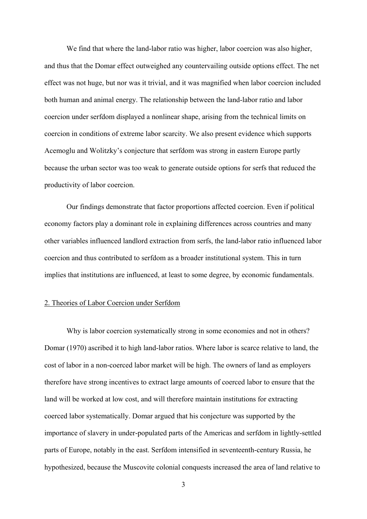We find that where the land-labor ratio was higher, labor coercion was also higher, and thus that the Domar effect outweighed any countervailing outside options effect. The net effect was not huge, but nor was it trivial, and it was magnified when labor coercion included both human and animal energy. The relationship between the land-labor ratio and labor coercion under serfdom displayed a nonlinear shape, arising from the technical limits on coercion in conditions of extreme labor scarcity. We also present evidence which supports Acemoglu and Wolitzky's conjecture that serfdom was strong in eastern Europe partly because the urban sector was too weak to generate outside options for serfs that reduced the productivity of labor coercion.

Our findings demonstrate that factor proportions affected coercion. Even if political economy factors play a dominant role in explaining differences across countries and many other variables influenced landlord extraction from serfs, the land-labor ratio influenced labor coercion and thus contributed to serfdom as a broader institutional system. This in turn implies that institutions are influenced, at least to some degree, by economic fundamentals.

#### 2. Theories of Labor Coercion under Serfdom

Why is labor coercion systematically strong in some economies and not in others? Domar (1970) ascribed it to high land-labor ratios. Where labor is scarce relative to land, the cost of labor in a non-coerced labor market will be high. The owners of land as employers therefore have strong incentives to extract large amounts of coerced labor to ensure that the land will be worked at low cost, and will therefore maintain institutions for extracting coerced labor systematically. Domar argued that his conjecture was supported by the importance of slavery in under-populated parts of the Americas and serfdom in lightly-settled parts of Europe, notably in the east. Serfdom intensified in seventeenth-century Russia, he hypothesized, because the Muscovite colonial conquests increased the area of land relative to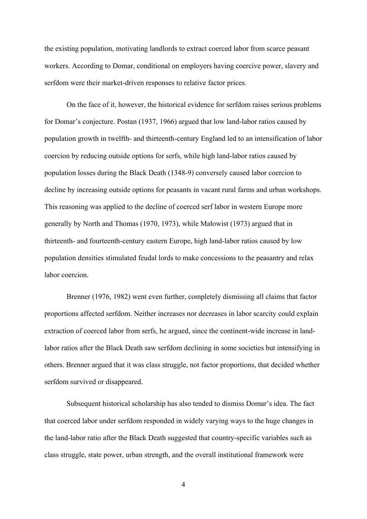the existing population, motivating landlords to extract coerced labor from scarce peasant workers. According to Domar, conditional on employers having coercive power, slavery and serfdom were their market-driven responses to relative factor prices.

On the face of it, however, the historical evidence for serfdom raises serious problems for Domar's conjecture. Postan (1937, 1966) argued that low land-labor ratios caused by population growth in twelfth- and thirteenth-century England led to an intensification of labor coercion by reducing outside options for serfs, while high land-labor ratios caused by population losses during the Black Death (1348-9) conversely caused labor coercion to decline by increasing outside options for peasants in vacant rural farms and urban workshops. This reasoning was applied to the decline of coerced serf labor in western Europe more generally by North and Thomas (1970, 1973), while Małowist (1973) argued that in thirteenth- and fourteenth-century eastern Europe, high land-labor ratios caused by low population densities stimulated feudal lords to make concessions to the peasantry and relax labor coercion.

Brenner (1976, 1982) went even further, completely dismissing all claims that factor proportions affected serfdom. Neither increases nor decreases in labor scarcity could explain extraction of coerced labor from serfs, he argued, since the continent-wide increase in landlabor ratios after the Black Death saw serfdom declining in some societies but intensifying in others. Brenner argued that it was class struggle, not factor proportions, that decided whether serfdom survived or disappeared.

Subsequent historical scholarship has also tended to dismiss Domar's idea. The fact that coerced labor under serfdom responded in widely varying ways to the huge changes in the land-labor ratio after the Black Death suggested that country-specific variables such as class struggle, state power, urban strength, and the overall institutional framework were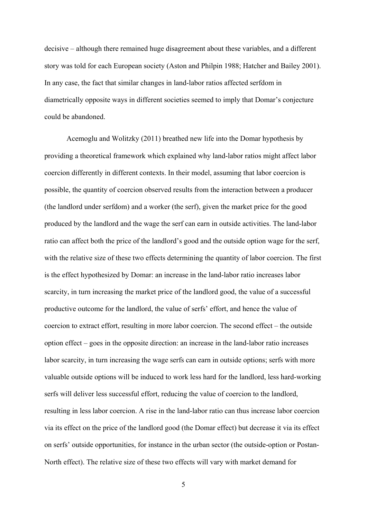decisive – although there remained huge disagreement about these variables, and a different story was told for each European society (Aston and Philpin 1988; Hatcher and Bailey 2001). In any case, the fact that similar changes in land-labor ratios affected serfdom in diametrically opposite ways in different societies seemed to imply that Domar's conjecture could be abandoned.

Acemoglu and Wolitzky (2011) breathed new life into the Domar hypothesis by providing a theoretical framework which explained why land-labor ratios might affect labor coercion differently in different contexts. In their model, assuming that labor coercion is possible, the quantity of coercion observed results from the interaction between a producer (the landlord under serfdom) and a worker (the serf), given the market price for the good produced by the landlord and the wage the serf can earn in outside activities. The land-labor ratio can affect both the price of the landlord's good and the outside option wage for the serf, with the relative size of these two effects determining the quantity of labor coercion. The first is the effect hypothesized by Domar: an increase in the land-labor ratio increases labor scarcity, in turn increasing the market price of the landlord good, the value of a successful productive outcome for the landlord, the value of serfs' effort, and hence the value of coercion to extract effort, resulting in more labor coercion. The second effect – the outside option effect – goes in the opposite direction: an increase in the land-labor ratio increases labor scarcity, in turn increasing the wage serfs can earn in outside options; serfs with more valuable outside options will be induced to work less hard for the landlord, less hard-working serfs will deliver less successful effort, reducing the value of coercion to the landlord, resulting in less labor coercion. A rise in the land-labor ratio can thus increase labor coercion via its effect on the price of the landlord good (the Domar effect) but decrease it via its effect on serfs' outside opportunities, for instance in the urban sector (the outside-option or Postan-North effect). The relative size of these two effects will vary with market demand for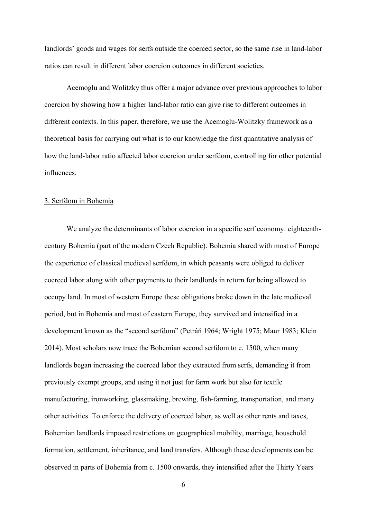landlords' goods and wages for serfs outside the coerced sector, so the same rise in land-labor ratios can result in different labor coercion outcomes in different societies.

Acemoglu and Wolitzky thus offer a major advance over previous approaches to labor coercion by showing how a higher land-labor ratio can give rise to different outcomes in different contexts. In this paper, therefore, we use the Acemoglu-Wolitzky framework as a theoretical basis for carrying out what is to our knowledge the first quantitative analysis of how the land-labor ratio affected labor coercion under serfdom, controlling for other potential influences.

#### 3. Serfdom in Bohemia

We analyze the determinants of labor coercion in a specific serf economy: eighteenthcentury Bohemia (part of the modern Czech Republic). Bohemia shared with most of Europe the experience of classical medieval serfdom, in which peasants were obliged to deliver coerced labor along with other payments to their landlords in return for being allowed to occupy land. In most of western Europe these obligations broke down in the late medieval period, but in Bohemia and most of eastern Europe, they survived and intensified in a development known as the "second serfdom" (Petráň 1964; Wright 1975; Maur 1983; Klein 2014). Most scholars now trace the Bohemian second serfdom to c. 1500, when many landlords began increasing the coerced labor they extracted from serfs, demanding it from previously exempt groups, and using it not just for farm work but also for textile manufacturing, ironworking, glassmaking, brewing, fish-farming, transportation, and many other activities. To enforce the delivery of coerced labor, as well as other rents and taxes, Bohemian landlords imposed restrictions on geographical mobility, marriage, household formation, settlement, inheritance, and land transfers. Although these developments can be observed in parts of Bohemia from c. 1500 onwards, they intensified after the Thirty Years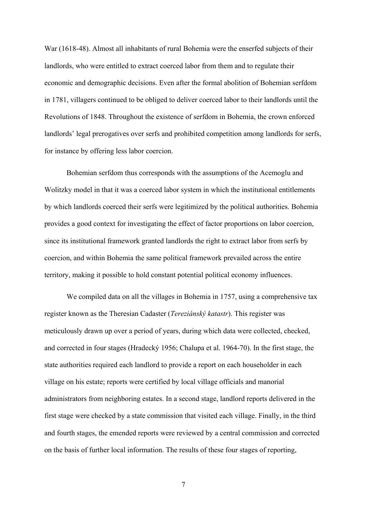War (1618-48). Almost all inhabitants of rural Bohemia were the enserfed subjects of their landlords, who were entitled to extract coerced labor from them and to regulate their economic and demographic decisions. Even after the formal abolition of Bohemian serfdom in 1781, villagers continued to be obliged to deliver coerced labor to their landlords until the Revolutions of 1848. Throughout the existence of serfdom in Bohemia, the crown enforced landlords' legal prerogatives over serfs and prohibited competition among landlords for serfs, for instance by offering less labor coercion.

Bohemian serfdom thus corresponds with the assumptions of the Acemoglu and Wolitzky model in that it was a coerced labor system in which the institutional entitlements by which landlords coerced their serfs were legitimized by the political authorities. Bohemia provides a good context for investigating the effect of factor proportions on labor coercion, since its institutional framework granted landlords the right to extract labor from serfs by coercion, and within Bohemia the same political framework prevailed across the entire territory, making it possible to hold constant potential political economy influences.

We compiled data on all the villages in Bohemia in 1757, using a comprehensive tax register known as the Theresian Cadaster (*Tereziánský katastr*). This register was meticulously drawn up over a period of years, during which data were collected, checked, and corrected in four stages (Hradecký 1956; Chalupa et al. 1964-70). In the first stage, the state authorities required each landlord to provide a report on each householder in each village on his estate; reports were certified by local village officials and manorial administrators from neighboring estates. In a second stage, landlord reports delivered in the first stage were checked by a state commission that visited each village. Finally, in the third and fourth stages, the emended reports were reviewed by a central commission and corrected on the basis of further local information. The results of these four stages of reporting,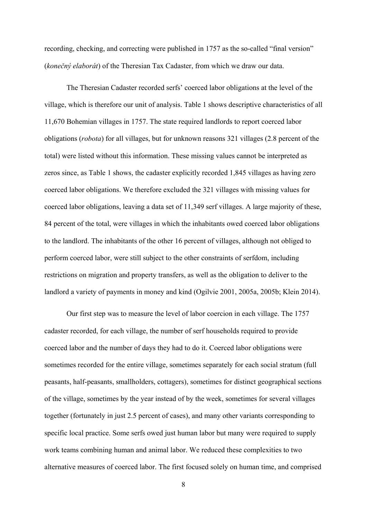recording, checking, and correcting were published in 1757 as the so-called "final version" (*konečný elaborát*) of the Theresian Tax Cadaster, from which we draw our data.

The Theresian Cadaster recorded serfs' coerced labor obligations at the level of the village, which is therefore our unit of analysis. Table 1 shows descriptive characteristics of all 11,670 Bohemian villages in 1757. The state required landlords to report coerced labor obligations (*robota*) for all villages, but for unknown reasons 321 villages (2.8 percent of the total) were listed without this information. These missing values cannot be interpreted as zeros since, as Table 1 shows, the cadaster explicitly recorded 1,845 villages as having zero coerced labor obligations. We therefore excluded the 321 villages with missing values for coerced labor obligations, leaving a data set of 11,349 serf villages. A large majority of these, 84 percent of the total, were villages in which the inhabitants owed coerced labor obligations to the landlord. The inhabitants of the other 16 percent of villages, although not obliged to perform coerced labor, were still subject to the other constraints of serfdom, including restrictions on migration and property transfers, as well as the obligation to deliver to the landlord a variety of payments in money and kind (Ogilvie 2001, 2005a, 2005b; Klein 2014).

Our first step was to measure the level of labor coercion in each village. The 1757 cadaster recorded, for each village, the number of serf households required to provide coerced labor and the number of days they had to do it. Coerced labor obligations were sometimes recorded for the entire village, sometimes separately for each social stratum (full peasants, half-peasants, smallholders, cottagers), sometimes for distinct geographical sections of the village, sometimes by the year instead of by the week, sometimes for several villages together (fortunately in just 2.5 percent of cases), and many other variants corresponding to specific local practice. Some serfs owed just human labor but many were required to supply work teams combining human and animal labor. We reduced these complexities to two alternative measures of coerced labor. The first focused solely on human time, and comprised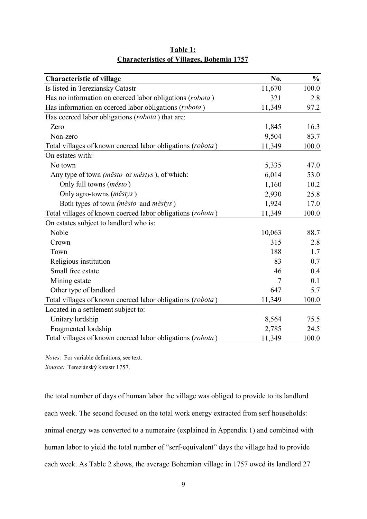| <b>Characteristic of village</b>                           | No.            | $\frac{0}{0}$ |
|------------------------------------------------------------|----------------|---------------|
| Is listed in Tereziansky Catastr                           | 11,670         | 100.0         |
| Has no information on coerced labor obligations (robota)   | 321            | 2.8           |
| Has information on coerced labor obligations (robota)      | 11,349         | 97.2          |
| Has coerced labor obligations (robota) that are:           |                |               |
| Zero                                                       | 1,845          | 16.3          |
| Non-zero                                                   | 9,504          | 83.7          |
| Total villages of known coerced labor obligations (robota) | 11,349         | 100.0         |
| On estates with:                                           |                |               |
| No town                                                    | 5,335          | 47.0          |
| Any type of town <i>(město or městys)</i> , of which:      | 6,014          | 53.0          |
| Only full towns ( <i>město</i> )                           | 1,160          | 10.2          |
| Only agro-towns (městys)                                   | 2,930          | 25.8          |
| Both types of town (město and městys)                      | 1,924          | 17.0          |
| Total villages of known coerced labor obligations (robota) | 11,349         | 100.0         |
| On estates subject to landlord who is:                     |                |               |
| Noble                                                      | 10,063         | 88.7          |
| Crown                                                      | 315            | 2.8           |
| Town                                                       | 188            | 1.7           |
| Religious institution                                      | 83             | 0.7           |
| Small free estate                                          | 46             | 0.4           |
| Mining estate                                              | $\overline{7}$ | 0.1           |
| Other type of landlord                                     | 647            | 5.7           |
| Total villages of known coerced labor obligations (robota) | 11,349         | 100.0         |
| Located in a settlement subject to:                        |                |               |
| Unitary lordship                                           | 8,564          | 75.5          |
| Fragmented lordship                                        | 2,785          | 24.5          |
| Total villages of known coerced labor obligations (robota) | 11,349         | 100.0         |

**Table 1: Characteristics of Villages, Bohemia 1757**

*Notes:* For variable definitions, see text. *Source:* Tereziánský katastr 1757.

the total number of days of human labor the village was obliged to provide to its landlord each week. The second focused on the total work energy extracted from serf households: animal energy was converted to a numeraire (explained in Appendix 1) and combined with human labor to yield the total number of "serf-equivalent" days the village had to provide each week. As Table 2 shows, the average Bohemian village in 1757 owed its landlord 27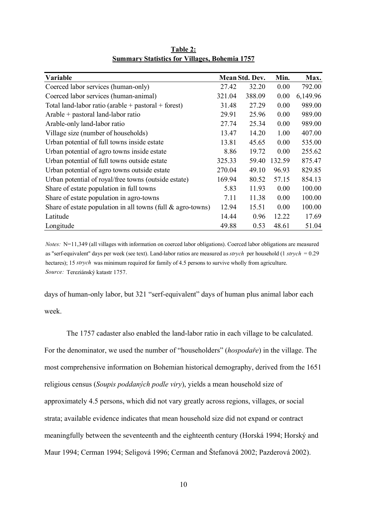| Variable                                                      |        | Mean Std. Dev. | Min.   | Max.     |
|---------------------------------------------------------------|--------|----------------|--------|----------|
| Coerced labor services (human-only)                           | 27.42  | 32.20          | 0.00   | 792.00   |
| Coerced labor services (human-animal)                         | 321.04 | 388.09         | 0.00   | 6,149.96 |
| Total land-labor ratio (arable $+$ pastoral $+$ forest)       | 31.48  | 27.29          | 0.00   | 989.00   |
| Arable $+$ pastoral land-labor ratio                          | 29.91  | 25.96          | 0.00   | 989.00   |
| Arable-only land-labor ratio                                  | 27.74  | 25.34          | 0.00   | 989.00   |
| Village size (number of households)                           | 13.47  | 14.20          | 1.00   | 407.00   |
| Urban potential of full towns inside estate                   | 13.81  | 45.65          | 0.00   | 535.00   |
| Urban potential of agro towns inside estate                   | 8.86   | 19.72          | 0.00   | 255.62   |
| Urban potential of full towns outside estate                  | 325.33 | 59.40          | 132.59 | 875.47   |
| Urban potential of agro towns outside estate                  | 270.04 | 49.10          | 96.93  | 829.85   |
| Urban potential of royal/free towns (outside estate)          | 169.94 | 80.52          | 57.15  | 854.13   |
| Share of estate population in full towns                      | 5.83   | 11.93          | 0.00   | 100.00   |
| Share of estate population in agro-towns                      | 7.11   | 11.38          | 0.00   | 100.00   |
| Share of estate population in all towns (full $&$ agro-towns) | 12.94  | 15.51          | 0.00   | 100.00   |
| Latitude                                                      | 14.44  | 0.96           | 12.22  | 17.69    |
| Longitude                                                     | 49.88  | 0.53           | 48.61  | 51.04    |

**Table 2: Summary Statistics for Villages, Bohemia 1757**

*Notes:* N=11,349 (all villages with information on coerced labor obligations). Coerced labor obligations are measured as "serf-equivalent" days per week (see text). Land-labor ratios are measured as *strych* per household (1 *strych* = 0.29 hectares); 15 *strych* was minimum required for family of 4.5 persons to survive wholly from agriculture. *Source:* Tereziánský katastr 1757.

days of human-only labor, but 321 "serf-equivalent" days of human plus animal labor each week.

The 1757 cadaster also enabled the land-labor ratio in each village to be calculated. For the denominator, we used the number of "householders" (*hospodaře*) in the village. The most comprehensive information on Bohemian historical demography, derived from the 1651 religious census (*Soupis poddaných podle viry*), yields a mean household size of approximately 4.5 persons, which did not vary greatly across regions, villages, or social strata; available evidence indicates that mean household size did not expand or contract meaningfully between the seventeenth and the eighteenth century (Horská 1994; Horský and Maur 1994; Cerman 1994; Seligová 1996; Cerman and Štefanová 2002; Pazderová 2002).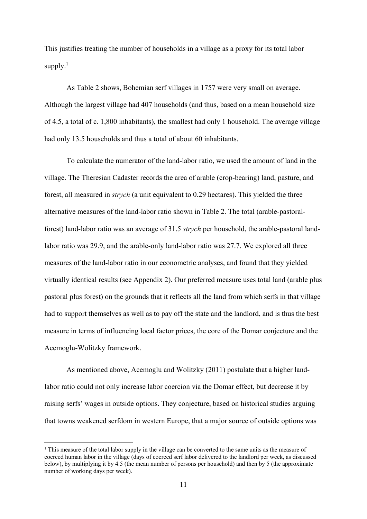This justifies treating the number of households in a village as a proxy for its total labor supply. $1$ 

As Table 2 shows, Bohemian serf villages in 1757 were very small on average. Although the largest village had 407 households (and thus, based on a mean household size of 4.5, a total of c. 1,800 inhabitants), the smallest had only 1 household. The average village had only 13.5 households and thus a total of about 60 inhabitants.

To calculate the numerator of the land-labor ratio, we used the amount of land in the village. The Theresian Cadaster records the area of arable (crop-bearing) land, pasture, and forest, all measured in *strych* (a unit equivalent to 0.29 hectares). This yielded the three alternative measures of the land-labor ratio shown in Table 2. The total (arable-pastoralforest) land-labor ratio was an average of 31.5 *strych* per household, the arable-pastoral landlabor ratio was 29.9, and the arable-only land-labor ratio was 27.7. We explored all three measures of the land-labor ratio in our econometric analyses, and found that they yielded virtually identical results (see Appendix 2). Our preferred measure uses total land (arable plus pastoral plus forest) on the grounds that it reflects all the land from which serfs in that village had to support themselves as well as to pay off the state and the landlord, and is thus the best measure in terms of influencing local factor prices, the core of the Domar conjecture and the Acemoglu-Wolitzky framework.

As mentioned above, Acemoglu and Wolitzky (2011) postulate that a higher landlabor ratio could not only increase labor coercion via the Domar effect, but decrease it by raising serfs' wages in outside options. They conjecture, based on historical studies arguing that towns weakened serfdom in western Europe, that a major source of outside options was

<sup>&</sup>lt;sup>1</sup> This measure of the total labor supply in the village can be converted to the same units as the measure of coerced human labor in the village (days of coerced serf labor delivered to the landlord per week, as discussed below), by multiplying it by 4.5 (the mean number of persons per household) and then by 5 (the approximate number of working days per week).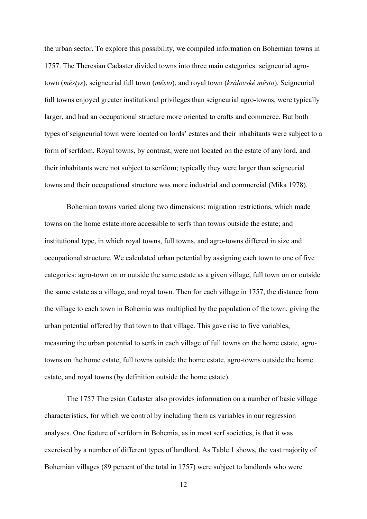the urban sector. To explore this possibility, we compiled information on Bohemian towns in 1757. The Theresian Cadaster divided towns into three main categories: seigneurial agrotown (*městys*), seigneurial full town (*město*), and royal town (*královské město*). Seigneurial full towns enjoyed greater institutional privileges than seigneurial agro-towns, were typically larger, and had an occupational structure more oriented to crafts and commerce. But both types of seigneurial town were located on lords' estates and their inhabitants were subject to a form of serfdom. Royal towns, by contrast, were not located on the estate of any lord, and their inhabitants were not subject to serfdom; typically they were larger than seigneurial towns and their occupational structure was more industrial and commercial (Míka 1978).

Bohemian towns varied along two dimensions: migration restrictions, which made towns on the home estate more accessible to serfs than towns outside the estate; and institutional type, in which royal towns, full towns, and agro-towns differed in size and occupational structure. We calculated urban potential by assigning each town to one of five categories: agro-town on or outside the same estate as a given village, full town on or outside the same estate as a village, and royal town. Then for each village in 1757, the distance from the village to each town in Bohemia was multiplied by the population of the town, giving the urban potential offered by that town to that village. This gave rise to five variables, measuring the urban potential to serfs in each village of full towns on the home estate, agrotowns on the home estate, full towns outside the home estate, agro-towns outside the home estate, and royal towns (by definition outside the home estate).

The 1757 Theresian Cadaster also provides information on a number of basic village characteristics, for which we control by including them as variables in our regression analyses. One feature of serfdom in Bohemia, as in most serf societies, is that it was exercised by a number of different types of landlord. As Table 1 shows, the vast majority of Bohemian villages (89 percent of the total in 1757) were subject to landlords who were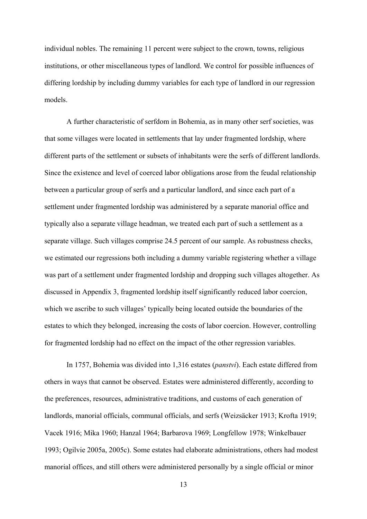individual nobles. The remaining 11 percent were subject to the crown, towns, religious institutions, or other miscellaneous types of landlord. We control for possible influences of differing lordship by including dummy variables for each type of landlord in our regression models.

A further characteristic of serfdom in Bohemia, as in many other serf societies, was that some villages were located in settlements that lay under fragmented lordship, where different parts of the settlement or subsets of inhabitants were the serfs of different landlords. Since the existence and level of coerced labor obligations arose from the feudal relationship between a particular group of serfs and a particular landlord, and since each part of a settlement under fragmented lordship was administered by a separate manorial office and typically also a separate village headman, we treated each part of such a settlement as a separate village. Such villages comprise 24.5 percent of our sample. As robustness checks, we estimated our regressions both including a dummy variable registering whether a village was part of a settlement under fragmented lordship and dropping such villages altogether. As discussed in Appendix 3, fragmented lordship itself significantly reduced labor coercion, which we ascribe to such villages' typically being located outside the boundaries of the estates to which they belonged, increasing the costs of labor coercion. However, controlling for fragmented lordship had no effect on the impact of the other regression variables.

In 1757, Bohemia was divided into 1,316 estates (*panství*). Each estate differed from others in ways that cannot be observed. Estates were administered differently, according to the preferences, resources, administrative traditions, and customs of each generation of landlords, manorial officials, communal officials, and serfs (Weizsäcker 1913; Krofta 1919; Vacek 1916; Mika 1960; Hanzal 1964; Barbarova 1969; Longfellow 1978; Winkelbauer 1993; Ogilvie 2005a, 2005c). Some estates had elaborate administrations, others had modest manorial offices, and still others were administered personally by a single official or minor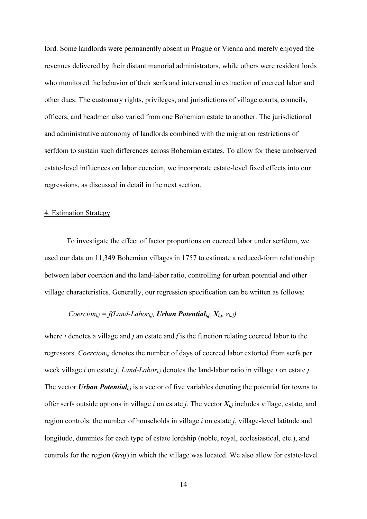lord. Some landlords were permanently absent in Prague or Vienna and merely enjoyed the revenues delivered by their distant manorial administrators, while others were resident lords who monitored the behavior of their serfs and intervened in extraction of coerced labor and other dues. The customary rights, privileges, and jurisdictions of village courts, councils, officers, and headmen also varied from one Bohemian estate to another. The jurisdictional and administrative autonomy of landlords combined with the migration restrictions of serfdom to sustain such differences across Bohemian estates. To allow for these unobserved estate-level influences on labor coercion, we incorporate estate-level fixed effects into our regressions, as discussed in detail in the next section.

#### 4. Estimation Strategy

To investigate the effect of factor proportions on coerced labor under serfdom, we used our data on 11,349 Bohemian villages in 1757 to estimate a reduced-form relationship between labor coercion and the land-labor ratio, controlling for urban potential and other village characteristics. Generally, our regression specification can be written as follows:

#### *Coercioni,j = f(Land-Labori,j, Urban Potentiali,j, Xi,j, εi,,j)*

where *i* denotes a village and *j* an estate and *f* is the function relating coerced labor to the regressors. *Coercioni,j* denotes the number of days of coerced labor extorted from serfs per week village *i* on estate *j*. *Land-Labori,j* denotes the land-labor ratio in village *i* on estate *j*. The vector *Urban Potentiali,j* is a vector of five variables denoting the potential for towns to offer serfs outside options in village *i* on estate *j*. The vector *Xi,j* includes village, estate, and region controls: the number of households in village *i* on estate *j*, village-level latitude and longitude, dummies for each type of estate lordship (noble, royal, ecclesiastical, etc.), and controls for the region (*kraj*) in which the village was located. We also allow for estate-level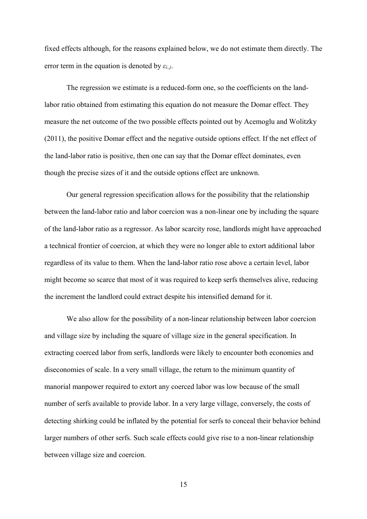fixed effects although, for the reasons explained below, we do not estimate them directly. The error term in the equation is denoted by *εi,,j*.

The regression we estimate is a reduced-form one, so the coefficients on the landlabor ratio obtained from estimating this equation do not measure the Domar effect. They measure the net outcome of the two possible effects pointed out by Acemoglu and Wolitzky (2011), the positive Domar effect and the negative outside options effect. If the net effect of the land-labor ratio is positive, then one can say that the Domar effect dominates, even though the precise sizes of it and the outside options effect are unknown.

Our general regression specification allows for the possibility that the relationship between the land-labor ratio and labor coercion was a non-linear one by including the square of the land-labor ratio as a regressor. As labor scarcity rose, landlords might have approached a technical frontier of coercion, at which they were no longer able to extort additional labor regardless of its value to them. When the land-labor ratio rose above a certain level, labor might become so scarce that most of it was required to keep serfs themselves alive, reducing the increment the landlord could extract despite his intensified demand for it.

 We also allow for the possibility of a non-linear relationship between labor coercion and village size by including the square of village size in the general specification. In extracting coerced labor from serfs, landlords were likely to encounter both economies and diseconomies of scale. In a very small village, the return to the minimum quantity of manorial manpower required to extort any coerced labor was low because of the small number of serfs available to provide labor. In a very large village, conversely, the costs of detecting shirking could be inflated by the potential for serfs to conceal their behavior behind larger numbers of other serfs. Such scale effects could give rise to a non-linear relationship between village size and coercion.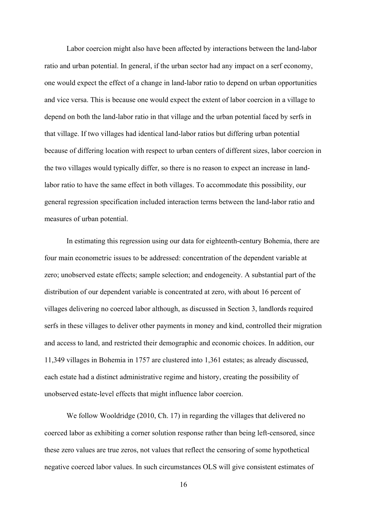Labor coercion might also have been affected by interactions between the land-labor ratio and urban potential. In general, if the urban sector had any impact on a serf economy, one would expect the effect of a change in land-labor ratio to depend on urban opportunities and vice versa. This is because one would expect the extent of labor coercion in a village to depend on both the land-labor ratio in that village and the urban potential faced by serfs in that village. If two villages had identical land-labor ratios but differing urban potential because of differing location with respect to urban centers of different sizes, labor coercion in the two villages would typically differ, so there is no reason to expect an increase in landlabor ratio to have the same effect in both villages. To accommodate this possibility, our general regression specification included interaction terms between the land-labor ratio and measures of urban potential.

In estimating this regression using our data for eighteenth-century Bohemia, there are four main econometric issues to be addressed: concentration of the dependent variable at zero; unobserved estate effects; sample selection; and endogeneity. A substantial part of the distribution of our dependent variable is concentrated at zero, with about 16 percent of villages delivering no coerced labor although, as discussed in Section 3, landlords required serfs in these villages to deliver other payments in money and kind, controlled their migration and access to land, and restricted their demographic and economic choices. In addition, our 11,349 villages in Bohemia in 1757 are clustered into 1,361 estates; as already discussed, each estate had a distinct administrative regime and history, creating the possibility of unobserved estate-level effects that might influence labor coercion.

We follow Wooldridge (2010, Ch. 17) in regarding the villages that delivered no coerced labor as exhibiting a corner solution response rather than being left-censored, since these zero values are true zeros, not values that reflect the censoring of some hypothetical negative coerced labor values. In such circumstances OLS will give consistent estimates of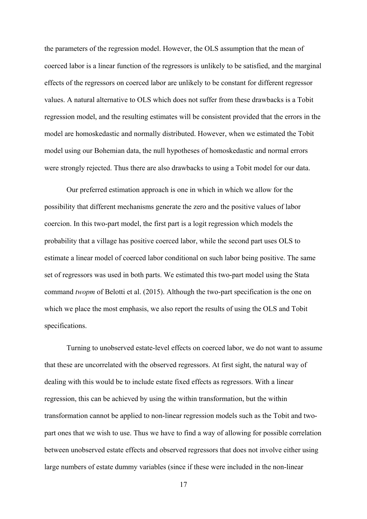the parameters of the regression model. However, the OLS assumption that the mean of coerced labor is a linear function of the regressors is unlikely to be satisfied, and the marginal effects of the regressors on coerced labor are unlikely to be constant for different regressor values. A natural alternative to OLS which does not suffer from these drawbacks is a Tobit regression model, and the resulting estimates will be consistent provided that the errors in the model are homoskedastic and normally distributed. However, when we estimated the Tobit model using our Bohemian data, the null hypotheses of homoskedastic and normal errors were strongly rejected. Thus there are also drawbacks to using a Tobit model for our data.

Our preferred estimation approach is one in which in which we allow for the possibility that different mechanisms generate the zero and the positive values of labor coercion. In this two-part model, the first part is a logit regression which models the probability that a village has positive coerced labor, while the second part uses OLS to estimate a linear model of coerced labor conditional on such labor being positive. The same set of regressors was used in both parts. We estimated this two-part model using the Stata command *twopm* of Belotti et al. (2015). Although the two-part specification is the one on which we place the most emphasis, we also report the results of using the OLS and Tobit specifications.

Turning to unobserved estate-level effects on coerced labor, we do not want to assume that these are uncorrelated with the observed regressors. At first sight, the natural way of dealing with this would be to include estate fixed effects as regressors. With a linear regression, this can be achieved by using the within transformation, but the within transformation cannot be applied to non-linear regression models such as the Tobit and twopart ones that we wish to use. Thus we have to find a way of allowing for possible correlation between unobserved estate effects and observed regressors that does not involve either using large numbers of estate dummy variables (since if these were included in the non-linear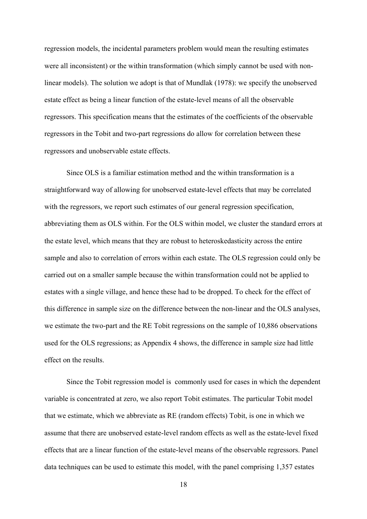regression models, the incidental parameters problem would mean the resulting estimates were all inconsistent) or the within transformation (which simply cannot be used with nonlinear models). The solution we adopt is that of Mundlak (1978): we specify the unobserved estate effect as being a linear function of the estate-level means of all the observable regressors. This specification means that the estimates of the coefficients of the observable regressors in the Tobit and two-part regressions do allow for correlation between these regressors and unobservable estate effects.

Since OLS is a familiar estimation method and the within transformation is a straightforward way of allowing for unobserved estate-level effects that may be correlated with the regressors, we report such estimates of our general regression specification, abbreviating them as OLS within. For the OLS within model, we cluster the standard errors at the estate level, which means that they are robust to heteroskedasticity across the entire sample and also to correlation of errors within each estate. The OLS regression could only be carried out on a smaller sample because the within transformation could not be applied to estates with a single village, and hence these had to be dropped. To check for the effect of this difference in sample size on the difference between the non-linear and the OLS analyses, we estimate the two-part and the RE Tobit regressions on the sample of 10,886 observations used for the OLS regressions; as Appendix 4 shows, the difference in sample size had little effect on the results.

Since the Tobit regression model is commonly used for cases in which the dependent variable is concentrated at zero, we also report Tobit estimates. The particular Tobit model that we estimate, which we abbreviate as RE (random effects) Tobit, is one in which we assume that there are unobserved estate-level random effects as well as the estate-level fixed effects that are a linear function of the estate-level means of the observable regressors. Panel data techniques can be used to estimate this model, with the panel comprising 1,357 estates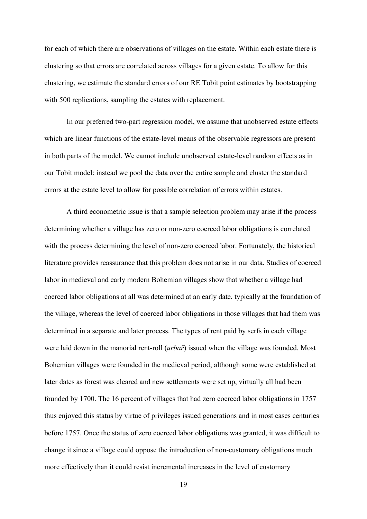for each of which there are observations of villages on the estate. Within each estate there is clustering so that errors are correlated across villages for a given estate. To allow for this clustering, we estimate the standard errors of our RE Tobit point estimates by bootstrapping with 500 replications, sampling the estates with replacement.

In our preferred two-part regression model, we assume that unobserved estate effects which are linear functions of the estate-level means of the observable regressors are present in both parts of the model. We cannot include unobserved estate-level random effects as in our Tobit model: instead we pool the data over the entire sample and cluster the standard errors at the estate level to allow for possible correlation of errors within estates.

A third econometric issue is that a sample selection problem may arise if the process determining whether a village has zero or non-zero coerced labor obligations is correlated with the process determining the level of non-zero coerced labor. Fortunately, the historical literature provides reassurance that this problem does not arise in our data. Studies of coerced labor in medieval and early modern Bohemian villages show that whether a village had coerced labor obligations at all was determined at an early date, typically at the foundation of the village, whereas the level of coerced labor obligations in those villages that had them was determined in a separate and later process. The types of rent paid by serfs in each village were laid down in the manorial rent-roll (*urbař*) issued when the village was founded. Most Bohemian villages were founded in the medieval period; although some were established at later dates as forest was cleared and new settlements were set up, virtually all had been founded by 1700. The 16 percent of villages that had zero coerced labor obligations in 1757 thus enjoyed this status by virtue of privileges issued generations and in most cases centuries before 1757. Once the status of zero coerced labor obligations was granted, it was difficult to change it since a village could oppose the introduction of non-customary obligations much more effectively than it could resist incremental increases in the level of customary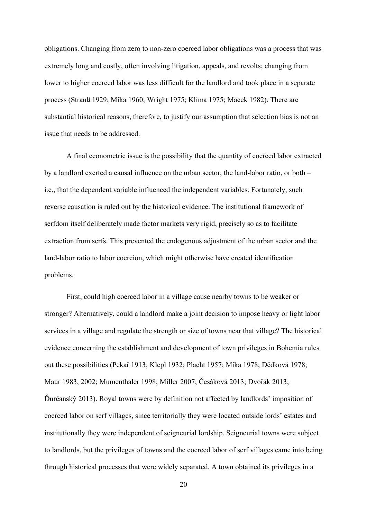obligations. Changing from zero to non-zero coerced labor obligations was a process that was extremely long and costly, often involving litigation, appeals, and revolts; changing from lower to higher coerced labor was less difficult for the landlord and took place in a separate process (Strauß 1929; Míka 1960; Wright 1975; Klíma 1975; Macek 1982). There are substantial historical reasons, therefore, to justify our assumption that selection bias is not an issue that needs to be addressed.

A final econometric issue is the possibility that the quantity of coerced labor extracted by a landlord exerted a causal influence on the urban sector, the land-labor ratio, or both – i.e., that the dependent variable influenced the independent variables. Fortunately, such reverse causation is ruled out by the historical evidence. The institutional framework of serfdom itself deliberately made factor markets very rigid, precisely so as to facilitate extraction from serfs. This prevented the endogenous adjustment of the urban sector and the land-labor ratio to labor coercion, which might otherwise have created identification problems.

First, could high coerced labor in a village cause nearby towns to be weaker or stronger? Alternatively, could a landlord make a joint decision to impose heavy or light labor services in a village and regulate the strength or size of towns near that village? The historical evidence concerning the establishment and development of town privileges in Bohemia rules out these possibilities (Pekař 1913; Klepl 1932; Placht 1957; Míka 1978; Dědková 1978; Maur 1983, 2002; Mumenthaler 1998; Miller 2007; Česáková 2013; Dvořák 2013; Ďurčanský 2013). Royal towns were by definition not affected by landlords' imposition of coerced labor on serf villages, since territorially they were located outside lords' estates and institutionally they were independent of seigneurial lordship. Seigneurial towns were subject to landlords, but the privileges of towns and the coerced labor of serf villages came into being through historical processes that were widely separated. A town obtained its privileges in a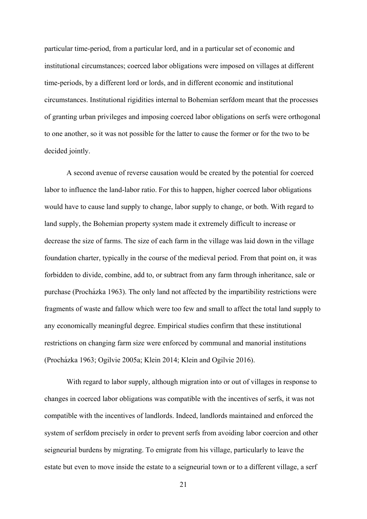particular time-period, from a particular lord, and in a particular set of economic and institutional circumstances; coerced labor obligations were imposed on villages at different time-periods, by a different lord or lords, and in different economic and institutional circumstances. Institutional rigidities internal to Bohemian serfdom meant that the processes of granting urban privileges and imposing coerced labor obligations on serfs were orthogonal to one another, so it was not possible for the latter to cause the former or for the two to be decided jointly.

A second avenue of reverse causation would be created by the potential for coerced labor to influence the land-labor ratio. For this to happen, higher coerced labor obligations would have to cause land supply to change, labor supply to change, or both. With regard to land supply, the Bohemian property system made it extremely difficult to increase or decrease the size of farms. The size of each farm in the village was laid down in the village foundation charter, typically in the course of the medieval period. From that point on, it was forbidden to divide, combine, add to, or subtract from any farm through inheritance, sale or purchase (Prochá zka 1963). The only land not affected by the impartibility restrictions were fragments of waste and fallow which were too few and small to affect the total land supply to any economically meaningful degree. Empirical studies confirm that these institutional restrictions on changing farm size were enforced by communal and manorial institutions (Prochá zka 1963; Ogilvie 2005a; Klein 2014; Klein and Ogilvie 2016).

With regard to labor supply, although migration into or out of villages in response to changes in coerced labor obligations was compatible with the incentives of serfs, it was not compatible with the incentives of landlords. Indeed, landlords maintained and enforced the system of serfdom precisely in order to prevent serfs from avoiding labor coercion and other seigneurial burdens by migrating. To emigrate from his village, particularly to leave the estate but even to move inside the estate to a seigneurial town or to a different village, a serf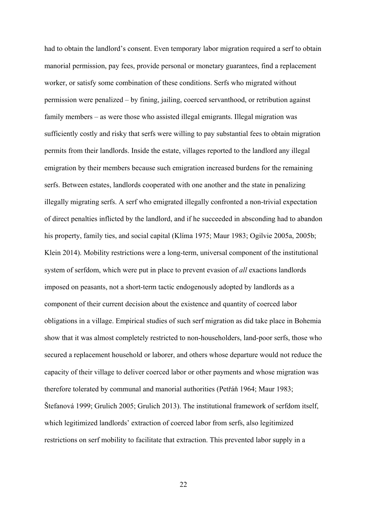had to obtain the landlord's consent. Even temporary labor migration required a serf to obtain manorial permission, pay fees, provide personal or monetary guarantees, find a replacement worker, or satisfy some combination of these conditions. Serfs who migrated without permission were penalized – by fining, jailing, coerced servanthood, or retribution against family members – as were those who assisted illegal emigrants. Illegal migration was sufficiently costly and risky that serfs were willing to pay substantial fees to obtain migration permits from their landlords. Inside the estate, villages reported to the landlord any illegal emigration by their members because such emigration increased burdens for the remaining serfs. Between estates, landlords cooperated with one another and the state in penalizing illegally migrating serfs. A serf who emigrated illegally confronted a non-trivial expectation of direct penalties inflicted by the landlord, and if he succeeded in absconding had to abandon his property, family ties, and social capital (Klíma 1975; Maur 1983; Ogilvie 2005a, 2005b; Klein 2014). Mobility restrictions were a long-term, universal component of the institutional system of serfdom, which were put in place to prevent evasion of *all* exactions landlords imposed on peasants, not a short-term tactic endogenously adopted by landlords as a component of their current decision about the existence and quantity of coerced labor obligations in a village. Empirical studies of such serf migration as did take place in Bohemia show that it was almost completely restricted to non-householders, land-poor serfs, those who secured a replacement household or laborer, and others whose departure would not reduce the capacity of their village to deliver coerced labor or other payments and whose migration was therefore tolerated by communal and manorial authorities (Petřáň 1964; Maur 1983; Štefanová 1999; Grulich 2005; Grulich 2013). The institutional framework of serfdom itself, which legitimized landlords' extraction of coerced labor from serfs, also legitimized restrictions on serf mobility to facilitate that extraction. This prevented labor supply in a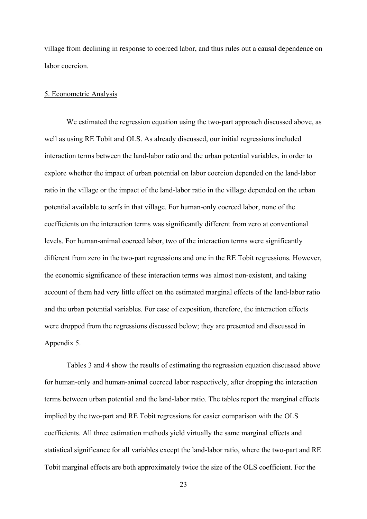village from declining in response to coerced labor, and thus rules out a causal dependence on labor coercion.

#### 5. Econometric Analysis

We estimated the regression equation using the two-part approach discussed above, as well as using RE Tobit and OLS. As already discussed, our initial regressions included interaction terms between the land-labor ratio and the urban potential variables, in order to explore whether the impact of urban potential on labor coercion depended on the land-labor ratio in the village or the impact of the land-labor ratio in the village depended on the urban potential available to serfs in that village. For human-only coerced labor, none of the coefficients on the interaction terms was significantly different from zero at conventional levels. For human-animal coerced labor, two of the interaction terms were significantly different from zero in the two-part regressions and one in the RE Tobit regressions. However, the economic significance of these interaction terms was almost non-existent, and taking account of them had very little effect on the estimated marginal effects of the land-labor ratio and the urban potential variables. For ease of exposition, therefore, the interaction effects were dropped from the regressions discussed below; they are presented and discussed in Appendix 5.

Tables 3 and 4 show the results of estimating the regression equation discussed above for human-only and human-animal coerced labor respectively, after dropping the interaction terms between urban potential and the land-labor ratio. The tables report the marginal effects implied by the two-part and RE Tobit regressions for easier comparison with the OLS coefficients. All three estimation methods yield virtually the same marginal effects and statistical significance for all variables except the land-labor ratio, where the two-part and RE Tobit marginal effects are both approximately twice the size of the OLS coefficient. For the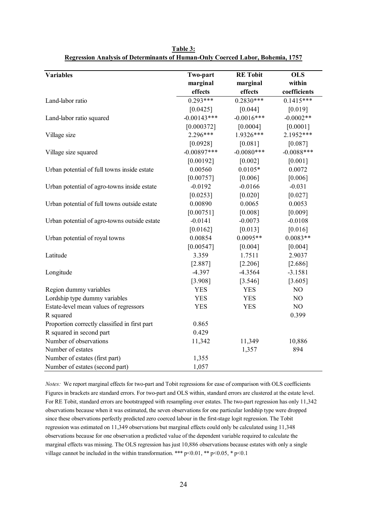| <b>Variables</b>                              | Two-part      | <b>RE</b> Tobit | <b>OLS</b>   |
|-----------------------------------------------|---------------|-----------------|--------------|
|                                               | marginal      | marginal        | within       |
|                                               | effects       | effects         | coefficients |
| Land-labor ratio                              | $0.293***$    | $0.2830***$     | $0.1415***$  |
|                                               | [0.0425]      | [0.044]         | [0.019]      |
| Land-labor ratio squared                      | $-0.00143***$ | $-0.0016***$    | $-0.0002**$  |
|                                               | [0.000372]    | [0.0004]        | [0.0001]     |
| Village size                                  | $2.296***$    | 1.9326***       | 2.1952***    |
|                                               | [0.0928]      | [0.081]         | [0.087]      |
| Village size squared                          | $-0.00897***$ | $-0.0080***$    | $-0.0088***$ |
|                                               | [0.00192]     | [0.002]         | [0.001]      |
| Urban potential of full towns inside estate   | 0.00560       | $0.0105*$       | 0.0072       |
|                                               | [0.00757]     | [0.006]         | [0.006]      |
| Urban potential of agro-towns inside estate   | $-0.0192$     | $-0.0166$       | $-0.031$     |
|                                               | [0.0253]      | [0.020]         | [0.027]      |
| Urban potential of full towns outside estate  | 0.00890       | 0.0065          | 0.0053       |
|                                               | [0.00751]     | [0.008]         | [0.009]      |
| Urban potential of agro-towns outside estate  | $-0.0141$     | $-0.0073$       | $-0.0108$    |
|                                               | [0.0162]      | [0.013]         | [0.016]      |
| Urban potential of royal towns                | 0.00854       | $0.0095**$      | $0.0083**$   |
|                                               | [0.00547]     | [0.004]         | [0.004]      |
| Latitude                                      | 3.359         | 1.7511          | 2.9037       |
|                                               | $[2.887]$     | [2.206]         | [2.686]      |
| Longitude                                     | -4.397        | $-4.3564$       | $-3.1581$    |
|                                               | [3.908]       | [3.546]         | [3.605]      |
| Region dummy variables                        | <b>YES</b>    | <b>YES</b>      | NO           |
| Lordship type dummy variables                 | <b>YES</b>    | <b>YES</b>      | NO           |
| Estate-level mean values of regressors        | <b>YES</b>    | <b>YES</b>      | $\rm NO$     |
| R squared                                     |               |                 | 0.399        |
| Proportion correctly classified in first part | 0.865         |                 |              |
| R squared in second part                      | 0.429         |                 |              |
| Number of observations                        | 11,342        | 11,349          | 10,886       |
| Number of estates                             |               | 1,357           | 894          |
| Number of estates (first part)                | 1,355         |                 |              |
| Number of estates (second part)               | 1,057         |                 |              |

**Table 3: Regression Analysis of Determinants of Human-Only Coerced Labor, Bohemia, 1757**

*Notes:* We report marginal effects for two-part and Tobit regressions for ease of comparison with OLS coefficients Figures in brackets are standard errors. For two-part and OLS within, standard errors are clustered at the estate level. For RE Tobit, standard errors are bootstrapped with resampling over estates. The two-part regression has only 11,342 observations because when it was estimated, the seven observations for one particular lordship type were dropped since these observations perfectly predicted zero coerced labour in the first-stage logit regression. The Tobit regression was estimated on 11,349 observations but marginal effects could only be calculated using 11,348 observations because for one observation a predicted value of the dependent variable required to calculate the marginal effects was missing. The OLS regression has just 10,886 observations because estates with only a single village cannot be included in the within transformation. \*\*\*  $p<0.01$ , \*\*  $p<0.05$ , \*  $p<0.1$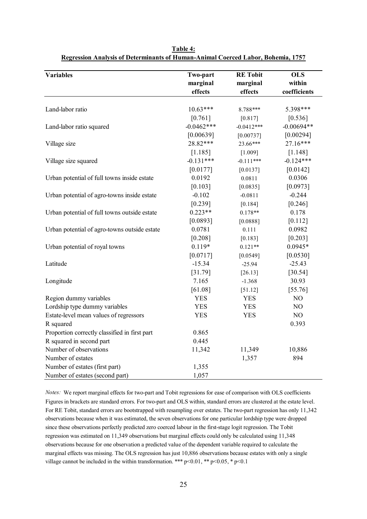| <b>Variables</b>                              | Two-part     | <b>RE</b> Tobit | <b>OLS</b>   |
|-----------------------------------------------|--------------|-----------------|--------------|
|                                               | marginal     | marginal        | within       |
|                                               | effects      | effects         | coefficients |
|                                               |              |                 |              |
| Land-labor ratio                              | $10.63***$   | 8.788***        | 5.398***     |
|                                               | [0.761]      | [0.817]         | [0.536]      |
| Land-labor ratio squared                      | $-0.0462***$ | $-0.0412***$    | $-0.00694**$ |
|                                               | [0.00639]    | [0.00737]       | [0.00294]    |
| Village size                                  | 28.82***     | 23.66***        | $27.16***$   |
|                                               | [1.185]      | [1.009]         | [1.148]      |
| Village size squared                          | $-0.131***$  | $-0.111***$     | $-0.124***$  |
|                                               | [0.0177]     | [0.0137]        | [0.0142]     |
| Urban potential of full towns inside estate   | 0.0192       | 0.0811          | 0.0306       |
|                                               | [0.103]      | [0.0835]        | [0.0973]     |
| Urban potential of agro-towns inside estate   | $-0.102$     | $-0.0811$       | $-0.244$     |
|                                               | [0.239]      | [0.184]         | [0.246]      |
| Urban potential of full towns outside estate  | $0.223**$    | $0.178**$       | 0.178        |
|                                               | [0.0893]     | [0.0888]        | [0.112]      |
| Urban potential of agro-towns outside estate  | 0.0781       | 0.111           | 0.0982       |
|                                               | [0.208]      | [0.183]         | [0.203]      |
| Urban potential of royal towns                | $0.119*$     | $0.121**$       | $0.0945*$    |
|                                               | [0.0717]     | [0.0549]        | [0.0530]     |
| Latitude                                      | $-15.34$     | $-25.94$        | $-25.43$     |
|                                               | [31.79]      | [26.13]         | [30.54]      |
| Longitude                                     | 7.165        | $-1.368$        | 30.93        |
|                                               | [61.08]      | [51.12]         | [55.76]      |
| Region dummy variables                        | <b>YES</b>   | <b>YES</b>      | NO           |
| Lordship type dummy variables                 | <b>YES</b>   | <b>YES</b>      | NO           |
| Estate-level mean values of regressors        | <b>YES</b>   | <b>YES</b>      | NO           |
| R squared                                     |              |                 | 0.393        |
| Proportion correctly classified in first part | 0.865        |                 |              |
| R squared in second part                      | 0.445        |                 |              |
| Number of observations                        | 11,342       | 11,349          | 10,886       |
| Number of estates                             |              | 1,357           | 894          |
| Number of estates (first part)                | 1,355        |                 |              |
| Number of estates (second part)               | 1,057        |                 |              |

**Table 4: Regression Analysis of Determinants of Human-Animal Coerced Labor, Bohemia, 1757**

*Notes:* We report marginal effects for two-part and Tobit regressions for ease of comparison with OLS coefficients Figures in brackets are standard errors. For two-part and OLS within, standard errors are clustered at the estate level. For RE Tobit, standard errors are bootstrapped with resampling over estates. The two-part regression has only 11,342 observations because when it was estimated, the seven observations for one particular lordship type were dropped since these observations perfectly predicted zero coerced labour in the first-stage logit regression. The Tobit regression was estimated on 11,349 observations but marginal effects could only be calculated using 11,348 observations because for one observation a predicted value of the dependent variable required to calculate the marginal effects was missing. The OLS regression has just 10,886 observations because estates with only a single village cannot be included in the within transformation. \*\*\*  $p<0.01$ , \*\*  $p<0.05$ , \*  $p<0.1$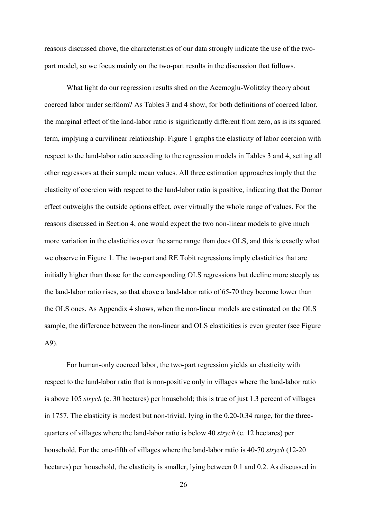reasons discussed above, the characteristics of our data strongly indicate the use of the twopart model, so we focus mainly on the two-part results in the discussion that follows.

What light do our regression results shed on the Acemoglu-Wolitzky theory about coerced labor under serfdom? As Tables 3 and 4 show, for both definitions of coerced labor, the marginal effect of the land-labor ratio is significantly different from zero, as is its squared term, implying a curvilinear relationship. Figure 1 graphs the elasticity of labor coercion with respect to the land-labor ratio according to the regression models in Tables 3 and 4, setting all other regressors at their sample mean values. All three estimation approaches imply that the elasticity of coercion with respect to the land-labor ratio is positive, indicating that the Domar effect outweighs the outside options effect, over virtually the whole range of values. For the reasons discussed in Section 4, one would expect the two non-linear models to give much more variation in the elasticities over the same range than does OLS, and this is exactly what we observe in Figure 1. The two-part and RE Tobit regressions imply elasticities that are initially higher than those for the corresponding OLS regressions but decline more steeply as the land-labor ratio rises, so that above a land-labor ratio of 65-70 they become lower than the OLS ones. As Appendix 4 shows, when the non-linear models are estimated on the OLS sample, the difference between the non-linear and OLS elasticities is even greater (see Figure A9).

For human-only coerced labor, the two-part regression yields an elasticity with respect to the land-labor ratio that is non-positive only in villages where the land-labor ratio is above 105 *strych* (c. 30 hectares) per household; this is true of just 1.3 percent of villages in 1757. The elasticity is modest but non-trivial, lying in the 0.20-0.34 range, for the threequarters of villages where the land-labor ratio is below 40 *strych* (c. 12 hectares) per household. For the one-fifth of villages where the land-labor ratio is 40-70 *strych* (12-20 hectares) per household, the elasticity is smaller, lying between 0.1 and 0.2. As discussed in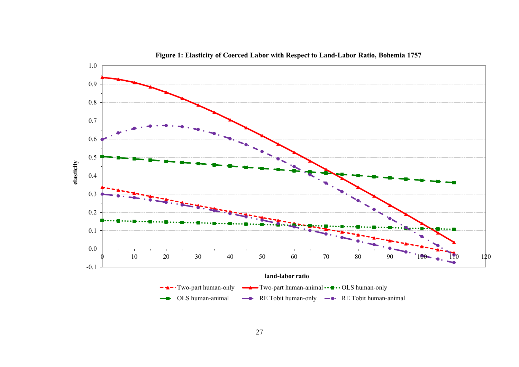

**Figure 1: Elasticity of Coerced Labor with Respect to Land-Labor Ratio, Bohemia 1757**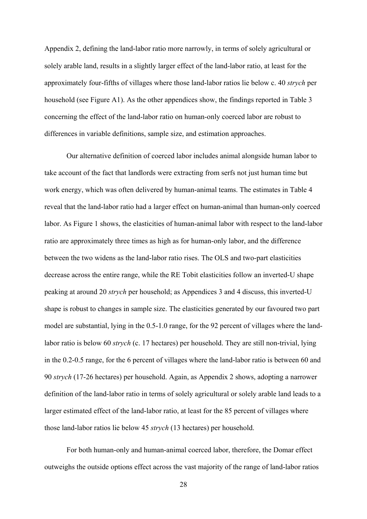Appendix 2, defining the land-labor ratio more narrowly, in terms of solely agricultural or solely arable land, results in a slightly larger effect of the land-labor ratio, at least for the approximately four-fifths of villages where those land-labor ratios lie below c. 40 *strych* per household (see Figure A1). As the other appendices show, the findings reported in Table 3 concerning the effect of the land-labor ratio on human-only coerced labor are robust to differences in variable definitions, sample size, and estimation approaches.

Our alternative definition of coerced labor includes animal alongside human labor to take account of the fact that landlords were extracting from serfs not just human time but work energy, which was often delivered by human-animal teams. The estimates in Table 4 reveal that the land-labor ratio had a larger effect on human-animal than human-only coerced labor. As Figure 1 shows, the elasticities of human-animal labor with respect to the land-labor ratio are approximately three times as high as for human-only labor, and the difference between the two widens as the land-labor ratio rises. The OLS and two-part elasticities decrease across the entire range, while the RE Tobit elasticities follow an inverted-U shape peaking at around 20 *strych* per household; as Appendices 3 and 4 discuss, this inverted-U shape is robust to changes in sample size. The elasticities generated by our favoured two part model are substantial, lying in the 0.5-1.0 range, for the 92 percent of villages where the landlabor ratio is below 60 *strych* (c. 17 hectares) per household. They are still non-trivial, lying in the 0.2-0.5 range, for the 6 percent of villages where the land-labor ratio is between 60 and 90 *strych* (17-26 hectares) per household. Again, as Appendix 2 shows, adopting a narrower definition of the land-labor ratio in terms of solely agricultural or solely arable land leads to a larger estimated effect of the land-labor ratio, at least for the 85 percent of villages where those land-labor ratios lie below 45 *strych* (13 hectares) per household.

For both human-only and human-animal coerced labor, therefore, the Domar effect outweighs the outside options effect across the vast majority of the range of land-labor ratios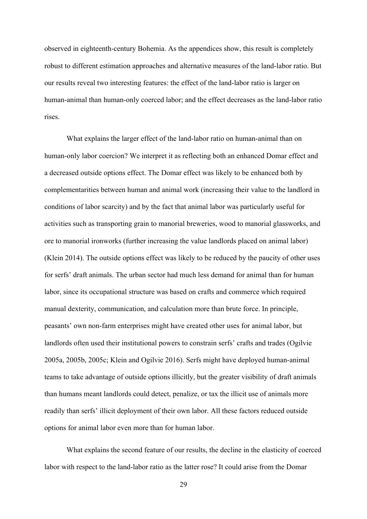observed in eighteenth-century Bohemia. As the appendices show, this result is completely robust to different estimation approaches and alternative measures of the land-labor ratio. But our results reveal two interesting features: the effect of the land-labor ratio is larger on human-animal than human-only coerced labor; and the effect decreases as the land-labor ratio rises.

What explains the larger effect of the land-labor ratio on human-animal than on human-only labor coercion? We interpret it as reflecting both an enhanced Domar effect and a decreased outside options effect. The Domar effect was likely to be enhanced both by complementarities between human and animal work (increasing their value to the landlord in conditions of labor scarcity) and by the fact that animal labor was particularly useful for activities such as transporting grain to manorial breweries, wood to manorial glassworks, and ore to manorial ironworks (further increasing the value landlords placed on animal labor) (Klein 2014). The outside options effect was likely to be reduced by the paucity of other uses for serfs' draft animals. The urban sector had much less demand for animal than for human labor, since its occupational structure was based on crafts and commerce which required manual dexterity, communication, and calculation more than brute force. In principle, peasants' own non-farm enterprises might have created other uses for animal labor, but landlords often used their institutional powers to constrain serfs' crafts and trades (Ogilvie 2005a, 2005b, 2005c; Klein and Ogilvie 2016). Serfs might have deployed human-animal teams to take advantage of outside options illicitly, but the greater visibility of draft animals than humans meant landlords could detect, penalize, or tax the illicit use of animals more readily than serfs' illicit deployment of their own labor. All these factors reduced outside options for animal labor even more than for human labor.

What explains the second feature of our results, the decline in the elasticity of coerced labor with respect to the land-labor ratio as the latter rose? It could arise from the Domar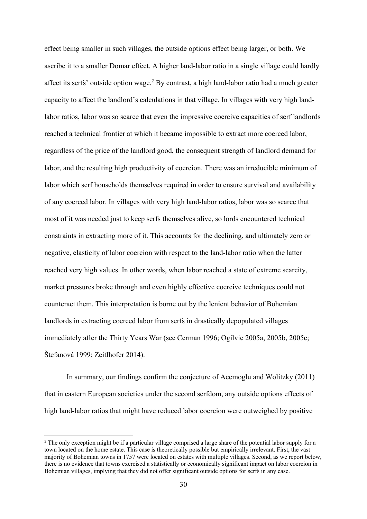effect being smaller in such villages, the outside options effect being larger, or both. We ascribe it to a smaller Domar effect. A higher land-labor ratio in a single village could hardly affect its serfs' outside option wage.<sup>2</sup> By contrast, a high land-labor ratio had a much greater capacity to affect the landlord's calculations in that village. In villages with very high landlabor ratios, labor was so scarce that even the impressive coercive capacities of serf landlords reached a technical frontier at which it became impossible to extract more coerced labor, regardless of the price of the landlord good, the consequent strength of landlord demand for labor, and the resulting high productivity of coercion. There was an irreducible minimum of labor which serf households themselves required in order to ensure survival and availability of any coerced labor. In villages with very high land-labor ratios, labor was so scarce that most of it was needed just to keep serfs themselves alive, so lords encountered technical constraints in extracting more of it. This accounts for the declining, and ultimately zero or negative, elasticity of labor coercion with respect to the land-labor ratio when the latter reached very high values. In other words, when labor reached a state of extreme scarcity, market pressures broke through and even highly effective coercive techniques could not counteract them. This interpretation is borne out by the lenient behavior of Bohemian landlords in extracting coerced labor from serfs in drastically depopulated villages immediately after the Thirty Years War (see Cerman 1996; Ogilvie 2005a, 2005b, 2005c; Štefanová 1999; Zeitlhofer 2014).

In summary, our findings confirm the conjecture of Acemoglu and Wolitzky (2011) that in eastern European societies under the second serfdom, any outside options effects of high land-labor ratios that might have reduced labor coercion were outweighed by positive

<sup>&</sup>lt;sup>2</sup> The only exception might be if a particular village comprised a large share of the potential labor supply for a town located on the home estate. This case is theoretically possible but empirically irrelevant. First, the vast majority of Bohemian towns in 1757 were located on estates with multiple villages. Second, as we report below, there is no evidence that towns exercised a statistically or economically significant impact on labor coercion in Bohemian villages, implying that they did not offer significant outside options for serfs in any case.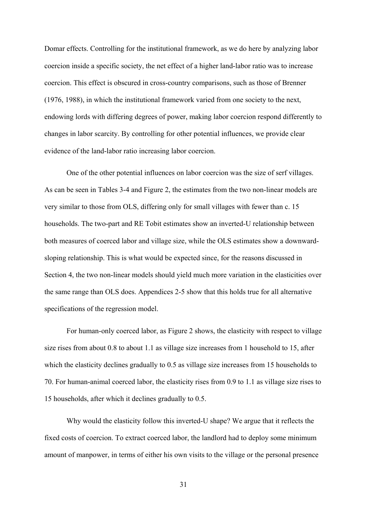Domar effects. Controlling for the institutional framework, as we do here by analyzing labor coercion inside a specific society, the net effect of a higher land-labor ratio was to increase coercion. This effect is obscured in cross-country comparisons, such as those of Brenner (1976, 1988), in which the institutional framework varied from one society to the next, endowing lords with differing degrees of power, making labor coercion respond differently to changes in labor scarcity. By controlling for other potential influences, we provide clear evidence of the land-labor ratio increasing labor coercion.

One of the other potential influences on labor coercion was the size of serf villages. As can be seen in Tables 3-4 and Figure 2, the estimates from the two non-linear models are very similar to those from OLS, differing only for small villages with fewer than c. 15 households. The two-part and RE Tobit estimates show an inverted-U relationship between both measures of coerced labor and village size, while the OLS estimates show a downwardsloping relationship. This is what would be expected since, for the reasons discussed in Section 4, the two non-linear models should yield much more variation in the elasticities over the same range than OLS does. Appendices 2-5 show that this holds true for all alternative specifications of the regression model.

For human-only coerced labor, as Figure 2 shows, the elasticity with respect to village size rises from about 0.8 to about 1.1 as village size increases from 1 household to 15, after which the elasticity declines gradually to 0.5 as village size increases from 15 households to 70. For human-animal coerced labor, the elasticity rises from 0.9 to 1.1 as village size rises to 15 households, after which it declines gradually to 0.5.

Why would the elasticity follow this inverted-U shape? We argue that it reflects the fixed costs of coercion. To extract coerced labor, the landlord had to deploy some minimum amount of manpower, in terms of either his own visits to the village or the personal presence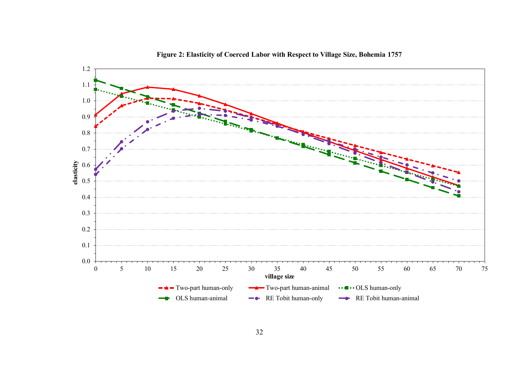

**Figure 2: Elasticity of Coerced Labor with Respect to Village Size, Bohemia 1757**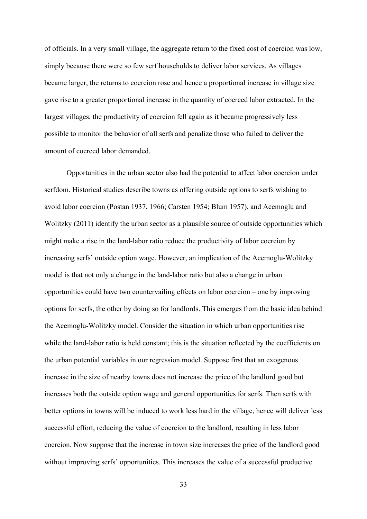of officials. In a very small village, the aggregate return to the fixed cost of coercion was low, simply because there were so few serf households to deliver labor services. As villages became larger, the returns to coercion rose and hence a proportional increase in village size gave rise to a greater proportional increase in the quantity of coerced labor extracted. In the largest villages, the productivity of coercion fell again as it became progressively less possible to monitor the behavior of all serfs and penalize those who failed to deliver the amount of coerced labor demanded.

Opportunities in the urban sector also had the potential to affect labor coercion under serfdom. Historical studies describe towns as offering outside options to serfs wishing to avoid labor coercion (Postan 1937, 1966; Carsten 1954; Blum 1957), and Acemoglu and Wolitzky (2011) identify the urban sector as a plausible source of outside opportunities which might make a rise in the land-labor ratio reduce the productivity of labor coercion by increasing serfs' outside option wage. However, an implication of the Acemoglu-Wolitzky model is that not only a change in the land-labor ratio but also a change in urban opportunities could have two countervailing effects on labor coercion – one by improving options for serfs, the other by doing so for landlords. This emerges from the basic idea behind the Acemoglu-Wolitzky model. Consider the situation in which urban opportunities rise while the land-labor ratio is held constant; this is the situation reflected by the coefficients on the urban potential variables in our regression model. Suppose first that an exogenous increase in the size of nearby towns does not increase the price of the landlord good but increases both the outside option wage and general opportunities for serfs. Then serfs with better options in towns will be induced to work less hard in the village, hence will deliver less successful effort, reducing the value of coercion to the landlord, resulting in less labor coercion. Now suppose that the increase in town size increases the price of the landlord good without improving serfs' opportunities. This increases the value of a successful productive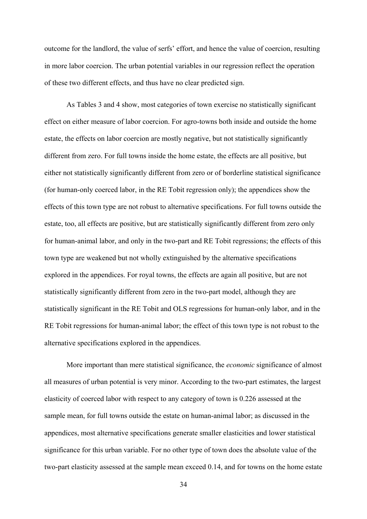outcome for the landlord, the value of serfs' effort, and hence the value of coercion, resulting in more labor coercion. The urban potential variables in our regression reflect the operation of these two different effects, and thus have no clear predicted sign.

As Tables 3 and 4 show, most categories of town exercise no statistically significant effect on either measure of labor coercion. For agro-towns both inside and outside the home estate, the effects on labor coercion are mostly negative, but not statistically significantly different from zero. For full towns inside the home estate, the effects are all positive, but either not statistically significantly different from zero or of borderline statistical significance (for human-only coerced labor, in the RE Tobit regression only); the appendices show the effects of this town type are not robust to alternative specifications. For full towns outside the estate, too, all effects are positive, but are statistically significantly different from zero only for human-animal labor, and only in the two-part and RE Tobit regressions; the effects of this town type are weakened but not wholly extinguished by the alternative specifications explored in the appendices. For royal towns, the effects are again all positive, but are not statistically significantly different from zero in the two-part model, although they are statistically significant in the RE Tobit and OLS regressions for human-only labor, and in the RE Tobit regressions for human-animal labor; the effect of this town type is not robust to the alternative specifications explored in the appendices.

More important than mere statistical significance, the *economic* significance of almost all measures of urban potential is very minor. According to the two-part estimates, the largest elasticity of coerced labor with respect to any category of town is 0.226 assessed at the sample mean, for full towns outside the estate on human-animal labor; as discussed in the appendices, most alternative specifications generate smaller elasticities and lower statistical significance for this urban variable. For no other type of town does the absolute value of the two-part elasticity assessed at the sample mean exceed 0.14, and for towns on the home estate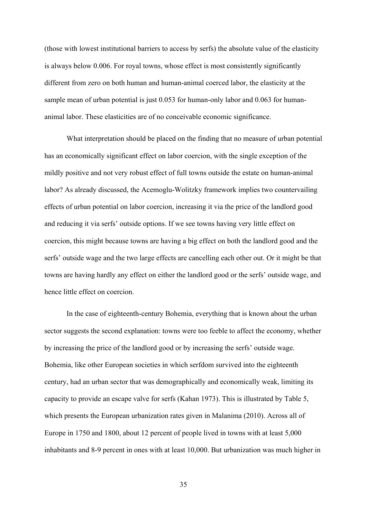(those with lowest institutional barriers to access by serfs) the absolute value of the elasticity is always below 0.006. For royal towns, whose effect is most consistently significantly different from zero on both human and human-animal coerced labor, the elasticity at the sample mean of urban potential is just 0.053 for human-only labor and 0.063 for humananimal labor. These elasticities are of no conceivable economic significance.

What interpretation should be placed on the finding that no measure of urban potential has an economically significant effect on labor coercion, with the single exception of the mildly positive and not very robust effect of full towns outside the estate on human-animal labor? As already discussed, the Acemoglu-Wolitzky framework implies two countervailing effects of urban potential on labor coercion, increasing it via the price of the landlord good and reducing it via serfs' outside options. If we see towns having very little effect on coercion, this might because towns are having a big effect on both the landlord good and the serfs' outside wage and the two large effects are cancelling each other out. Or it might be that towns are having hardly any effect on either the landlord good or the serfs' outside wage, and hence little effect on coercion.

In the case of eighteenth-century Bohemia, everything that is known about the urban sector suggests the second explanation: towns were too feeble to affect the economy, whether by increasing the price of the landlord good or by increasing the serfs' outside wage. Bohemia, like other European societies in which serfdom survived into the eighteenth century, had an urban sector that was demographically and economically weak, limiting its capacity to provide an escape valve for serfs (Kahan 1973). This is illustrated by Table 5, which presents the European urbanization rates given in Malanima (2010). Across all of Europe in 1750 and 1800, about 12 percent of people lived in towns with at least 5,000 inhabitants and 8-9 percent in ones with at least 10,000. But urbanization was much higher in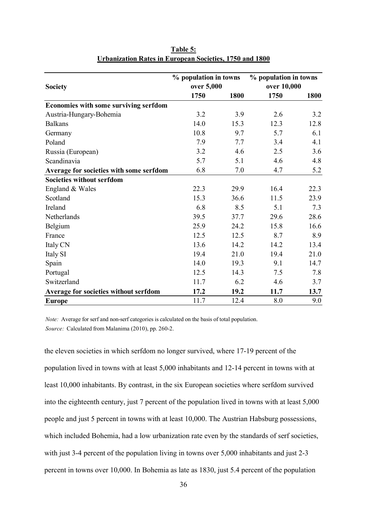|                                         | % population in towns      |      | % population in towns       |      |  |
|-----------------------------------------|----------------------------|------|-----------------------------|------|--|
| <b>Society</b>                          | over 5,000<br>1750<br>1800 |      | over 10,000<br>1750<br>1800 |      |  |
| Economies with some surviving serfdom   |                            |      |                             |      |  |
| Austria-Hungary-Bohemia                 | 3.2                        | 3.9  | 2.6                         | 3.2  |  |
| <b>Balkans</b>                          | 14.0                       | 15.3 | 12.3                        | 12.8 |  |
| Germany                                 | 10.8                       | 9.7  | 5.7                         | 6.1  |  |
| Poland                                  | 7.9                        | 7.7  | 3.4                         | 4.1  |  |
| Russia (European)                       | 3.2                        | 4.6  | 2.5                         | 3.6  |  |
| Scandinavia                             | 5.7                        | 5.1  | 4.6                         | 4.8  |  |
| Average for societies with some serfdom | 6.8                        | 7.0  | 4.7                         | 5.2  |  |
| <b>Societies without serfdom</b>        |                            |      |                             |      |  |
| England & Wales                         | 22.3                       | 29.9 | 16.4                        | 22.3 |  |
| Scotland                                | 15.3                       | 36.6 | 11.5                        | 23.9 |  |
| Ireland                                 | 6.8                        | 8.5  | 5.1                         | 7.3  |  |
| Netherlands                             | 39.5                       | 37.7 | 29.6                        | 28.6 |  |
| Belgium                                 | 25.9                       | 24.2 | 15.8                        | 16.6 |  |
| France                                  | 12.5                       | 12.5 | 8.7                         | 8.9  |  |
| Italy CN                                | 13.6                       | 14.2 | 14.2                        | 13.4 |  |
| Italy SI                                | 19.4                       | 21.0 | 19.4                        | 21.0 |  |
| Spain                                   | 14.0                       | 19.3 | 9.1                         | 14.7 |  |
| Portugal                                | 12.5                       | 14.3 | 7.5                         | 7.8  |  |
| Switzerland                             | 11.7                       | 6.2  | 4.6                         | 3.7  |  |
| Average for societies without serfdom   | 17.2                       | 19.2 | 11.7                        | 13.7 |  |
| <b>Europe</b>                           | 11.7                       | 12.4 | 8.0                         | 9.0  |  |

**Table 5: Urbanization Rates in European Societies, 1750 and 1800**

*Note:* Average for serf and non-serf categories is calculated on the basis of total population. *Source:* Calculated from Malanima (2010), pp. 260-2.

the eleven societies in which serfdom no longer survived, where 17-19 percent of the population lived in towns with at least 5,000 inhabitants and 12-14 percent in towns with at least 10,000 inhabitants. By contrast, in the six European societies where serfdom survived into the eighteenth century, just 7 percent of the population lived in towns with at least 5,000 people and just 5 percent in towns with at least 10,000. The Austrian Habsburg possessions, which included Bohemia, had a low urbanization rate even by the standards of serf societies, with just 3-4 percent of the population living in towns over 5,000 inhabitants and just 2-3 percent in towns over 10,000. In Bohemia as late as 1830, just 5.4 percent of the population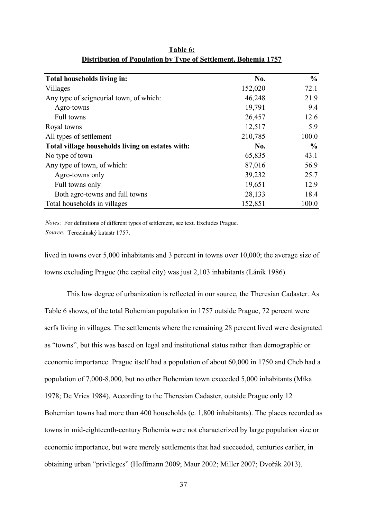| Total households living in:                      | No.     | $\frac{0}{0}$ |
|--------------------------------------------------|---------|---------------|
| Villages                                         | 152,020 | 72.1          |
| Any type of seigneurial town, of which:          | 46,248  | 21.9          |
| Agro-towns                                       | 19,791  | 9.4           |
| Full towns                                       | 26,457  | 12.6          |
| Royal towns                                      | 12,517  | 5.9           |
| All types of settlement                          | 210,785 | 100.0         |
| Total village households living on estates with: | No.     | $\%$          |
| No type of town                                  | 65,835  | 43.1          |
| Any type of town, of which:                      | 87,016  | 56.9          |
| Agro-towns only                                  | 39,232  | 25.7          |
| Full towns only                                  | 19,651  | 12.9          |
| Both agro-towns and full towns                   | 28,133  | 18.4          |
| Total households in villages                     | 152,851 | 100.0         |

**Table 6: Distribution of Population by Type of Settlement, Bohemia 1757**

*Notes:* For definitions of different types of settlement, see text. Excludes Prague. *Source:* Tereziánský katastr 1757.

lived in towns over 5,000 inhabitants and 3 percent in towns over 10,000; the average size of towns excluding Prague (the capital city) was just 2,103 inhabitants (Láník 1986).

This low degree of urbanization is reflected in our source, the Theresian Cadaster. As Table 6 shows, of the total Bohemian population in 1757 outside Prague, 72 percent were serfs living in villages. The settlements where the remaining 28 percent lived were designated as "towns", but this was based on legal and institutional status rather than demographic or economic importance. Prague itself had a population of about 60,000 in 1750 and Cheb had a population of 7,000-8,000, but no other Bohemian town exceeded 5,000 inhabitants (Míka 1978; De Vries 1984). According to the Theresian Cadaster, outside Prague only 12 Bohemian towns had more than 400 households (c. 1,800 inhabitants). The places recorded as towns in mid-eighteenth-century Bohemia were not characterized by large population size or economic importance, but were merely settlements that had succeeded, centuries earlier, in obtaining urban "privileges" (Hoffmann 2009; Maur 2002; Miller 2007; Dvořák 2013).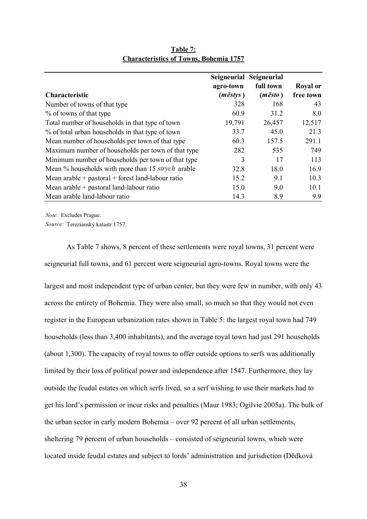| <b>Characteristic</b>                                 | agro-town<br>$(m\check{est}ys)$ | Seigneurial Seigneurial<br>full town<br>$(m\check{e}sto)$ | <b>Royal or</b><br>free town |
|-------------------------------------------------------|---------------------------------|-----------------------------------------------------------|------------------------------|
| Number of towns of that type                          | 328                             | 168                                                       | 43                           |
| % of towns of that type                               | 60.9                            | 31.2                                                      | 8.0                          |
| Total number of households in that type of town       | 19,791                          | 26,457                                                    | 12,517                       |
| % of total urban households in that type of town      | 33.7                            | 45.0                                                      | 21.3                         |
| Mean number of households per town of that type       | 60.3                            | 157.5                                                     | 291.1                        |
| Maximum number of households per town of that type    | 282                             | 535                                                       | 749                          |
| Minimum number of households per town of that type    | 3                               | 17                                                        | 113                          |
| Mean % households with more than 15 strych arable     | 32.8                            | 18.0                                                      | 16.9                         |
| Mean arable $+$ pastoral $+$ forest land-labour ratio | 15.2                            | 9.1                                                       | 10.3                         |
| Mean arable $+$ pastoral land-labour ratio            | 15.0                            | 9.0                                                       | 10.1                         |
| Mean arable land-labour ratio                         | 14.3                            | 8.9                                                       | 9.9                          |

**Table 7: Characteristics of Towns, Bohemia 1757**

*Note:* Excludes Prague. *Source:* Tereziánský katastr 1757.

As Table 7 shows, 8 percent of these settlements were royal towns, 31 percent were seigneurial full towns, and 61 percent were seigneurial agro-towns. Royal towns were the

largest and most independent type of urban center, but they were few in number, with only 43 across the entirety of Bohemia. They were also small, so much so that they would not even register in the European urbanization rates shown in Table 5: the largest royal town had 749 households (less than 3,400 inhabitants), and the average royal town had just 291 households (about 1,300). The capacity of royal towns to offer outside options to serfs was additionally limited by their loss of political power and independence after 1547. Furthermore, they lay outside the feudal estates on which serfs lived, so a serf wishing to use their markets had to get his lord's permission or incur risks and penalties (Maur 1983; Ogilvie 2005a). The bulk of the urban sector in early modern Bohemia – over 92 percent of all urban settlements, sheltering 79 percent of urban households – consisted of seigneurial towns, which were located inside feudal estates and subject to lords' administration and jurisdiction (Dědková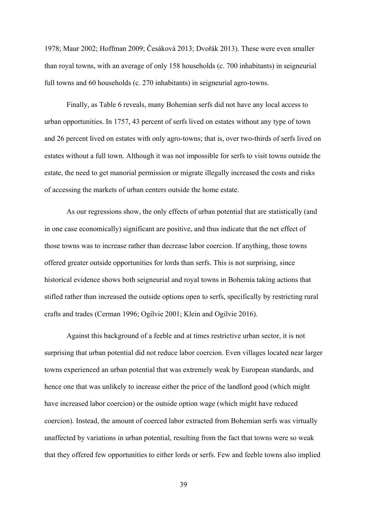1978; Maur 2002; Hoffman 2009; Česáková 2013; Dvořák 2013). These were even smaller than royal towns, with an average of only 158 households (c. 700 inhabitants) in seigneurial full towns and 60 households (c. 270 inhabitants) in seigneurial agro-towns.

Finally, as Table 6 reveals, many Bohemian serfs did not have any local access to urban opportunities. In 1757, 43 percent of serfs lived on estates without any type of town and 26 percent lived on estates with only agro-towns; that is, over two-thirds of serfs lived on estates without a full town. Although it was not impossible for serfs to visit towns outside the estate, the need to get manorial permission or migrate illegally increased the costs and risks of accessing the markets of urban centers outside the home estate.

As our regressions show, the only effects of urban potential that are statistically (and in one case economically) significant are positive, and thus indicate that the net effect of those towns was to increase rather than decrease labor coercion. If anything, those towns offered greater outside opportunities for lords than serfs. This is not surprising, since historical evidence shows both seigneurial and royal towns in Bohemia taking actions that stifled rather than increased the outside options open to serfs, specifically by restricting rural crafts and trades (Cerman 1996; Ogilvie 2001; Klein and Ogilvie 2016).

Against this background of a feeble and at times restrictive urban sector, it is not surprising that urban potential did not reduce labor coercion. Even villages located near larger towns experienced an urban potential that was extremely weak by European standards, and hence one that was unlikely to increase either the price of the landlord good (which might have increased labor coercion) or the outside option wage (which might have reduced coercion). Instead, the amount of coerced labor extracted from Bohemian serfs was virtually unaffected by variations in urban potential, resulting from the fact that towns were so weak that they offered few opportunities to either lords or serfs. Few and feeble towns also implied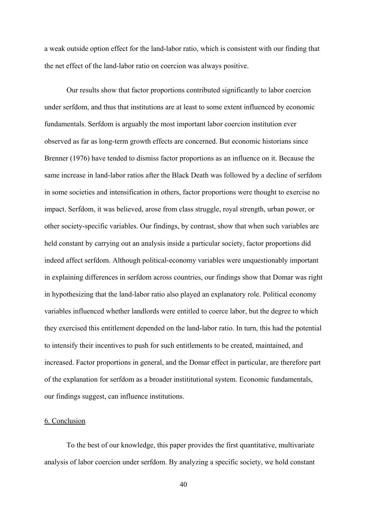a weak outside option effect for the land-labor ratio, which is consistent with our finding that the net effect of the land-labor ratio on coercion was always positive.

Our results show that factor proportions contributed significantly to labor coercion under serfdom, and thus that institutions are at least to some extent influenced by economic fundamentals. Serfdom is arguably the most important labor coercion institution ever observed as far as long-term growth effects are concerned. But economic historians since Brenner (1976) have tended to dismiss factor proportions as an influence on it. Because the same increase in land-labor ratios after the Black Death was followed by a decline of serfdom in some societies and intensification in others, factor proportions were thought to exercise no impact. Serfdom, it was believed, arose from class struggle, royal strength, urban power, or other society-specific variables. Our findings, by contrast, show that when such variables are held constant by carrying out an analysis inside a particular society, factor proportions did indeed affect serfdom. Although political-economy variables were unquestionably important in explaining differences in serfdom across countries, our findings show that Domar was right in hypothesizing that the land-labor ratio also played an explanatory role. Political economy variables influenced whether landlords were entitled to coerce labor, but the degree to which they exercised this entitlement depended on the land-labor ratio. In turn, this had the potential to intensify their incentives to push for such entitlements to be created, maintained, and increased. Factor proportions in general, and the Domar effect in particular, are therefore part of the explanation for serfdom as a broader instititutional system. Economic fundamentals, our findings suggest, can influence institutions.

### 6. Conclusion

To the best of our knowledge, this paper provides the first quantitative, multivariate analysis of labor coercion under serfdom. By analyzing a specific society, we hold constant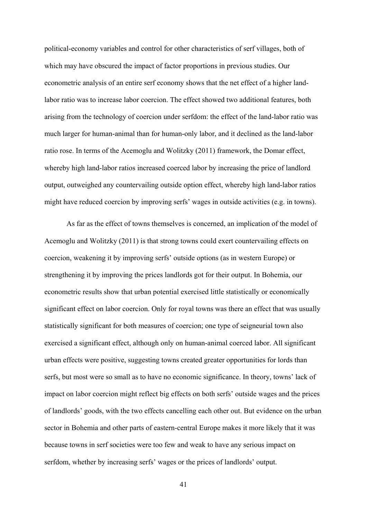political-economy variables and control for other characteristics of serf villages, both of which may have obscured the impact of factor proportions in previous studies. Our econometric analysis of an entire serf economy shows that the net effect of a higher landlabor ratio was to increase labor coercion. The effect showed two additional features, both arising from the technology of coercion under serfdom: the effect of the land-labor ratio was much larger for human-animal than for human-only labor, and it declined as the land-labor ratio rose. In terms of the Acemoglu and Wolitzky (2011) framework, the Domar effect, whereby high land-labor ratios increased coerced labor by increasing the price of landlord output, outweighed any countervailing outside option effect, whereby high land-labor ratios might have reduced coercion by improving serfs' wages in outside activities (e.g. in towns).

As far as the effect of towns themselves is concerned, an implication of the model of Acemoglu and Wolitzky (2011) is that strong towns could exert countervailing effects on coercion, weakening it by improving serfs' outside options (as in western Europe) or strengthening it by improving the prices landlords got for their output. In Bohemia, our econometric results show that urban potential exercised little statistically or economically significant effect on labor coercion. Only for royal towns was there an effect that was usually statistically significant for both measures of coercion; one type of seigneurial town also exercised a significant effect, although only on human-animal coerced labor. All significant urban effects were positive, suggesting towns created greater opportunities for lords than serfs, but most were so small as to have no economic significance. In theory, towns' lack of impact on labor coercion might reflect big effects on both serfs' outside wages and the prices of landlords' goods, with the two effects cancelling each other out. But evidence on the urban sector in Bohemia and other parts of eastern-central Europe makes it more likely that it was because towns in serf societies were too few and weak to have any serious impact on serfdom, whether by increasing serfs' wages or the prices of landlords' output.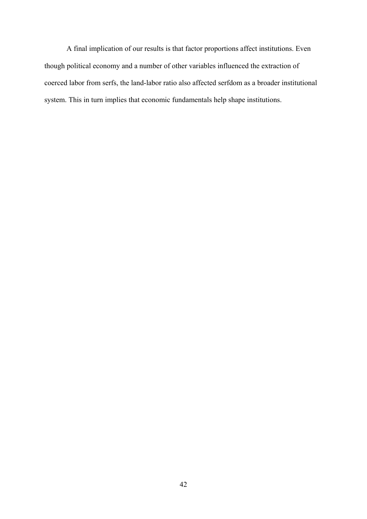A final implication of our results is that factor proportions affect institutions. Even though political economy and a number of other variables influenced the extraction of coerced labor from serfs, the land-labor ratio also affected serfdom as a broader institutional system. This in turn implies that economic fundamentals help shape institutions.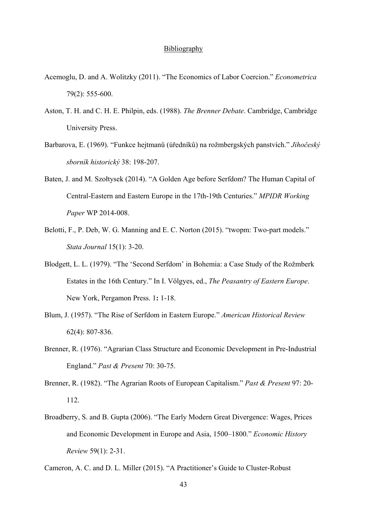### **Bibliography**

- Acemoglu, D. and A. Wolitzky (2011). "The Economics of Labor Coercion." *Econometrica* 79(2): 555-600.
- Aston, T. H. and C. H. E. Philpin, eds. (1988). *The Brenner Debate*. Cambridge, Cambridge University Press.
- Barbarova, E. (1969). "Funkce hejtmanů (úředníků) na rožmbergských panstvích." *Jihočeský sborník historický* 38: 198-207.
- Baten, J. and M. Szołtysek (2014). "A Golden Age before Serfdom? The Human Capital of Central-Eastern and Eastern Europe in the 17th-19th Centuries." *MPIDR Working Paper* WP 2014-008.
- Belotti, F., P. Deb, W. G. Manning and E. C. Norton (2015). "twopm: Two-part models." *Stata Journal* 15(1): 3-20.
- Blodgett, L. L. (1979). "The 'Second Serfdom' in Bohemia: a Case Study of the Rožmberk Estates in the 16th Century." In I. Völgyes, ed., *The Peasantry of Eastern Europe*. New York, Pergamon Press. 1**:** 1-18.
- Blum, J. (1957). "The Rise of Serfdom in Eastern Europe." *American Historical Review* 62(4): 807-836.
- Brenner, R. (1976). "Agrarian Class Structure and Economic Development in Pre-Industrial England." *Past & Present* 70: 30-75.
- Brenner, R. (1982). "The Agrarian Roots of European Capitalism." *Past & Present* 97: 20- 112.
- Broadberry, S. and B. Gupta (2006). "The Early Modern Great Divergence: Wages, Prices and Economic Development in Europe and Asia, 1500–1800." *Economic History Review* 59(1): 2-31.

Cameron, A. C. and D. L. Miller (2015). "A Practitioner's Guide to Cluster-Robust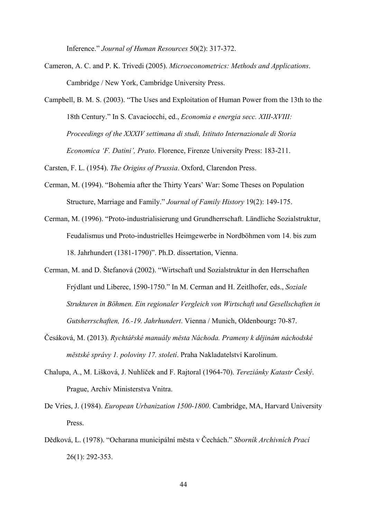Inference." *Journal of Human Resources* 50(2): 317-372.

- Cameron, A. C. and P. K. Trivedi (2005). *Microeconometrics: Methods and Applications*. Cambridge / New York, Cambridge University Press.
- Campbell, B. M. S. (2003). "The Uses and Exploitation of Human Power from the 13th to the 18th Century." In S. Cavaciocchi, ed., *Economia e energia secc. XIII-XVIII: Proceedings of the XXXIV settimana di studi, Istituto Internazionale di Storia Economica 'F. Datini', Prato*. Florence, Firenze University Press: 183-211.

Carsten, F. L. (1954). *The Origins of Prussia*. Oxford, Clarendon Press.

- Cerman, M. (1994). "Bohemia after the Thirty Years' War: Some Theses on Population Structure, Marriage and Family." *Journal of Family History* 19(2): 149-175.
- Cerman, M. (1996). "Proto-industrialisierung und Grundherrschaft. Ländliche Sozialstruktur, Feudalismus und Proto-industrielles Heimgewerbe in Nordböhmen vom 14. bis zum 18. Jahrhundert (1381-1790)". Ph.D. dissertation, Vienna.
- Cerman, M. and D. Štefanová (2002). "Wirtschaft und Sozialstruktur in den Herrschaften Frýdlant und Liberec, 1590-1750." In M. Cerman and H. Zeitlhofer, eds., *Soziale Strukturen in Böhmen. Ein regionaler Vergleich von Wirtschaft und Gesellschaften in Gutsherrschaften, 16.-19. Jahrhundert*. Vienna / Munich, Oldenbourg**:** 70-87.
- Česáková, M. (2013). *Rychtářské manuály města Náchoda. Prameny k dějinám náchodské městské správy 1. poloviny 17. století*. Praha Nakladatelství Karolinum.
- Chalupa, A., M. Lišková, J. Nuhlíček and F. Rajtoral (1964-70). *Tereziánky Katastr Český*. Prague, Archiv Ministerstva Vnitra.
- De Vries, J. (1984). *European Urbanization 1500-1800*. Cambridge, MA, Harvard University Press.
- Dědková, L. (1978). "Ocharana municipální města v Čechách." *Sborník Archivních Prací* 26(1): 292-353.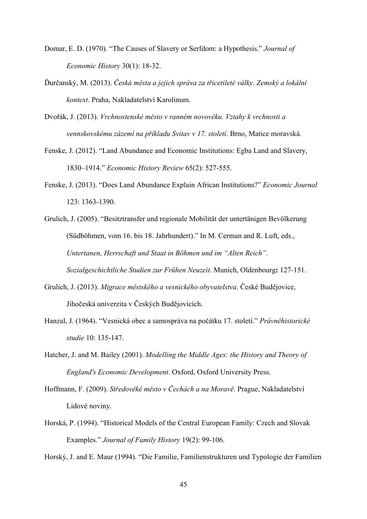- Domar, E. D. (1970). "The Causes of Slavery or Serfdom: a Hypothesis." *Journal of Economic History* 30(1): 18-32.
- Ďurčanský, M. (2013). *Česká města a jejich správa za třicetileté války. Zemský a lokální kontext*. Praha, Nakladatelství Karolinum.
- Dvořák, J. (2013). *Vrchnostenské město v ranném novověku. Vztahy k vrchnosti a vennskovskému zázemí na příkladu Svitav v 17. století*. Brno, Matice moravská.
- Fenske, J. (2012). "Land Abundance and Economic Institutions: Egba Land and Slavery, 1830–1914." *Economic History Review* 65(2): 527-555.
- Fenske, J. (2013). "Does Land Abundance Explain African Institutions?" *Economic Journal* 123: 1363-1390.
- Grulich, J. (2005). "Besitztransfer und regionale Mobilität der untertänigen Bevölkerung (Südböhmen, vom 16. bis 18. Jahrhundert)." In M. Cerman and R. Luft, eds., *Untertanen, Herrschaft und Staat in Böhmen und im "Alten Reich". Sozialgeschichtliche Studien zur Frühen Neuzeit*. Munich, Oldenbourg**:** 127-151.
- Grulich, J. (2013). *Migrace městského a vesnického obyvatelstva*. České Budějovice, Jihočeská univerzita v Českých Budějovicích.
- Hanzal, J. (1964). "Vesnická obec a samospráva na počátku 17. století." *Právněhistorické studie* 10: 135-147.
- Hatcher, J. and M. Bailey (2001). *Modelling the Middle Ages: the History and Theory of England's Economic Development*. Oxford, Oxford University Press.
- Hoffmann, F. (2009). *Středověké město v Čechách a na Moravě*. Prague, Nakladatelství Lidové noviny.
- Horská, P. (1994). "Historical Models of the Central European Family: Czech and Slovak Examples." *Journal of Family History* 19(2): 99-106.

Horský, J. and E. Maur (1994). "Die Familie, Familienstrukturen und Typologie der Familien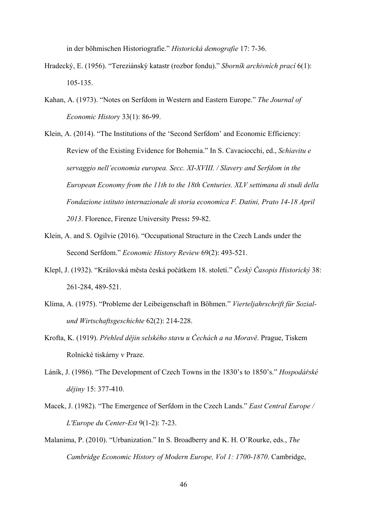in der böhmischen Historiografie." *Historická demografie* 17: 7-36.

- Hradecký, E. (1956). "Tereziánský katastr (rozbor fondu)." *Sborník archivních prací* 6(1): 105-135.
- Kahan, A. (1973). "Notes on Serfdom in Western and Eastern Europe." *The Journal of Economic History* 33(1): 86-99.
- Klein, A. (2014). "The Institutions of the 'Second Serfdom' and Economic Efficiency: Review of the Existing Evidence for Bohemia." In S. Cavaciocchi, ed., *Schiavitu e servaggio nell'economia europea. Secc. XI-XVIII. / Slavery and Serfdom in the European Economy from the 11th to the 18th Centuries. XLV settimana di studi della Fondazione istituto internazionale di storia economica F. Datini, Prato 14-18 April 2013*. Florence, Firenze University Press**:** 59-82.
- Klein, A. and S. Ogilvie (2016). "Occupational Structure in the Czech Lands under the Second Serfdom." *Economic History Review* 69(2): 493-521.
- Klepl, J. (1932). "Královská města česká počátkem 18. století." *Český Časopis Historický* 38: 261-284, 489-521.
- Klíma, A. (1975). "Probleme der Leibeigenschaft in Böhmen." *Vierteljahrschrift für Sozialund Wirtschaftsgeschichte* 62(2): 214-228.
- Krofta, K. (1919). *Přehled dějin selské ho stavu u Čechách a na Moravě*. Prague, Tiskem Rolnické tiská rny v Praze.
- Láník, J. (1986). "The Development of Czech Towns in the 1830's to 1850's." *Hospodářské dějiny* 15: 377-410.
- Macek, J. (1982). "The Emergence of Serfdom in the Czech Lands." *East Central Europe / L'Europe du Center-Est* 9(1-2): 7-23.
- Malanima, P. (2010). "Urbanization." In S. Broadberry and K. H. O'Rourke, eds., *The Cambridge Economic History of Modern Europe, Vol 1: 1700-1870*. Cambridge,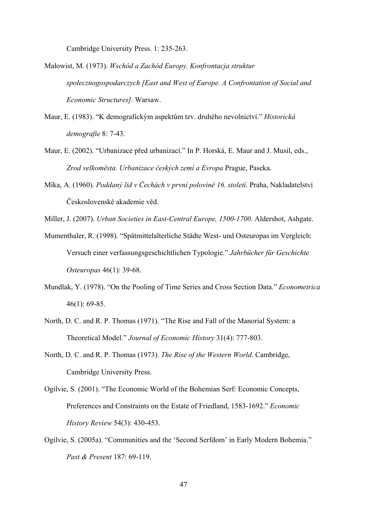Cambridge University Press. 1: 235-263.

- Małowist, M. (1973). *Wschód a Zachód Europy. Konfrontacja struktur społecznogospodarczych [East and West of Europe. A Confrontation of Social and Economic Structures]*. Warsaw.
- Maur, E. (1983). "K demografickým aspektům tzv. druhého nevolnictví." *Historická demografie* 8: 7-43.
- Maur, E. (2002). "Urbanizace před urbanizací." In P. Horská, E. Maur and J. Musil, eds., *Zrod velkoměsta. Urbanizace českých zemí a Evropa* Prague, Paseka.
- Míka, A. (1960). *Poddaný lid v Čechách v první polovině 16. století*. Praha, Nakladatelství Československé akademie věd.

Miller, J. (2007). *Urban Societies in East-Central Europe, 1500-1700*. Aldershot, Ashgate.

- Mumenthaler, R. (1998). "Spätmittelalterliche Städte West- und Osteuropas im Vergleich: Versuch einer verfassungsgeschichtlichen Typologie." *Jahrbücher für Geschichte Osteuropas* 46(1): 39-68.
- Mundlak, Y. (1978). "On the Pooling of Time Series and Cross Section Data." *Econometrica* 46(1): 69-85.
- North, D. C. and R. P. Thomas (1971). "The Rise and Fall of the Manorial System: a Theoretical Model." *Journal of Economic History* 31(4): 777-803.
- North, D. C. and R. P. Thomas (1973). *The Rise of the Western World*. Cambridge, Cambridge University Press.
- Ogilvie, S. (2001). "The Economic World of the Bohemian Serf: Economic Concepts, Preferences and Constraints on the Estate of Friedland, 1583-1692." *Economic History Review* 54(3): 430-453.
- Ogilvie, S. (2005a). "Communities and the 'Second Serfdom' in Early Modern Bohemia." *Past & Present* 187: 69-119.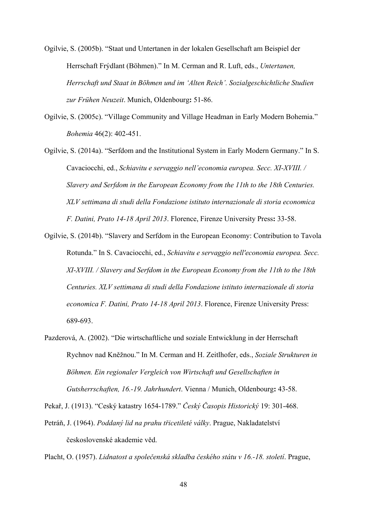Ogilvie, S. (2005b). "Staat und Untertanen in der lokalen Gesellschaft am Beispiel der Herrschaft Frýdlant (Böhmen)." In M. Cerman and R. Luft, eds., *Untertanen, Herrschaft und Staat in Böhmen und im 'Alten Reich'. Sozialgeschichtliche Studien zur Frühen Neuzeit*. Munich, Oldenbourg**:** 51-86.

Ogilvie, S. (2005c). "Village Community and Village Headman in Early Modern Bohemia." *Bohemia* 46(2): 402-451.

Ogilvie, S. (2014a). "Serfdom and the Institutional System in Early Modern Germany." In S. Cavaciocchi, ed., *Schiavitu e servaggio nell'economia europea. Secc. XI-XVIII. / Slavery and Serfdom in the European Economy from the 11th to the 18th Centuries. XLV settimana di studi della Fondazione istituto internazionale di storia economica F. Datini, Prato 14-18 April 2013*. Florence, Firenze University Press**:** 33-58.

Ogilvie, S. (2014b). "Slavery and Serfdom in the European Economy: Contribution to Tavola Rotunda." In S. Cavaciocchi, ed., *Schiavitu e servaggio nell'economia europea. Secc. XI-XVIII. / Slavery and Serfdom in the European Economy from the 11th to the 18th Centuries. XLV settimana di studi della Fondazione istituto internazionale di storia economica F. Datini, Prato 14-18 April 2013*. Florence, Firenze University Press: 689-693.

Pazderová, A. (2002). "Die wirtschaftliche und soziale Entwicklung in der Herrschaft Rychnov nad Kněžnou." In M. Cerman and H. Zeitlhofer, eds., *Soziale Strukturen in Böhmen. Ein regionaler Vergleich von Wirtschaft und Gesellschaften in Gutsherrschaften, 16.-19. Jahrhundert*. Vienna / Munich, Oldenbourg**:** 43-58.

Pekař, J. (1913). "Ceský katastry 1654-1789." *Český Časopis Historický* 19: 301-468.

Petráň, J. (1964). *Poddaný lid na prahu třicetileté války*. Prague, Nakladatelství československé akademie věd.

Placht, O. (1957). *Lidnatost a společenská skladba českého státu v 16.-18. století*. Prague,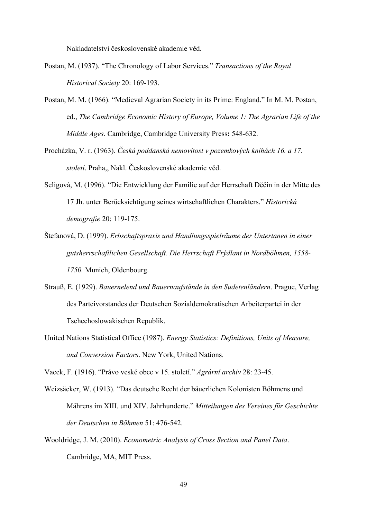Nakladatelství československé akademie věd.

- Postan, M. (1937). "The Chronology of Labor Services." *Transactions of the Royal Historical Society* 20: 169-193.
- Postan, M. M. (1966). "Medieval Agrarian Society in its Prime: England." In M. M. Postan, ed., *The Cambridge Economic History of Europe, Volume 1: The Agrarian Life of the Middle Ages*. Cambridge, Cambridge University Press**:** 548-632.
- Prochá zka, V. r. (1963). *Česká poddanská nemovitost v pozemkový ch knihách 16. a 17. stoletı́* . Praha,, Nakl. Československé akademie věd.
- Seligová, M. (1996). "Die Entwicklung der Familie auf der Herrschaft Děčín in der Mitte des 17 Jh. unter Berücksichtigung seines wirtschaftlichen Charakters." *Historická demografie* 20: 119-175.
- Štefanová, D. (1999). *Erbschaftspraxis und Handlungsspielräume der Untertanen in einer gutsherrschaftlichen Gesellschaft. Die Herrschaft Frýdlant in Nordböhmen, 1558- 1750.* Munich, Oldenbourg.
- Strauß, E. (1929). *Bauernelend und Bauernaufstände in den Sudetenländern*. Prague, Verlag des Parteivorstandes der Deutschen Sozialdemokratischen Arbeiterpartei in der Tschechoslowakischen Republik.
- United Nations Statistical Office (1987). *Energy Statistics: Definitions, Units of Measure, and Conversion Factors*. New York, United Nations.

Vacek, F. (1916). "Právo veské obce v 15. století." *Agrární archiv* 28: 23-45.

- Weizsäcker, W. (1913). "Das deutsche Recht der bäuerlichen Kolonisten Böhmens und Mährens im XIII. und XIV. Jahrhunderte." *Mitteilungen des Vereines für Geschichte der Deutschen in Böhmen* 51: 476-542.
- Wooldridge, J. M. (2010). *Econometric Analysis of Cross Section and Panel Data*. Cambridge, MA, MIT Press.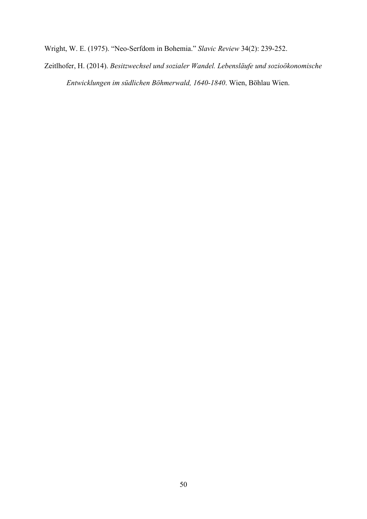Wright, W. E. (1975). "Neo-Serfdom in Bohemia." *Slavic Review* 34(2): 239-252.

Zeitlhofer, H. (2014). *Besitzwechsel und sozialer Wandel. Lebensläufe und sozioökonomische Entwicklungen im südlichen Böhmerwald, 1640-1840*. Wien, Böhlau Wien.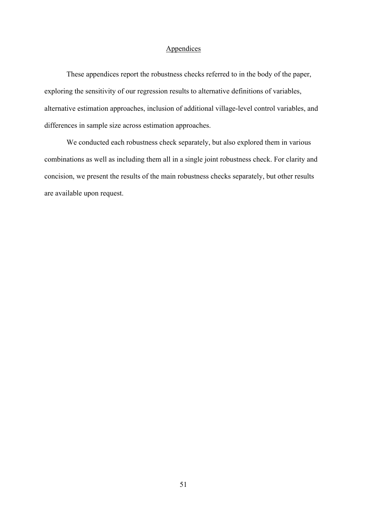# **Appendices**

These appendices report the robustness checks referred to in the body of the paper, exploring the sensitivity of our regression results to alternative definitions of variables, alternative estimation approaches, inclusion of additional village-level control variables, and differences in sample size across estimation approaches.

We conducted each robustness check separately, but also explored them in various combinations as well as including them all in a single joint robustness check. For clarity and concision, we present the results of the main robustness checks separately, but other results are available upon request.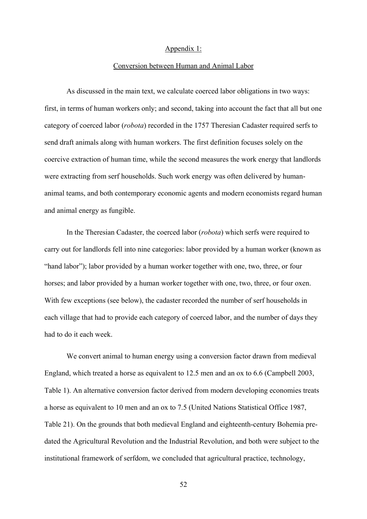#### Appendix 1:

#### Conversion between Human and Animal Labor

As discussed in the main text, we calculate coerced labor obligations in two ways: first, in terms of human workers only; and second, taking into account the fact that all but one category of coerced labor (*robota*) recorded in the 1757 Theresian Cadaster required serfs to send draft animals along with human workers. The first definition focuses solely on the coercive extraction of human time, while the second measures the work energy that landlords were extracting from serf households. Such work energy was often delivered by humananimal teams, and both contemporary economic agents and modern economists regard human and animal energy as fungible.

In the Theresian Cadaster, the coerced labor (*robota*) which serfs were required to carry out for landlords fell into nine categories: labor provided by a human worker (known as "hand labor"); labor provided by a human worker together with one, two, three, or four horses; and labor provided by a human worker together with one, two, three, or four oxen. With few exceptions (see below), the cadaster recorded the number of serf households in each village that had to provide each category of coerced labor, and the number of days they had to do it each week.

We convert animal to human energy using a conversion factor drawn from medieval England, which treated a horse as equivalent to 12.5 men and an ox to 6.6 (Campbell 2003, Table 1). An alternative conversion factor derived from modern developing economies treats a horse as equivalent to 10 men and an ox to 7.5 (United Nations Statistical Office 1987, Table 21). On the grounds that both medieval England and eighteenth-century Bohemia predated the Agricultural Revolution and the Industrial Revolution, and both were subject to the institutional framework of serfdom, we concluded that agricultural practice, technology,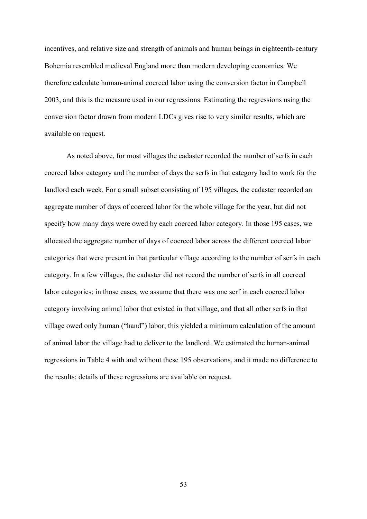incentives, and relative size and strength of animals and human beings in eighteenth-century Bohemia resembled medieval England more than modern developing economies. We therefore calculate human-animal coerced labor using the conversion factor in Campbell 2003, and this is the measure used in our regressions. Estimating the regressions using the conversion factor drawn from modern LDCs gives rise to very similar results, which are available on request.

As noted above, for most villages the cadaster recorded the number of serfs in each coerced labor category and the number of days the serfs in that category had to work for the landlord each week. For a small subset consisting of 195 villages, the cadaster recorded an aggregate number of days of coerced labor for the whole village for the year, but did not specify how many days were owed by each coerced labor category. In those 195 cases, we allocated the aggregate number of days of coerced labor across the different coerced labor categories that were present in that particular village according to the number of serfs in each category. In a few villages, the cadaster did not record the number of serfs in all coerced labor categories; in those cases, we assume that there was one serf in each coerced labor category involving animal labor that existed in that village, and that all other serfs in that village owed only human ("hand") labor; this yielded a minimum calculation of the amount of animal labor the village had to deliver to the landlord. We estimated the human-animal regressions in Table 4 with and without these 195 observations, and it made no difference to the results; details of these regressions are available on request.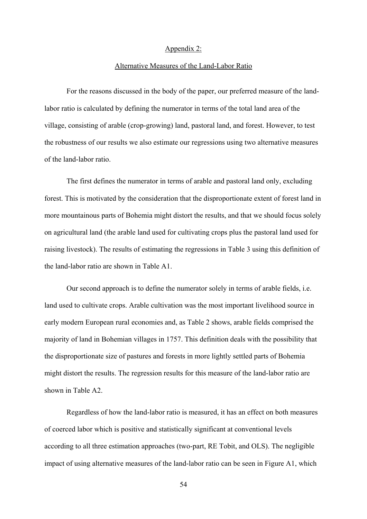#### Appendix 2:

#### Alternative Measures of the Land-Labor Ratio

For the reasons discussed in the body of the paper, our preferred measure of the landlabor ratio is calculated by defining the numerator in terms of the total land area of the village, consisting of arable (crop-growing) land, pastoral land, and forest. However, to test the robustness of our results we also estimate our regressions using two alternative measures of the land-labor ratio.

The first defines the numerator in terms of arable and pastoral land only, excluding forest. This is motivated by the consideration that the disproportionate extent of forest land in more mountainous parts of Bohemia might distort the results, and that we should focus solely on agricultural land (the arable land used for cultivating crops plus the pastoral land used for raising livestock). The results of estimating the regressions in Table 3 using this definition of the land-labor ratio are shown in Table A1.

Our second approach is to define the numerator solely in terms of arable fields, i.e. land used to cultivate crops. Arable cultivation was the most important livelihood source in early modern European rural economies and, as Table 2 shows, arable fields comprised the majority of land in Bohemian villages in 1757. This definition deals with the possibility that the disproportionate size of pastures and forests in more lightly settled parts of Bohemia might distort the results. The regression results for this measure of the land-labor ratio are shown in Table A2.

Regardless of how the land-labor ratio is measured, it has an effect on both measures of coerced labor which is positive and statistically significant at conventional levels according to all three estimation approaches (two-part, RE Tobit, and OLS). The negligible impact of using alternative measures of the land-labor ratio can be seen in Figure A1, which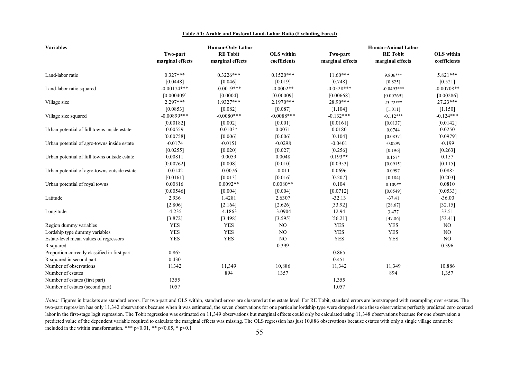| <b>Variables</b>                              |                  | <b>Human-Only Labor</b> |                   | <b>Human-Animal Labor</b> |                  |                   |  |
|-----------------------------------------------|------------------|-------------------------|-------------------|---------------------------|------------------|-------------------|--|
|                                               | Two-part         | <b>RE</b> Tobit         | <b>OLS</b> within | Two-part                  | <b>RE</b> Tobit  | <b>OLS</b> within |  |
|                                               | marginal effects | marginal effects        | coefficients      | marginal effects          | marginal effects | coefficients      |  |
|                                               |                  |                         |                   |                           |                  |                   |  |
| Land-labor ratio                              | $0.327***$       | $0.3226***$             | $0.1520***$       | $11.60***$                | 9.806***         | $5.821***$        |  |
|                                               | [0.0448]         | [0.046]                 | [0.019]           | [0.748]                   | [0.825]          | [0.521]           |  |
| Land-labor ratio squared                      | $-0.00174***$    | $-0.0019***$            | $-0.0002**$       | $-0.0528***$              | $-0.0493***$     | $-0.00708**$      |  |
|                                               | [0.000409]       | [0.0004]                | [0.00009]         | [0.00668]                 | [0.00769]        | [0.00286]         |  |
| Village size                                  | $2.297***$       | 1.9327***               | $2.1970***$       | 28.90***                  | 23.72***         | 27.23***          |  |
|                                               | [0.0853]         | [0.082]                 | [0.087]           | [1.104]                   | [1.011]          | [1.150]           |  |
| Village size squared                          | $-0.00899$ ***   | $-0.0080***$            | $-0.0088***$      | $-0.132***$               | $-0.112***$      | $-0.124***$       |  |
|                                               | [0.00182]        | [0.002]                 | [0.001]           | [0.0161]                  | [0.0137]         | $[0.0142]$        |  |
| Urban potential of full towns inside estate   | 0.00559          | $0.0103*$               | 0.0071            | 0.0180                    | 0.0744           | 0.0250            |  |
|                                               | [0.00758]        | [0.006]                 | [0.006]           | [0.104]                   | [0.0837]         | [0.0979]          |  |
| Urban potential of agro-towns inside estate   | $-0.0174$        | $-0.0151$               | $-0.0298$         | $-0.0401$                 | $-0.0299$        | $-0.199$          |  |
|                                               | [0.0255]         | [0.020]                 | [0.027]           | [0.256]                   | [0.196]          | [0.263]           |  |
| Urban potential of full towns outside estate  | 0.00811          | 0.0059                  | 0.0048            | $0.193**$                 | $0.157*$         | 0.157             |  |
|                                               | [0.00762]        | [0.008]                 | [0.010]           | [0.0953]                  | [0.0915]         | [0.115]           |  |
| Urban potential of agro-towns outside estate  | $-0.0142$        | $-0.0076$               | $-0.011$          | 0.0696                    | 0.0997           | 0.0885            |  |
|                                               | [0.0161]         | [0.013]                 | [0.016]           | [0.207]                   | [0.184]          | [0.203]           |  |
| Urban potential of royal towns                | 0.00816          | $0.0092**$              | $0.0080**$        | 0.104                     | $0.109**$        | 0.0810            |  |
|                                               | [0.00546]        | [0.004]                 | [0.004]           | [0.0712]                  | [0.0549]         | [0.0533]          |  |
| Latitude                                      | 2.936            | 1.4281                  | 2.6307            | $-32.13$                  | $-37.41$         | $-36.00$          |  |
|                                               | [2.806]          | [2.164]                 | [2.626]           | [33.92]                   | [28.67]          | [32.15]           |  |
| Longitude                                     | $-4.235$         | -4.1863                 | $-3.0904$         | 12.94                     | 3.477            | 33.51             |  |
|                                               | [3.872]          | [3.498]                 | [3.595]           | [56.21]                   | [47.86]          | [53.41]           |  |
| Region dummy variables                        | <b>YES</b>       | <b>YES</b>              | N <sub>O</sub>    | <b>YES</b>                | <b>YES</b>       | N <sub>O</sub>    |  |
| Lordship type dummy variables                 | <b>YES</b>       | <b>YES</b>              | N <sub>O</sub>    | <b>YES</b>                | <b>YES</b>       | N <sub>O</sub>    |  |
| Estate-level mean values of regressors        | <b>YES</b>       | <b>YES</b>              | N <sub>O</sub>    | <b>YES</b>                | <b>YES</b>       | N <sub>O</sub>    |  |
| R squared                                     |                  |                         | 0.399             |                           |                  | 0.396             |  |
| Proportion correctly classified in first part | 0.865            |                         |                   | 0.865                     |                  |                   |  |
| R squared in second part                      | 0.430            |                         |                   | 0.451                     |                  |                   |  |
| Number of observations                        | 11342            | 11,349                  | 10,886            | 11,342                    | 11,349           | 10,886            |  |
| Number of estates                             |                  | 894                     | 1357              |                           | 894              | 1,357             |  |
| Number of estates (first part)                | 1355             |                         |                   | 1,355                     |                  |                   |  |
| Number of estates (second part)               | 1057             |                         |                   | 1,057                     |                  |                   |  |

**Table A1: Arable and Pastoral Land-Labor Ratio (Excluding Forest)**

*Notes*: Figures in brackets are standard errors. For two-part and OLS within, standard errors are clustered at the estate level. For RE Tobit, standard errors are bootstrapped with resampling over estates. The two-part regression has only 11,342 observations because when it was estimated, the seven observations for one particular lordship type were dropped since these observations perfectly predicted zero coerced labor in the first-stage logit regression. The Tobit regression was estimated on 11,349 observations but marginal effects could only be calculated using 11,348 observations because for one observation a predicted value of the dependent variable required to calculate the marginal effects was missing. The OLS regression has just 10,886 observations because estates with only a single village cannot be included in the within transformation. \*\*\*  $p<0.01$ , \*\*  $p<0.05$ , \*  $p<0.1$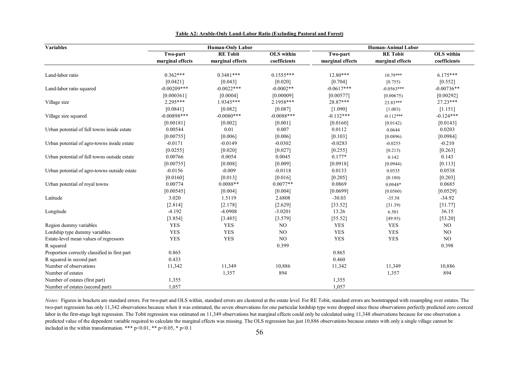| <b>Variables</b>                              |                  | <b>Human-Only Labor</b> |                   | <b>Human-Animal Labor</b> |                  |                   |  |
|-----------------------------------------------|------------------|-------------------------|-------------------|---------------------------|------------------|-------------------|--|
|                                               | Two-part         | <b>RE</b> Tobit         | <b>OLS</b> within | Two-part                  | <b>RE</b> Tobit  | <b>OLS</b> within |  |
|                                               | marginal effects | marginal effects        | coefficients      | marginal effects          | marginal effects | coefficients      |  |
|                                               |                  |                         |                   |                           |                  |                   |  |
| Land-labor ratio                              | $0.362***$       | $0.3481***$             | $0.1555***$       | $12.80***$                | $10.79***$       | $6.175***$        |  |
|                                               | [0.0421]         | [0.043]                 | [0.020]           | [0.704]                   | [0.755)          | [0.552]           |  |
| Land-labor ratio squared                      | $-0.00209***$    | $-0.0022***$            | $-0.0002**$       | $-0.0617***$              | $-0.0563***$     | $-0.00736**$      |  |
|                                               | [0.000361]       | [0.0004]                | [0.00009]         | [0.00577]                 | [0.00675)        | [0.00292]         |  |
| Village size                                  | $2.295***$       | 1.9345***               | 2.1958***         | 28.87***                  | 23.83***         | $27.23***$        |  |
|                                               | [0.0841]         | [0.082]                 | [0.087]           | [1.090]                   | [1.003)          | [1.151]           |  |
| Village size squared                          | $-0.00898***$    | $-0.0080***$            | $-0.0088***$      | $-0.132***$               | $-0.112***$      | $-0.124***$       |  |
|                                               | [0.00181]        | [0.002]                 | [0.001]           | [0.0160]                  | [0.0142)         | [0.0143]          |  |
| Urban potential of full towns inside estate   | 0.00544          | 0.01                    | 0.007             | 0.0112                    | 0.0644           | 0.0203            |  |
|                                               | [0.00755]        | [0.006]                 | [0.006]           | [0.103]                   | [0.0896]         | [0.0984]          |  |
| Urban potential of agro-towns inside estate   | $-0.0171$        | $-0.0149$               | $-0.0302$         | $-0.0283$                 | $-0.0255$        | $-0.210$          |  |
|                                               | [0.0255]         | [0.020]                 | [0.027]           | [0.255]                   | [0.213)          | [0.263]           |  |
| Urban potential of full towns outside estate  | 0.00766          | 0.0054                  | 0.0045            | $0.177*$                  | 0.142            | 0.143             |  |
|                                               | [0.00755]        | [0.008]                 | [0.009]           | [0.0918]                  | [0.0944]         | [0.113]           |  |
| Urban potential of agro-towns outside estate  | $-0.0156$        | $-0.009$                | $-0.0118$         | 0.0133                    | 0.0535           | 0.0538            |  |
|                                               | [0.0160]         | [0.013]                 | [0.016]           | [0.205]                   | [0.180)          | [0.203]           |  |
| Urban potential of royal towns                | 0.00774          | $0.0088**$              | $0.0077**$        | 0.0869                    | $0.0948*$        | 0.0685            |  |
|                                               | [0.00545]        | [0.004]                 | [0.004]           | [0.0699]                  | [0.0560)         | [0.0529]          |  |
| Latitude                                      | 3.020            | 1.5119                  | 2.6808            | $-30.03$                  | $-35.58$         | $-34.92$          |  |
|                                               | [2.814]          | [2.178]                 | [2.629]           | [33.52]                   | [31.39]          | [31.77]           |  |
| Longitude                                     | $-4.192$         | -4.0908                 | $-3.0201$         | 13.26                     | 6.501            | 36.15             |  |
|                                               | [3.854]          | [3.485]                 | [3.579]           | [55.52]                   | [49.95]          | [53.20]           |  |
| Region dummy variables                        | <b>YES</b>       | <b>YES</b>              | N <sub>O</sub>    | <b>YES</b>                | <b>YES</b>       | NO.               |  |
| Lordship type dummy variables                 | <b>YES</b>       | <b>YES</b>              | NO                | <b>YES</b>                | <b>YES</b>       | N <sub>O</sub>    |  |
| Estate-level mean values of regressors        | <b>YES</b>       | <b>YES</b>              | N <sub>O</sub>    | <b>YES</b>                | <b>YES</b>       | N <sub>O</sub>    |  |
| R squared                                     |                  |                         | 0.399             |                           |                  | 0.398             |  |
| Proportion correctly classified in first part | 0.865            |                         |                   | 0.865                     |                  |                   |  |
| R squared in second part                      | 0.433            |                         |                   | 0.460                     |                  |                   |  |
| Number of observations                        | 11,342           | 11,349                  | 10,886            | 11,342                    | 11,349           | 10,886            |  |
| Number of estates                             |                  | 1,357                   | 894               |                           | 1,357            | 894               |  |
| Number of estates (first part)                | 1,355            |                         |                   | 1,355                     |                  |                   |  |
| Number of estates (second part)               | 1,057            |                         |                   | 1,057                     |                  |                   |  |

**Table A2: Arable-Only Land-Labor Ratio (Excluding Pastoral and Forest)**

*Notes*: Figures in brackets are standard errors. For two-part and OLS within, standard errors are clustered at the estate level. For RE Tobit, standard errors are bootstrapped with resampling over estates. The two-part regression has only 11,342 observations because when it was estimated, the seven observations for one particular lordship type were dropped since these observations perfectly predicted zero coerced labor in the first-stage logit regression. The Tobit regression was estimated on 11,349 observations but marginal effects could only be calculated using 11,348 observations because for one observation a predicted value of the dependent variable required to calculate the marginal effects was missing. The OLS regression has just 10,886 observations because estates with only a single village cannot be included in the within transformation. \*\*\*  $p<0.01$ , \*\*  $p<0.05$ , \*  $p<0.1$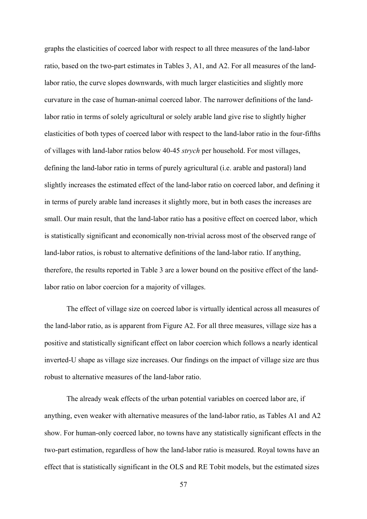graphs the elasticities of coerced labor with respect to all three measures of the land-labor ratio, based on the two-part estimates in Tables 3, A1, and A2. For all measures of the landlabor ratio, the curve slopes downwards, with much larger elasticities and slightly more curvature in the case of human-animal coerced labor. The narrower definitions of the landlabor ratio in terms of solely agricultural or solely arable land give rise to slightly higher elasticities of both types of coerced labor with respect to the land-labor ratio in the four-fifths of villages with land-labor ratios below 40-45 *strych* per household. For most villages, defining the land-labor ratio in terms of purely agricultural (i.e. arable and pastoral) land slightly increases the estimated effect of the land-labor ratio on coerced labor, and defining it in terms of purely arable land increases it slightly more, but in both cases the increases are small. Our main result, that the land-labor ratio has a positive effect on coerced labor, which is statistically significant and economically non-trivial across most of the observed range of land-labor ratios, is robust to alternative definitions of the land-labor ratio. If anything, therefore, the results reported in Table 3 are a lower bound on the positive effect of the landlabor ratio on labor coercion for a majority of villages.

The effect of village size on coerced labor is virtually identical across all measures of the land-labor ratio, as is apparent from Figure A2. For all three measures, village size has a positive and statistically significant effect on labor coercion which follows a nearly identical inverted-U shape as village size increases. Our findings on the impact of village size are thus robust to alternative measures of the land-labor ratio.

The already weak effects of the urban potential variables on coerced labor are, if anything, even weaker with alternative measures of the land-labor ratio, as Tables A1 and A2 show. For human-only coerced labor, no towns have any statistically significant effects in the two-part estimation, regardless of how the land-labor ratio is measured. Royal towns have an effect that is statistically significant in the OLS and RE Tobit models, but the estimated sizes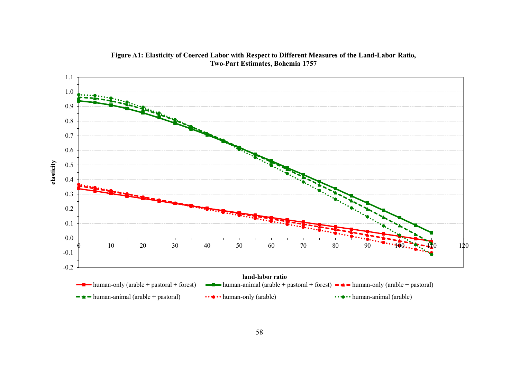

**Figure A1: Elasticity of Coerced Labor with Respect to Different Measures of the Land-Labor Ratio, Two-Part Estimates, Bohemia 1757**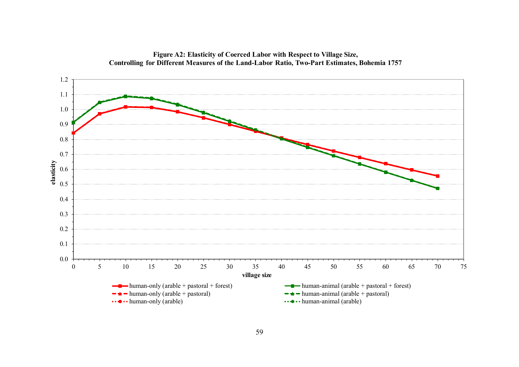

**Figure A2: Elasticity of Coerced Labor with Respect to Village Size, Controlling for Different Measures of the Land-Labor Ratio, Two-Part Estimates, Bohemia 1757**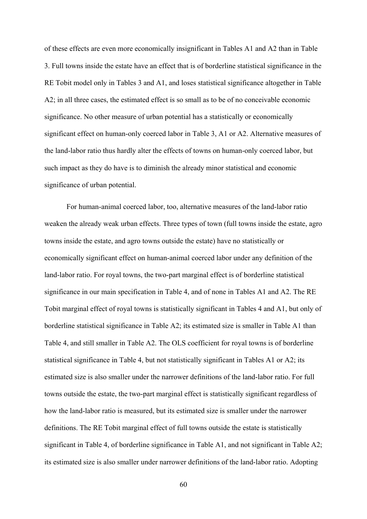of these effects are even more economically insignificant in Tables A1 and A2 than in Table 3. Full towns inside the estate have an effect that is of borderline statistical significance in the RE Tobit model only in Tables 3 and A1, and loses statistical significance altogether in Table A2; in all three cases, the estimated effect is so small as to be of no conceivable economic significance. No other measure of urban potential has a statistically or economically significant effect on human-only coerced labor in Table 3, A1 or A2. Alternative measures of the land-labor ratio thus hardly alter the effects of towns on human-only coerced labor, but such impact as they do have is to diminish the already minor statistical and economic significance of urban potential.

For human-animal coerced labor, too, alternative measures of the land-labor ratio weaken the already weak urban effects. Three types of town (full towns inside the estate, agro towns inside the estate, and agro towns outside the estate) have no statistically or economically significant effect on human-animal coerced labor under any definition of the land-labor ratio. For royal towns, the two-part marginal effect is of borderline statistical significance in our main specification in Table 4, and of none in Tables A1 and A2. The RE Tobit marginal effect of royal towns is statistically significant in Tables 4 and A1, but only of borderline statistical significance in Table A2; its estimated size is smaller in Table A1 than Table 4, and still smaller in Table A2. The OLS coefficient for royal towns is of borderline statistical significance in Table 4, but not statistically significant in Tables A1 or A2; its estimated size is also smaller under the narrower definitions of the land-labor ratio. For full towns outside the estate, the two-part marginal effect is statistically significant regardless of how the land-labor ratio is measured, but its estimated size is smaller under the narrower definitions. The RE Tobit marginal effect of full towns outside the estate is statistically significant in Table 4, of borderline significance in Table A1, and not significant in Table A2; its estimated size is also smaller under narrower definitions of the land-labor ratio. Adopting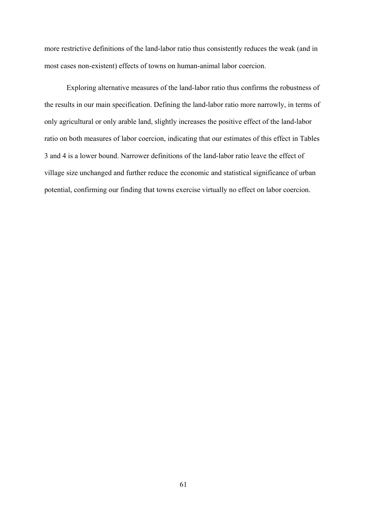more restrictive definitions of the land-labor ratio thus consistently reduces the weak (and in most cases non-existent) effects of towns on human-animal labor coercion.

Exploring alternative measures of the land-labor ratio thus confirms the robustness of the results in our main specification. Defining the land-labor ratio more narrowly, in terms of only agricultural or only arable land, slightly increases the positive effect of the land-labor ratio on both measures of labor coercion, indicating that our estimates of this effect in Tables 3 and 4 is a lower bound. Narrower definitions of the land-labor ratio leave the effect of village size unchanged and further reduce the economic and statistical significance of urban potential, confirming our finding that towns exercise virtually no effect on labor coercion.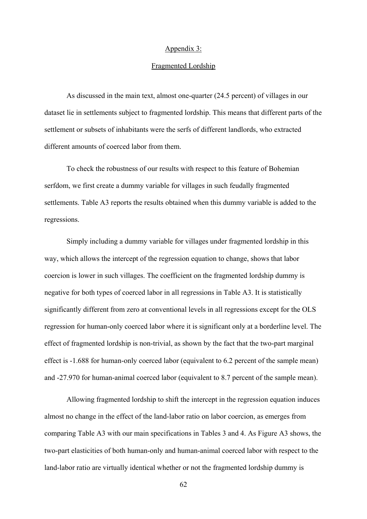#### Appendix 3:

#### Fragmented Lordship

As discussed in the main text, almost one-quarter (24.5 percent) of villages in our dataset lie in settlements subject to fragmented lordship. This means that different parts of the settlement or subsets of inhabitants were the serfs of different landlords, who extracted different amounts of coerced labor from them.

To check the robustness of our results with respect to this feature of Bohemian serfdom, we first create a dummy variable for villages in such feudally fragmented settlements. Table A3 reports the results obtained when this dummy variable is added to the regressions.

Simply including a dummy variable for villages under fragmented lordship in this way, which allows the intercept of the regression equation to change, shows that labor coercion is lower in such villages. The coefficient on the fragmented lordship dummy is negative for both types of coerced labor in all regressions in Table A3. It is statistically significantly different from zero at conventional levels in all regressions except for the OLS regression for human-only coerced labor where it is significant only at a borderline level. The effect of fragmented lordship is non-trivial, as shown by the fact that the two-part marginal effect is -1.688 for human-only coerced labor (equivalent to 6.2 percent of the sample mean) and -27.970 for human-animal coerced labor (equivalent to 8.7 percent of the sample mean).

Allowing fragmented lordship to shift the intercept in the regression equation induces almost no change in the effect of the land-labor ratio on labor coercion, as emerges from comparing Table A3 with our main specifications in Tables 3 and 4. As Figure A3 shows, the two-part elasticities of both human-only and human-animal coerced labor with respect to the land-labor ratio are virtually identical whether or not the fragmented lordship dummy is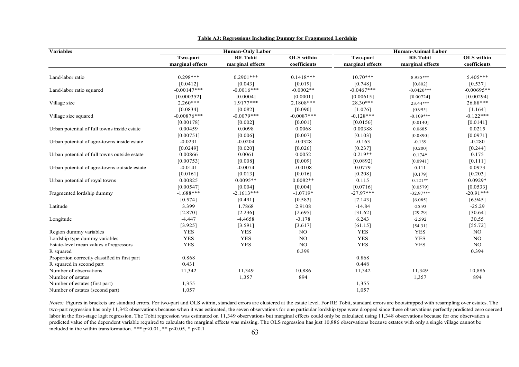| <b>Variables</b>                              |                  | <b>Human-Only Labor</b> |                   |                  | <b>Human-Animal Labor</b> |                   |  |  |
|-----------------------------------------------|------------------|-------------------------|-------------------|------------------|---------------------------|-------------------|--|--|
|                                               | Two-part         | <b>RE</b> Tobit         | <b>OLS</b> within | Two-part         | <b>RE</b> Tobit           | <b>OLS</b> within |  |  |
|                                               | marginal effects | marginal effects        | coefficients      | marginal effects | marginal effects          | coefficients      |  |  |
|                                               |                  |                         |                   |                  |                           |                   |  |  |
| Land-labor ratio                              | $0.298***$       | $0.2901***$             | $0.1418***$       | $10.70***$       | 8.935***                  | $5.405***$        |  |  |
|                                               | [0.0412]         | [0.043]                 | [0.019]           | [0.748]          | [0.802]                   | [0.537]           |  |  |
| Land-labor ratio squared                      | $-0.00147***$    | $-0.0016***$            | $-0.0002**$       | $-0.0467***$     | $-0.0420***$              | $-0.00695**$      |  |  |
|                                               | [0.000352]       | [0.0004]                | [0.0001]          | [0.00615]        | [0.00724]                 | [0.00294]         |  |  |
| Village size                                  | $2.260***$       | $1.9177***$             | 2.1808***         | 28.30***         | 23.44***                  | 26.88***          |  |  |
|                                               | [0.0834]         | [0.082]                 | [0.090]           | [1.076]          | [0.995]                   | [1.164]           |  |  |
| Village size squared                          | $-0.00876***$    | $-0.0079***$            | $-0.0087***$      | $-0.128***$      | $-0.109***$               | $-0.122***$       |  |  |
|                                               | [0.00178]        | $[0.002]$               | [0.001]           | [0.0156]         | [0.0140]                  | [0.0141]          |  |  |
| Urban potential of full towns inside estate   | 0.00459          | 0.0098                  | 0.0068            | 0.00388          | 0.0685                    | 0.0215            |  |  |
|                                               | [0.00751]        | [0.006]                 | [0.007]           | [0.103]          | [0.0890]                  | [0.0971]          |  |  |
| Urban potential of agro-towns inside estate   | $-0.0231$        | $-0.0204$               | $-0.0328$         | $-0.163$         | $-0.139$                  | $-0.280$          |  |  |
|                                               | [0.0249]         | $[0.020]$               | [0.026]           | [0.237]          | [0.200]                   | $[0.244]$         |  |  |
| Urban potential of full towns outside estate  | 0.00866          | 0.0061                  | 0.0052            | $0.219**$        | $0.174*$                  | 0.175             |  |  |
|                                               | [0.00753]        | [0.008]                 | [0.009]           | [0.0892]         | [0.0941]                  | [0.111]           |  |  |
| Urban potential of agro-towns outside estate  | $-0.0141$        | $-0.0074$               | $-0.0108$         | 0.0779           | 0.111                     | 0.0973            |  |  |
|                                               | [0.0161]         | [0.013]                 | [0.016]           | [0.208]          | [0.179]                   | [0.203]           |  |  |
| Urban potential of royal towns                | 0.00825          | $0.0095**$              | $0.0082**$        | 0.115            | $0.121**$                 | $0.0929*$         |  |  |
|                                               | [0.00547]        | [0.004]                 | [0.004]           | [0.0716]         | [0.0579]                  | [0.0533]          |  |  |
| Fragmented lordship dummy                     | $-1.688***$      | $-2.1613***$            | $-1.0719*$        | $-27.97***$      | $-32.97***$               | $-20.91***$       |  |  |
|                                               | [0.574]          | [0.491]                 | [0.583]           | [7.143]          | [6.085]                   | [6.945]           |  |  |
| Latitude                                      | 3.399            | 1.7868                  | 2.9108            | $-14.84$         | $-25.93$                  | $-25.29$          |  |  |
|                                               | [2.870]          | $[2.236]$               | [2.695]           | [31.62]          | [29.29]                   | [30.64]           |  |  |
| Longitude                                     | $-4.447$         | $-4.4658$               | $-3.178$          | 6.243            | $-2.592$                  | 30.55             |  |  |
|                                               | [3.925]          | [3.591]                 | [3.617]           | [61.15]          | [54.31]                   | [55.72]           |  |  |
| Region dummy variables                        | <b>YES</b>       | <b>YES</b>              | <b>NO</b>         | <b>YES</b>       | <b>YES</b>                | <b>NO</b>         |  |  |
| Lordship type dummy variables                 | <b>YES</b>       | <b>YES</b>              | <b>NO</b>         | <b>YES</b>       | <b>YES</b>                | <b>NO</b>         |  |  |
| Estate-level mean values of regressors        | <b>YES</b>       | <b>YES</b>              | <b>NO</b>         | <b>YES</b>       | <b>YES</b>                | NO.               |  |  |
| R squared                                     |                  |                         | 0.399             |                  |                           | 0.394             |  |  |
| Proportion correctly classified in first part | 0.868            |                         |                   | 0.868            |                           |                   |  |  |
| R squared in second part                      | 0.431            |                         |                   | 0.448            |                           |                   |  |  |
| Number of observations                        | 11,342           | 11,349                  | 10,886            | 11,342           | 11,349                    | 10,886            |  |  |
| Number of estates                             |                  | 1,357                   | 894               |                  | 1,357                     | 894               |  |  |
| Number of estates (first part)                | 1,355            |                         |                   | 1,355            |                           |                   |  |  |
| Number of estates (second part)               | 1,057            |                         |                   | 1.057            |                           |                   |  |  |

**Table A3: Regressions Including Dummy for Fragmented Lordship**

*Notes:* Figures in brackets are standard errors. For two-part and OLS within, standard errors are clustered at the estate level. For RE Tobit, standard errors are bootstrapped with resampling over estates. The two-part regression has only 11,342 observations because when it was estimated, the seven observations for one particular lordship type were dropped since these observations perfectly predicted zero coerced labor in the first-stage logit regression. The Tobit regression was estimated on 11,349 observations but marginal effects could only be calculated using 11,348 observations because for one observation a predicted value of the dependent variable required to calculate the marginal effects was missing. The OLS regression has just 10,886 observations because estates with only a single village cannot be included in the within transformation. \*\*\*  $p<0.01$ , \*\*  $p<0.05$ , \*  $p<0.1$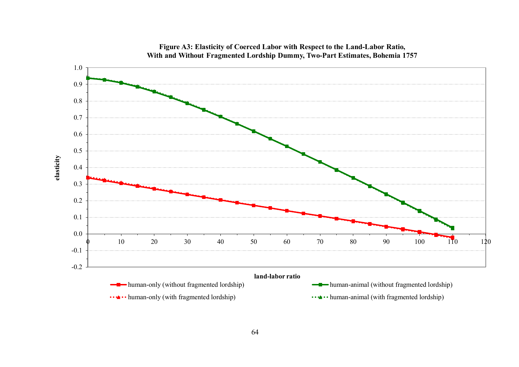

**Figure A3: Elasticity of Coerced Labor with Respect to the Land-Labor Ratio, With and Without Fragmented Lordship Dummy, Two-Part Estimates, Bohemia 1757**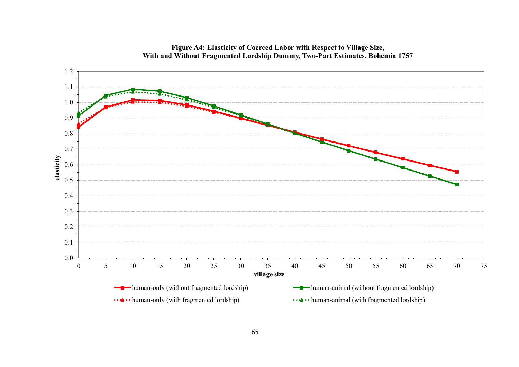

# **Figure A4: Elasticity of Coerced Labor with Respect to Village Size, With and Without Fragmented Lordship Dummy, Two-Part Estimates, Bohemia 1757**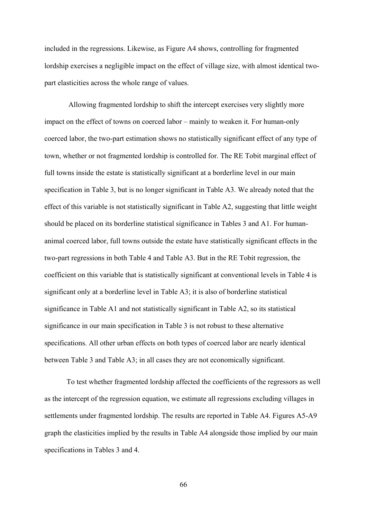included in the regressions. Likewise, as Figure A4 shows, controlling for fragmented lordship exercises a negligible impact on the effect of village size, with almost identical twopart elasticities across the whole range of values.

 Allowing fragmented lordship to shift the intercept exercises very slightly more impact on the effect of towns on coerced labor – mainly to weaken it. For human-only coerced labor, the two-part estimation shows no statistically significant effect of any type of town, whether or not fragmented lordship is controlled for. The RE Tobit marginal effect of full towns inside the estate is statistically significant at a borderline level in our main specification in Table 3, but is no longer significant in Table A3. We already noted that the effect of this variable is not statistically significant in Table A2, suggesting that little weight should be placed on its borderline statistical significance in Tables 3 and A1. For humananimal coerced labor, full towns outside the estate have statistically significant effects in the two-part regressions in both Table 4 and Table A3. But in the RE Tobit regression, the coefficient on this variable that is statistically significant at conventional levels in Table 4 is significant only at a borderline level in Table A3; it is also of borderline statistical significance in Table A1 and not statistically significant in Table A2, so its statistical significance in our main specification in Table 3 is not robust to these alternative specifications. All other urban effects on both types of coerced labor are nearly identical between Table 3 and Table A3; in all cases they are not economically significant.

To test whether fragmented lordship affected the coefficients of the regressors as well as the intercept of the regression equation, we estimate all regressions excluding villages in settlements under fragmented lordship. The results are reported in Table A4. Figures A5-A9 graph the elasticities implied by the results in Table A4 alongside those implied by our main specifications in Tables 3 and 4.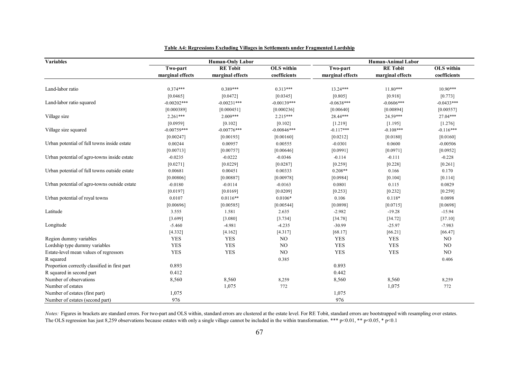| <b>Variables</b>                              |                              | <b>Human-Only Labor</b>             |                                   | <b>Human-Animal Labor</b>    |                                     |                                   |  |
|-----------------------------------------------|------------------------------|-------------------------------------|-----------------------------------|------------------------------|-------------------------------------|-----------------------------------|--|
|                                               | Two-part<br>marginal effects | <b>RE</b> Tobit<br>marginal effects | <b>OLS</b> within<br>coefficients | Two-part<br>marginal effects | <b>RE</b> Tobit<br>marginal effects | <b>OLS</b> within<br>coefficients |  |
|                                               |                              |                                     |                                   |                              |                                     |                                   |  |
| Land-labor ratio                              | $0.374***$                   | $0.389***$                          | $0.313***$                        | 13.24***                     | $11.80***$                          | $10.90***$                        |  |
|                                               | [0.0465]                     | [0.0472]                            | [0.0345]                          | [0.805]                      | [0.918]                             | [0.773]                           |  |
| Land-labor ratio squared                      | $-0.00202***$                | $-0.00231***$                       | $-0.00139***$                     | $-0.0638***$                 | $-0.0606***$                        | $-0.0433***$                      |  |
|                                               | [0.000389]                   | [0.000451]                          | [0.000236]                        | [0.00640]                    | [0.00894]                           | [0.00557]                         |  |
| Village size                                  | $2.261***$                   | $2.009***$                          | $2.215***$                        | 28.44***                     | 24.59***                            | $27.04***$                        |  |
|                                               | [0.0959]                     | [0.102]                             | [0.102]                           | [1.219]                      | [1.195]                             | [1.276]                           |  |
| Village size squared                          | $-0.00759***$                | $-0.00776***$                       | $-0.00846***$                     | $-0.117***$                  | $-0.108***$                         | $-0.116***$                       |  |
|                                               | [0.00247]                    | [0.00193]                           | [0.00160]                         | [0.0212]                     | [0.0180]                            | [0.0160]                          |  |
| Urban potential of full towns inside estate   | 0.00244                      | 0.00957                             | 0.00555                           | $-0.0301$                    | 0.0600                              | $-0.00506$                        |  |
|                                               | [0.00713]                    | [0.00757]                           | [0.00646]                         | [0.0991]                     | [0.0971]                            | [0.0952]                          |  |
| Urban potential of agro-towns inside estate   | $-0.0235$                    | $-0.0222$                           | $-0.0346$                         | $-0.114$                     | $-0.111$                            | $-0.228$                          |  |
|                                               | [0.0271]                     | [0.0229]                            | [0.0287]                          | [0.259]                      | [0.228]                             | [0.261]                           |  |
| Urban potential of full towns outside estate  | 0.00681                      | 0.00451                             | 0.00333                           | $0.208**$                    | 0.166                               | 0.170                             |  |
|                                               | [0.00806]                    | [0.00887]                           | [0.00978]                         | [0.0984]                     | [0.104]                             | [0.114]                           |  |
| Urban potential of agro-towns outside estate  | $-0.0180$                    | $-0.0114$                           | $-0.0163$                         | 0.0801                       | 0.115                               | 0.0829                            |  |
|                                               | [0.0197]                     | [0.0169]                            | [0.0209]                          | [0.253]                      | [0.232]                             | [0.259]                           |  |
| Urban potential of royal towns                | 0.0107                       | $0.0116**$                          | $0.0106*$                         | 0.106                        | $0.118*$                            | 0.0898                            |  |
|                                               | [0.00696]                    | [0.00585]                           | [0.00544]                         | [0.0898]                     | [0.0715]                            | [0.0698]                          |  |
| Latitude                                      | 3.555                        | 1.581                               | 2.635                             | $-2.982$                     | $-19.28$                            | $-15.94$                          |  |
|                                               | [3.699]                      | [3.080]                             | [3.734]                           | [34.78]                      | [34.72]                             | [37.10]                           |  |
| Longitude                                     | $-5.460$                     | -4.981                              | $-4.235$                          | $-30.99$                     | $-25.97$                            | $-7.983$                          |  |
|                                               | [4.332]                      | [4.162]                             | [4.317]                           | [68.17]                      | [66.21]                             | [66.47]                           |  |
| Region dummy variables                        | <b>YES</b>                   | <b>YES</b>                          | NO                                | <b>YES</b>                   | <b>YES</b>                          | N <sub>O</sub>                    |  |
| Lordship type dummy variables                 | <b>YES</b>                   | <b>YES</b>                          | NO                                | <b>YES</b>                   | <b>YES</b>                          | N <sub>O</sub>                    |  |
| Estate-level mean values of regressors        | <b>YES</b>                   | <b>YES</b>                          | NO.                               | <b>YES</b>                   | <b>YES</b>                          | NO                                |  |
| R squared                                     |                              |                                     | 0.385                             |                              |                                     | 0.406                             |  |
| Proportion correctly classified in first part | 0.893                        |                                     |                                   | 0.893                        |                                     |                                   |  |
| R squared in second part                      | 0.412                        |                                     |                                   | 0.442                        |                                     |                                   |  |
| Number of observations                        | 8,560                        | 8,560                               | 8,259                             | 8,560                        | 8,560                               | 8,259                             |  |
| Number of estates                             |                              | 1,075                               | 772                               |                              | 1,075                               | 772                               |  |
| Number of estates (first part)                | 1,075                        |                                     |                                   | 1,075                        |                                     |                                   |  |
| Number of estates (second part)               | 976                          |                                     |                                   | 976                          |                                     |                                   |  |

| Table A4: Regressions Excluding Villages in Settlements under Fragmented Lordship |  |
|-----------------------------------------------------------------------------------|--|
|-----------------------------------------------------------------------------------|--|

*Notes*: Figures in brackets are standard errors. For two-part and OLS within, standard errors are clustered at the estate level. For RE Tobit, standard errors are bootstrapped with resampling over estates. The OLS regression has just 8,259 observations because estates with only a single village cannot be included in the within transformation. \*\*\* p<0.01, \*\* p<0.05, \* p<0.1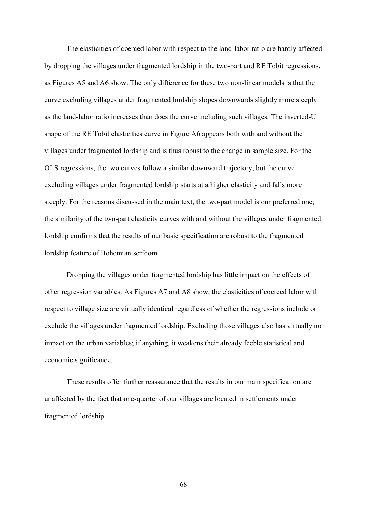The elasticities of coerced labor with respect to the land-labor ratio are hardly affected by dropping the villages under fragmented lordship in the two-part and RE Tobit regressions, as Figures A5 and A6 show. The only difference for these two non-linear models is that the curve excluding villages under fragmented lordship slopes downwards slightly more steeply as the land-labor ratio increases than does the curve including such villages. The inverted-U shape of the RE Tobit elasticities curve in Figure A6 appears both with and without the villages under fragmented lordship and is thus robust to the change in sample size. For the OLS regressions, the two curves follow a similar downward trajectory, but the curve excluding villages under fragmented lordship starts at a higher elasticity and falls more steeply. For the reasons discussed in the main text, the two-part model is our preferred one; the similarity of the two-part elasticity curves with and without the villages under fragmented lordship confirms that the results of our basic specification are robust to the fragmented lordship feature of Bohemian serfdom.

Dropping the villages under fragmented lordship has little impact on the effects of other regression variables. As Figures A7 and A8 show, the elasticities of coerced labor with respect to village size are virtually identical regardless of whether the regressions include or exclude the villages under fragmented lordship. Excluding those villages also has virtually no impact on the urban variables; if anything, it weakens their already feeble statistical and economic significance.

These results offer further reassurance that the results in our main specification are unaffected by the fact that one-quarter of our villages are located in settlements under fragmented lordship.

68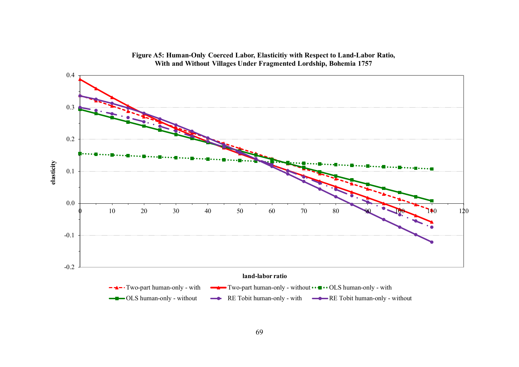

## **Figure A5: Human-Only Coerced Labor, Elasticitiy with Respect to Land-Labor Ratio, With and Without Villages Under Fragmented Lordship, Bohemia 1757**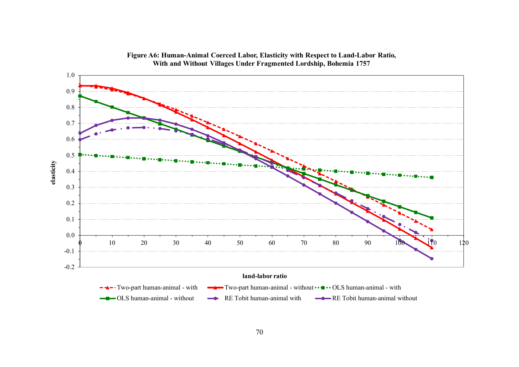

## **Figure A6: Human-Animal Coerced Labor, Elasticity with Respect to Land-Labor Ratio, With and Without Villages Under Fragmented Lordship, Bohemia 1757**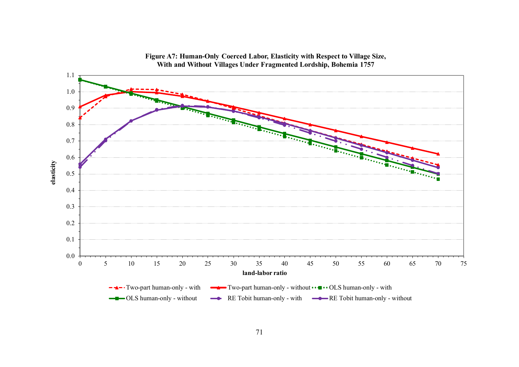

**Figure A7: Human-Only Coerced Labor, Elasticity with Respect to Village Size, With and Without Villages Under Fragmented Lordship, Bohemia 1757**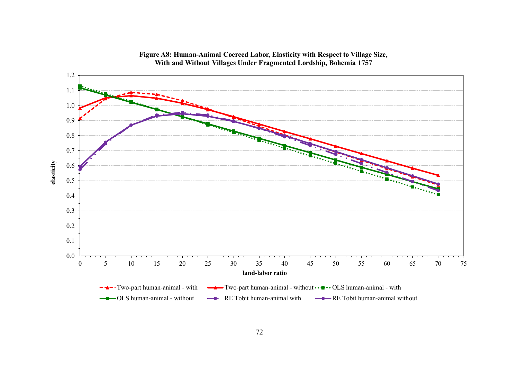

# **Figure A8: Human-Animal Coerced Labor, Elasticity with Respect to Village Size, With and Without Villages Under Fragmented Lordship, Bohemia 1757**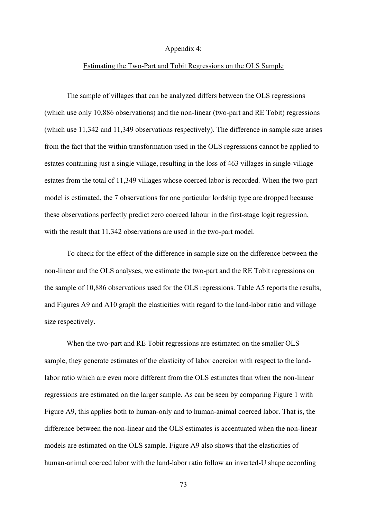#### Appendix 4:

#### Estimating the Two-Part and Tobit Regressions on the OLS Sample

The sample of villages that can be analyzed differs between the OLS regressions (which use only 10,886 observations) and the non-linear (two-part and RE Tobit) regressions (which use 11,342 and 11,349 observations respectively). The difference in sample size arises from the fact that the within transformation used in the OLS regressions cannot be applied to estates containing just a single village, resulting in the loss of 463 villages in single-village estates from the total of 11,349 villages whose coerced labor is recorded. When the two-part model is estimated, the 7 observations for one particular lordship type are dropped because these observations perfectly predict zero coerced labour in the first-stage logit regression, with the result that 11,342 observations are used in the two-part model.

To check for the effect of the difference in sample size on the difference between the non-linear and the OLS analyses, we estimate the two-part and the RE Tobit regressions on the sample of 10,886 observations used for the OLS regressions. Table A5 reports the results, and Figures A9 and A10 graph the elasticities with regard to the land-labor ratio and village size respectively.

When the two-part and RE Tobit regressions are estimated on the smaller OLS sample, they generate estimates of the elasticity of labor coercion with respect to the landlabor ratio which are even more different from the OLS estimates than when the non-linear regressions are estimated on the larger sample. As can be seen by comparing Figure 1 with Figure A9, this applies both to human-only and to human-animal coerced labor. That is, the difference between the non-linear and the OLS estimates is accentuated when the non-linear models are estimated on the OLS sample. Figure A9 also shows that the elasticities of human-animal coerced labor with the land-labor ratio follow an inverted-U shape according

73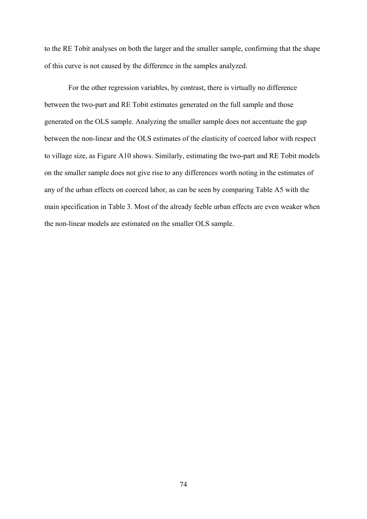to the RE Tobit analyses on both the larger and the smaller sample, confirming that the shape of this curve is not caused by the difference in the samples analyzed.

 For the other regression variables, by contrast, there is virtually no difference between the two-part and RE Tobit estimates generated on the full sample and those generated on the OLS sample. Analyzing the smaller sample does not accentuate the gap between the non-linear and the OLS estimates of the elasticity of coerced labor with respect to village size, as Figure A10 shows. Similarly, estimating the two-part and RE Tobit models on the smaller sample does not give rise to any differences worth noting in the estimates of any of the urban effects on coerced labor, as can be seen by comparing Table A5 with the main specification in Table 3. Most of the already feeble urban effects are even weaker when the non-linear models are estimated on the smaller OLS sample.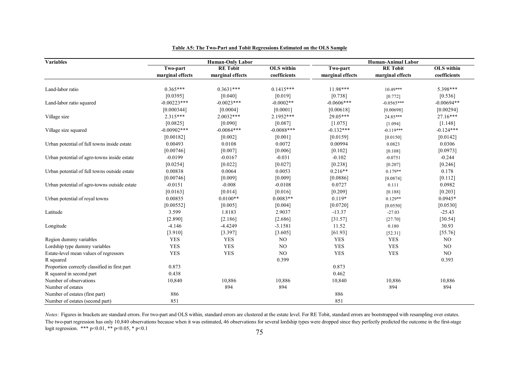| <b>Variables</b>                              | <b>Human-Only Labor</b> |                                     |                   | <b>Human-Animal Labor</b>    |                                     |                                   |
|-----------------------------------------------|-------------------------|-------------------------------------|-------------------|------------------------------|-------------------------------------|-----------------------------------|
|                                               | Two-part                | <b>RE</b> Tobit<br>marginal effects | <b>OLS</b> within | Two-part<br>marginal effects | <b>RE</b> Tobit<br>marginal effects | <b>OLS</b> within<br>coefficients |
|                                               | marginal effects        |                                     | coefficients      |                              |                                     |                                   |
|                                               |                         |                                     |                   |                              |                                     |                                   |
| Land-labor ratio                              | $0.365***$              | $0.3631***$                         | $0.1415***$       | $11.98***$                   | $10.49***$                          | 5.398***                          |
|                                               | [0.0395]                | [0.040]                             | [0.019]           | [0.738]                      | [0.772]                             | [0.536]                           |
| Land-labor ratio squared                      | $-0.00223***$           | $-0.0023***$                        | $-0.0002**$       | $-0.0606***$                 | $-0.0565***$                        | $-0.00694**$                      |
|                                               | [0.000344]              | [0.0004]                            | [0.0001]          | [0.00618]                    | [0.00698]                           | [0.00294]                         |
| Village size                                  | $2.315***$              | $2.0032***$                         | 2.1952***         | $29.05***$                   | 24.85***                            | 27.16***                          |
|                                               | [0.0825]                | [0.090]                             | [0.087]           | [1.075]                      | [1.094]                             | [1.148]                           |
| Village size squared                          | $-0.00902$ ***          | $-0.0084***$                        | $-0.0088***$      | $-0.132***$                  | $-0.119***$                         | $-0.124***$                       |
|                                               | [0.00182]               | [0.002]                             | [0.001]           | [0.0159]                     | [0.0150]                            | [0.0142]                          |
| Urban potential of full towns inside estate   | 0.00493                 | 0.0108                              | 0.0072            | 0.00994                      | 0.0823                              | 0.0306                            |
|                                               | [0.00746]               | [0.007]                             | [0.006]           | $[0.102]$                    | [0.108]                             | [0.0973]                          |
| Urban potential of agro-towns inside estate   | $-0.0199$               | $-0.0167$                           | $-0.031$          | $-0.102$                     | $-0.0751$                           | $-0.244$                          |
|                                               | [0.0254]                | [0.022]                             | [0.027]           | [0.238]                      | [0.207]                             | [0.246]                           |
| Urban potential of full towns outside estate  | 0.00838                 | 0.0064                              | 0.0053            | $0.216**$                    | $0.179**$                           | 0.178                             |
|                                               | [0.00746]               | [0.009]                             | [0.009]           | [0.0886]                     | [0.0874]                            | [0.112]                           |
| Urban potential of agro-towns outside estate  | $-0.0151$               | $-0.008$                            | $-0.0108$         | 0.0727                       | 0.111                               | 0.0982                            |
|                                               | [0.0163]                | [0.014]                             | [0.016]           | [0.209]                      | [0.188]                             | [0.203]                           |
| Urban potential of royal towns                | 0.00855                 | $0.0100**$                          | $0.0083**$        | $0.119*$                     | $0.129**$                           | $0.0945*$                         |
|                                               | [0.00552]               | [0.005]                             | [0.004]           | [0.0720]                     | [0.0550]                            | [0.0530]                          |
| Latitude                                      | 3.599                   | 1.8183                              | 2.9037            | $-13.37$                     | $-27.03$                            | $-25.43$                          |
|                                               | [2.890]                 | [2.186]                             | [2.686]           | [31.57]                      | [27.70]                             | [30.54]                           |
| Longitude                                     | $-4.146$                | $-4.4249$                           | $-3.1581$         | 11.52                        | 0.180                               | 30.93                             |
|                                               | [3.910]                 | [3.397]                             | [3.605]           | [61.93]                      | [52.31]                             | [55.76]                           |
| Region dummy variables                        | <b>YES</b>              | <b>YES</b>                          | NO.               | <b>YES</b>                   | <b>YES</b>                          | NO.                               |
| Lordship type dummy variables                 | <b>YES</b>              | <b>YES</b>                          | N <sub>O</sub>    | <b>YES</b>                   | <b>YES</b>                          | NO.                               |
| Estate-level mean values of regressors        | <b>YES</b>              | <b>YES</b>                          | N <sub>O</sub>    | <b>YES</b>                   | <b>YES</b>                          | N <sub>O</sub>                    |
| R squared                                     |                         |                                     | 0.399             |                              |                                     | 0.393                             |
| Proportion correctly classified in first part | 0.873                   |                                     |                   | 0.873                        |                                     |                                   |
| R squared in second part                      | 0.438                   |                                     |                   | 0.462                        |                                     |                                   |
| Number of observations                        | 10,840                  | 10,886                              | 10,886            | 10,840                       | 10,886                              | 10,886                            |
| Number of estates                             |                         | 894                                 | 894               |                              | 894                                 | 894                               |
| Number of estates (first part)                | 886                     |                                     |                   | 886                          |                                     |                                   |
| Number of estates (second part)               | 851                     |                                     |                   | 851                          |                                     |                                   |

| Table A5: The Two-Part and Tobit Regressions Estimated on the OLS Sample |  |  |
|--------------------------------------------------------------------------|--|--|
|                                                                          |  |  |

*Notes*: Figures in brackets are standard errors. For two-part and OLS within, standard errors are clustered at the estate level. For RE Tobit, standard errors are bootstrapped with resampling over estates. The two-part regression has only 10,840 observations because when it was estimated, 46 observations for several lordship types were dropped since they perfectly predicted the outcome in the first-stage logit regression. \*\*\* p<0.01, \*\* p<0.05, \* p<0.1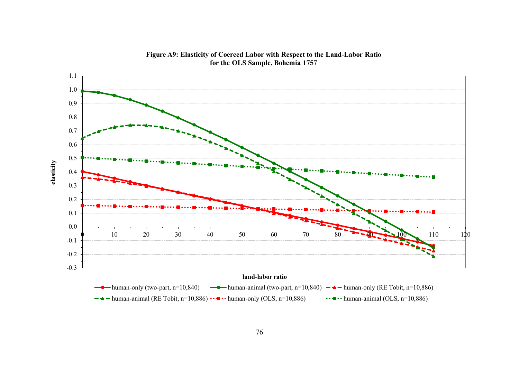

# **Figure A9: Elasticity of Coerced Labor with Respect to the Land-Labor Ratio for the OLS Sample, Bohemia 1757**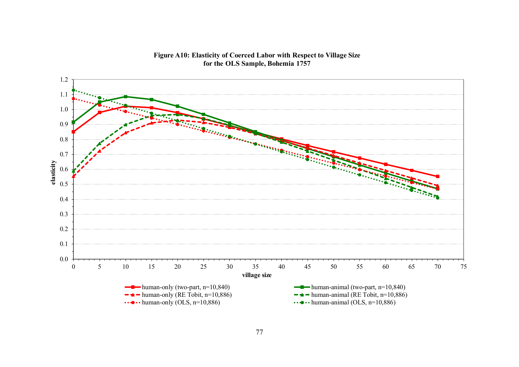

**Figure A10: Elasticity of Coerced Labor with Respect to Village Size for the OLS Sample, Bohemia 1757**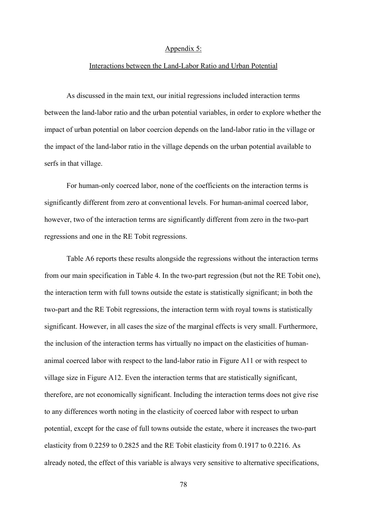#### Appendix 5:

#### Interactions between the Land-Labor Ratio and Urban Potential

As discussed in the main text, our initial regressions included interaction terms between the land-labor ratio and the urban potential variables, in order to explore whether the impact of urban potential on labor coercion depends on the land-labor ratio in the village or the impact of the land-labor ratio in the village depends on the urban potential available to serfs in that village.

For human-only coerced labor, none of the coefficients on the interaction terms is significantly different from zero at conventional levels. For human-animal coerced labor, however, two of the interaction terms are significantly different from zero in the two-part regressions and one in the RE Tobit regressions.

Table A6 reports these results alongside the regressions without the interaction terms from our main specification in Table 4. In the two-part regression (but not the RE Tobit one), the interaction term with full towns outside the estate is statistically significant; in both the two-part and the RE Tobit regressions, the interaction term with royal towns is statistically significant. However, in all cases the size of the marginal effects is very small. Furthermore, the inclusion of the interaction terms has virtually no impact on the elasticities of humananimal coerced labor with respect to the land-labor ratio in Figure A11 or with respect to village size in Figure A12. Even the interaction terms that are statistically significant, therefore, are not economically significant. Including the interaction terms does not give rise to any differences worth noting in the elasticity of coerced labor with respect to urban potential, except for the case of full towns outside the estate, where it increases the two-part elasticity from 0.2259 to 0.2825 and the RE Tobit elasticity from 0.1917 to 0.2216. As already noted, the effect of this variable is always very sensitive to alternative specifications,

78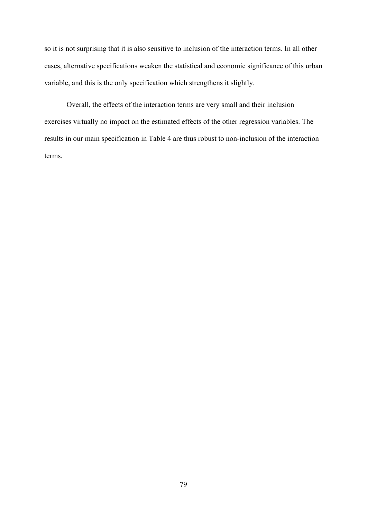so it is not surprising that it is also sensitive to inclusion of the interaction terms. In all other cases, alternative specifications weaken the statistical and economic significance of this urban variable, and this is the only specification which strengthens it slightly.

Overall, the effects of the interaction terms are very small and their inclusion exercises virtually no impact on the estimated effects of the other regression variables. The results in our main specification in Table 4 are thus robust to non-inclusion of the interaction terms.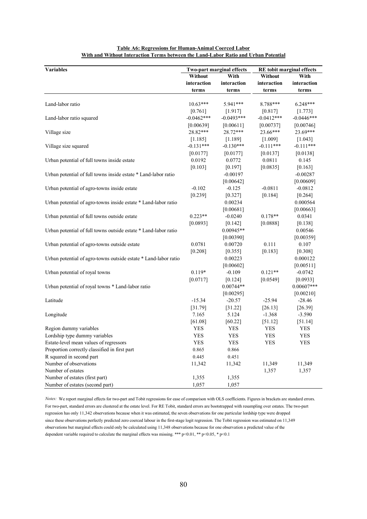| Without<br>With<br>Without<br>With<br>interaction<br>interaction<br>interaction<br>interaction<br>terms<br>terms<br>terms<br>terms<br>Land-labor ratio<br>$10.63***$<br>8.788***<br>$5.941***$<br>$6.248***$<br>$[0.761]$<br>[1.917]<br>[0.817]<br>[1.773]<br>$-0.0462***$<br>$-0.0493***$<br>$-0.0412***$<br>$-0.0446***$<br>Land-labor ratio squared<br>[0.00639]<br>[0.00737]<br>[0.00611]<br>[0.00746]<br>28.82***<br>28.72***<br>23.69***<br>23.66***<br>Village size<br>[1.185]<br>[1.189]<br>[1.009]<br>$[1.043]$<br>$-0.131***$<br>$-0.130***$<br>$-0.111***$<br>$-0.111***$<br>Village size squared<br>[0.0177]<br>[0.0177]<br>[0.0137]<br>[0.0138]<br>Urban potential of full towns inside estate<br>0.0192<br>0.0772<br>0.0811<br>0.145<br>[0.103]<br>[0.197]<br>[0.0835]<br>$[0.163]$<br>Urban potential of full towns inside estate * Land-labor ratio<br>$-0.00197$<br>$-0.00287$<br>[0.00609]<br>[0.00642]<br>Urban potential of agro-towns inside estate<br>$-0.102$<br>$-0.125$<br>$-0.0811$<br>$-0.0812$<br>[0.239]<br>[0.327]<br>[0.184]<br>$[0.264]$<br>0.00234<br>Urban potential of agro-towns inside estate * Land-labor ratio<br>0.000564<br>[0.00681]<br>[0.00663]<br>$0.223**$<br>Urban potential of full towns outside estate<br>$-0.0240$<br>$0.178**$<br>0.0341<br>[0.0893]<br>$[0.142]$<br>[0.0888]<br>[0.138]<br>Urban potential of full towns outside estate * Land-labor ratio<br>$0.00945**$<br>0.00546 | <b>Variables</b> | Two-part marginal effects |           |  | <b>RE</b> tobit marginal effects |  |
|-------------------------------------------------------------------------------------------------------------------------------------------------------------------------------------------------------------------------------------------------------------------------------------------------------------------------------------------------------------------------------------------------------------------------------------------------------------------------------------------------------------------------------------------------------------------------------------------------------------------------------------------------------------------------------------------------------------------------------------------------------------------------------------------------------------------------------------------------------------------------------------------------------------------------------------------------------------------------------------------------------------------------------------------------------------------------------------------------------------------------------------------------------------------------------------------------------------------------------------------------------------------------------------------------------------------------------------------------------------------------------------------------------------------------------------------|------------------|---------------------------|-----------|--|----------------------------------|--|
|                                                                                                                                                                                                                                                                                                                                                                                                                                                                                                                                                                                                                                                                                                                                                                                                                                                                                                                                                                                                                                                                                                                                                                                                                                                                                                                                                                                                                                           |                  |                           |           |  |                                  |  |
|                                                                                                                                                                                                                                                                                                                                                                                                                                                                                                                                                                                                                                                                                                                                                                                                                                                                                                                                                                                                                                                                                                                                                                                                                                                                                                                                                                                                                                           |                  |                           |           |  |                                  |  |
|                                                                                                                                                                                                                                                                                                                                                                                                                                                                                                                                                                                                                                                                                                                                                                                                                                                                                                                                                                                                                                                                                                                                                                                                                                                                                                                                                                                                                                           |                  |                           |           |  |                                  |  |
|                                                                                                                                                                                                                                                                                                                                                                                                                                                                                                                                                                                                                                                                                                                                                                                                                                                                                                                                                                                                                                                                                                                                                                                                                                                                                                                                                                                                                                           |                  |                           |           |  |                                  |  |
|                                                                                                                                                                                                                                                                                                                                                                                                                                                                                                                                                                                                                                                                                                                                                                                                                                                                                                                                                                                                                                                                                                                                                                                                                                                                                                                                                                                                                                           |                  |                           |           |  |                                  |  |
|                                                                                                                                                                                                                                                                                                                                                                                                                                                                                                                                                                                                                                                                                                                                                                                                                                                                                                                                                                                                                                                                                                                                                                                                                                                                                                                                                                                                                                           |                  |                           |           |  |                                  |  |
|                                                                                                                                                                                                                                                                                                                                                                                                                                                                                                                                                                                                                                                                                                                                                                                                                                                                                                                                                                                                                                                                                                                                                                                                                                                                                                                                                                                                                                           |                  |                           |           |  |                                  |  |
|                                                                                                                                                                                                                                                                                                                                                                                                                                                                                                                                                                                                                                                                                                                                                                                                                                                                                                                                                                                                                                                                                                                                                                                                                                                                                                                                                                                                                                           |                  |                           |           |  |                                  |  |
|                                                                                                                                                                                                                                                                                                                                                                                                                                                                                                                                                                                                                                                                                                                                                                                                                                                                                                                                                                                                                                                                                                                                                                                                                                                                                                                                                                                                                                           |                  |                           |           |  |                                  |  |
|                                                                                                                                                                                                                                                                                                                                                                                                                                                                                                                                                                                                                                                                                                                                                                                                                                                                                                                                                                                                                                                                                                                                                                                                                                                                                                                                                                                                                                           |                  |                           |           |  |                                  |  |
|                                                                                                                                                                                                                                                                                                                                                                                                                                                                                                                                                                                                                                                                                                                                                                                                                                                                                                                                                                                                                                                                                                                                                                                                                                                                                                                                                                                                                                           |                  |                           |           |  |                                  |  |
|                                                                                                                                                                                                                                                                                                                                                                                                                                                                                                                                                                                                                                                                                                                                                                                                                                                                                                                                                                                                                                                                                                                                                                                                                                                                                                                                                                                                                                           |                  |                           |           |  |                                  |  |
|                                                                                                                                                                                                                                                                                                                                                                                                                                                                                                                                                                                                                                                                                                                                                                                                                                                                                                                                                                                                                                                                                                                                                                                                                                                                                                                                                                                                                                           |                  |                           |           |  |                                  |  |
|                                                                                                                                                                                                                                                                                                                                                                                                                                                                                                                                                                                                                                                                                                                                                                                                                                                                                                                                                                                                                                                                                                                                                                                                                                                                                                                                                                                                                                           |                  |                           |           |  |                                  |  |
|                                                                                                                                                                                                                                                                                                                                                                                                                                                                                                                                                                                                                                                                                                                                                                                                                                                                                                                                                                                                                                                                                                                                                                                                                                                                                                                                                                                                                                           |                  |                           |           |  |                                  |  |
|                                                                                                                                                                                                                                                                                                                                                                                                                                                                                                                                                                                                                                                                                                                                                                                                                                                                                                                                                                                                                                                                                                                                                                                                                                                                                                                                                                                                                                           |                  |                           |           |  |                                  |  |
|                                                                                                                                                                                                                                                                                                                                                                                                                                                                                                                                                                                                                                                                                                                                                                                                                                                                                                                                                                                                                                                                                                                                                                                                                                                                                                                                                                                                                                           |                  |                           |           |  |                                  |  |
|                                                                                                                                                                                                                                                                                                                                                                                                                                                                                                                                                                                                                                                                                                                                                                                                                                                                                                                                                                                                                                                                                                                                                                                                                                                                                                                                                                                                                                           |                  |                           |           |  |                                  |  |
|                                                                                                                                                                                                                                                                                                                                                                                                                                                                                                                                                                                                                                                                                                                                                                                                                                                                                                                                                                                                                                                                                                                                                                                                                                                                                                                                                                                                                                           |                  |                           |           |  |                                  |  |
|                                                                                                                                                                                                                                                                                                                                                                                                                                                                                                                                                                                                                                                                                                                                                                                                                                                                                                                                                                                                                                                                                                                                                                                                                                                                                                                                                                                                                                           |                  |                           |           |  |                                  |  |
|                                                                                                                                                                                                                                                                                                                                                                                                                                                                                                                                                                                                                                                                                                                                                                                                                                                                                                                                                                                                                                                                                                                                                                                                                                                                                                                                                                                                                                           |                  |                           |           |  |                                  |  |
|                                                                                                                                                                                                                                                                                                                                                                                                                                                                                                                                                                                                                                                                                                                                                                                                                                                                                                                                                                                                                                                                                                                                                                                                                                                                                                                                                                                                                                           |                  |                           |           |  |                                  |  |
|                                                                                                                                                                                                                                                                                                                                                                                                                                                                                                                                                                                                                                                                                                                                                                                                                                                                                                                                                                                                                                                                                                                                                                                                                                                                                                                                                                                                                                           |                  |                           |           |  |                                  |  |
|                                                                                                                                                                                                                                                                                                                                                                                                                                                                                                                                                                                                                                                                                                                                                                                                                                                                                                                                                                                                                                                                                                                                                                                                                                                                                                                                                                                                                                           |                  |                           | [0.00390] |  | [0.00359]                        |  |
| 0.0781<br>0.00720<br>0.111<br>0.107<br>Urban potential of agro-towns outside estate                                                                                                                                                                                                                                                                                                                                                                                                                                                                                                                                                                                                                                                                                                                                                                                                                                                                                                                                                                                                                                                                                                                                                                                                                                                                                                                                                       |                  |                           |           |  |                                  |  |
| [0.208]<br>[0.355]<br>[0.183]<br>[0.308]                                                                                                                                                                                                                                                                                                                                                                                                                                                                                                                                                                                                                                                                                                                                                                                                                                                                                                                                                                                                                                                                                                                                                                                                                                                                                                                                                                                                  |                  |                           |           |  |                                  |  |
| 0.00223<br>0.000122<br>Urban potential of agro-towns outside estate * Land-labor ratio                                                                                                                                                                                                                                                                                                                                                                                                                                                                                                                                                                                                                                                                                                                                                                                                                                                                                                                                                                                                                                                                                                                                                                                                                                                                                                                                                    |                  |                           |           |  |                                  |  |
| [0.00602]<br>[0.00511]                                                                                                                                                                                                                                                                                                                                                                                                                                                                                                                                                                                                                                                                                                                                                                                                                                                                                                                                                                                                                                                                                                                                                                                                                                                                                                                                                                                                                    |                  |                           |           |  |                                  |  |
| $0.119*$<br>$-0.109$<br>$-0.0742$<br>Urban potential of royal towns<br>$0.121**$                                                                                                                                                                                                                                                                                                                                                                                                                                                                                                                                                                                                                                                                                                                                                                                                                                                                                                                                                                                                                                                                                                                                                                                                                                                                                                                                                          |                  |                           |           |  |                                  |  |
| [0.0717]<br>[0.0933]<br>$[0.124]$<br>[0.0549]                                                                                                                                                                                                                                                                                                                                                                                                                                                                                                                                                                                                                                                                                                                                                                                                                                                                                                                                                                                                                                                                                                                                                                                                                                                                                                                                                                                             |                  |                           |           |  |                                  |  |
| Urban potential of royal towns * Land-labor ratio<br>$0.00744**$<br>$0.00607***$                                                                                                                                                                                                                                                                                                                                                                                                                                                                                                                                                                                                                                                                                                                                                                                                                                                                                                                                                                                                                                                                                                                                                                                                                                                                                                                                                          |                  |                           |           |  |                                  |  |
| [0.00210]<br>[0.00295]                                                                                                                                                                                                                                                                                                                                                                                                                                                                                                                                                                                                                                                                                                                                                                                                                                                                                                                                                                                                                                                                                                                                                                                                                                                                                                                                                                                                                    |                  |                           |           |  |                                  |  |
| Latitude<br>$-15.34$<br>$-20.57$<br>$-25.94$<br>$-28.46$                                                                                                                                                                                                                                                                                                                                                                                                                                                                                                                                                                                                                                                                                                                                                                                                                                                                                                                                                                                                                                                                                                                                                                                                                                                                                                                                                                                  |                  |                           |           |  |                                  |  |
| [31.79]<br>[31.22]<br>$[26.13]$<br>[26.39]                                                                                                                                                                                                                                                                                                                                                                                                                                                                                                                                                                                                                                                                                                                                                                                                                                                                                                                                                                                                                                                                                                                                                                                                                                                                                                                                                                                                |                  |                           |           |  |                                  |  |
| Longitude<br>7.165<br>5.124<br>$-1.368$<br>$-3.590$                                                                                                                                                                                                                                                                                                                                                                                                                                                                                                                                                                                                                                                                                                                                                                                                                                                                                                                                                                                                                                                                                                                                                                                                                                                                                                                                                                                       |                  |                           |           |  |                                  |  |
| [61.08]<br>$[60.22]$<br>[51.12]<br>[51.14]                                                                                                                                                                                                                                                                                                                                                                                                                                                                                                                                                                                                                                                                                                                                                                                                                                                                                                                                                                                                                                                                                                                                                                                                                                                                                                                                                                                                |                  |                           |           |  |                                  |  |
| Region dummy variables<br><b>YES</b><br><b>YES</b><br><b>YES</b><br><b>YES</b>                                                                                                                                                                                                                                                                                                                                                                                                                                                                                                                                                                                                                                                                                                                                                                                                                                                                                                                                                                                                                                                                                                                                                                                                                                                                                                                                                            |                  |                           |           |  |                                  |  |
| Lordship type dummy variables<br><b>YES</b><br><b>YES</b><br><b>YES</b><br><b>YES</b>                                                                                                                                                                                                                                                                                                                                                                                                                                                                                                                                                                                                                                                                                                                                                                                                                                                                                                                                                                                                                                                                                                                                                                                                                                                                                                                                                     |                  |                           |           |  |                                  |  |
| Estate-level mean values of regressors<br><b>YES</b><br><b>YES</b><br><b>YES</b><br>YES                                                                                                                                                                                                                                                                                                                                                                                                                                                                                                                                                                                                                                                                                                                                                                                                                                                                                                                                                                                                                                                                                                                                                                                                                                                                                                                                                   |                  |                           |           |  |                                  |  |
| Proportion correctly classified in first part<br>0.865<br>0.866                                                                                                                                                                                                                                                                                                                                                                                                                                                                                                                                                                                                                                                                                                                                                                                                                                                                                                                                                                                                                                                                                                                                                                                                                                                                                                                                                                           |                  |                           |           |  |                                  |  |
| R squared in second part<br>0.445<br>0.451                                                                                                                                                                                                                                                                                                                                                                                                                                                                                                                                                                                                                                                                                                                                                                                                                                                                                                                                                                                                                                                                                                                                                                                                                                                                                                                                                                                                |                  |                           |           |  |                                  |  |
| Number of observations<br>11,349<br>11,349<br>11,342<br>11,342                                                                                                                                                                                                                                                                                                                                                                                                                                                                                                                                                                                                                                                                                                                                                                                                                                                                                                                                                                                                                                                                                                                                                                                                                                                                                                                                                                            |                  |                           |           |  |                                  |  |
| Number of estates<br>1,357<br>1,357                                                                                                                                                                                                                                                                                                                                                                                                                                                                                                                                                                                                                                                                                                                                                                                                                                                                                                                                                                                                                                                                                                                                                                                                                                                                                                                                                                                                       |                  |                           |           |  |                                  |  |
| Number of estates (first part)<br>1,355<br>1,355                                                                                                                                                                                                                                                                                                                                                                                                                                                                                                                                                                                                                                                                                                                                                                                                                                                                                                                                                                                                                                                                                                                                                                                                                                                                                                                                                                                          |                  |                           |           |  |                                  |  |
| Number of estates (second part)<br>1,057<br>1,057                                                                                                                                                                                                                                                                                                                                                                                                                                                                                                                                                                                                                                                                                                                                                                                                                                                                                                                                                                                                                                                                                                                                                                                                                                                                                                                                                                                         |                  |                           |           |  |                                  |  |

#### **Table A6: Regressions for Human-Animal Coerced Labor With and Without Interaction Terms between the Land-Labor Ratio and Urban Potential**

*Notes:* We report marginal effects for two-part and Tobit regressions for ease of comparison with OLS coefficients. Figures in brackets are standard errors. For two-part, standard errors are clustered at the estate level. For RE Tobit, standard errors are bootstrapped with resampling over estates. The two-part regression has only 11,342 observations because when it was estimated, the seven observations for one particular lordship type were dropped since these observations perfectly predicted zero coerced labour in the first-stage logit regression. The Tobit regression was estimated on 11,349 observations but marginal effects could only be calculated using 11,348 observations because for one observation a predicted value of the dependent variable required to calculate the marginal effects was missing. \*\*\* p<0.01, \*\* p<0.05, \* p<0.1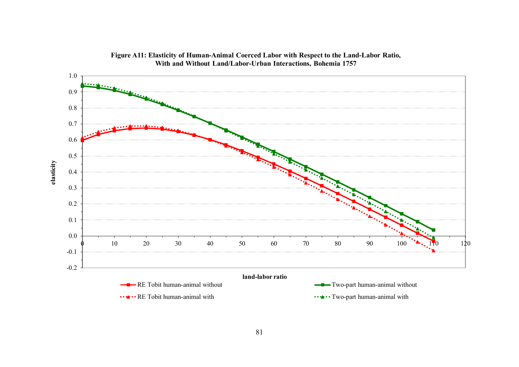

## **Figure A11: Elasticity of Human-Animal Coerced Labor with Respect to the Land-Labor Ratio, With and Without Land/Labor-Urban Interactions, Bohemia 1757**